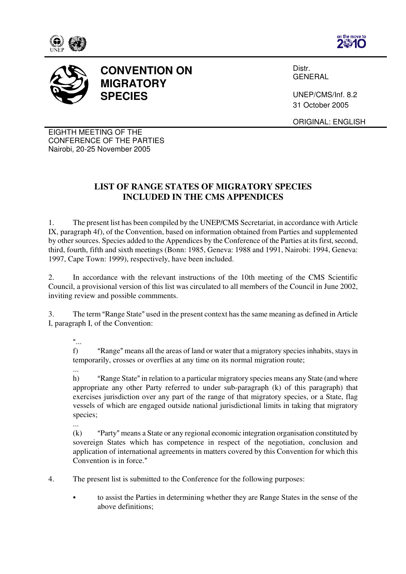







Distr. GENERAL

UNEP/CMS/Inf. 8.2 31 October 2005

ORIGINAL: ENGLISH

EIGHTH MEETING OF THE CONFERENCE OF THE PARTIES Nairobi, 20-25 November 2005

## **LIST OF RANGE STATES OF MIGRATORY SPECIES INCLUDED IN THE CMS APPENDICES**

1. The present list has been compiled by the UNEP/CMS Secretariat, in accordance with Article IX, paragraph 4f), of the Convention, based on information obtained from Parties and supplemented by other sources. Species added to the Appendices by the Conference of the Parties at its first, second, third, fourth, fifth and sixth meetings (Bonn: 1985, Geneva: 1988 and 1991, Nairobi: 1994, Geneva: 1997, Cape Town: 1999), respectively, have been included.

2. In accordance with the relevant instructions of the 10th meeting of the CMS Scientific Council, a provisional version of this list was circulated to all members of the Council in June 2002, inviting review and possible commments.

3. The term "Range State" used in the present context has the same meaning as defined in Article I, paragraph I, of the Convention:

 $\frac{a}{1}$ .

...

f) "Range" means all the areas of land or water that a migratory species inhabits, stays in temporarily, crosses or overflies at any time on its normal migration route;

h) "Range State" in relation to a particular migratory species means any State (and where appropriate any other Party referred to under sub-paragraph (k) of this paragraph) that exercises jurisdiction over any part of the range of that migratory species, or a State, flag vessels of which are engaged outside national jurisdictional limits in taking that migratory species;

...

 $(k)$  "Party" means a State or any regional economic integration organisation constituted by sovereign States which has competence in respect of the negotiation, conclusion and application of international agreements in matters covered by this Convention for which this Convention is in force."

4. The present list is submitted to the Conference for the following purposes:

to assist the Parties in determining whether they are Range States in the sense of the above definitions;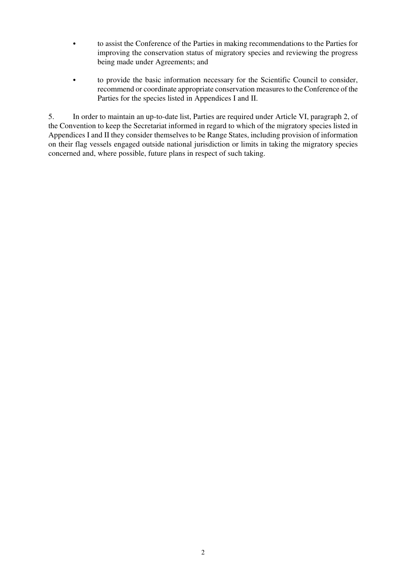- to assist the Conference of the Parties in making recommendations to the Parties for improving the conservation status of migratory species and reviewing the progress being made under Agreements; and
- to provide the basic information necessary for the Scientific Council to consider, recommend or coordinate appropriate conservation measures to the Conference of the Parties for the species listed in Appendices I and II.

5. In order to maintain an up-to-date list, Parties are required under Article VI, paragraph 2, of the Convention to keep the Secretariat informed in regard to which of the migratory species listed in Appendices I and II they consider themselves to be Range States, including provision of information on their flag vessels engaged outside national jurisdiction or limits in taking the migratory species concerned and, where possible, future plans in respect of such taking.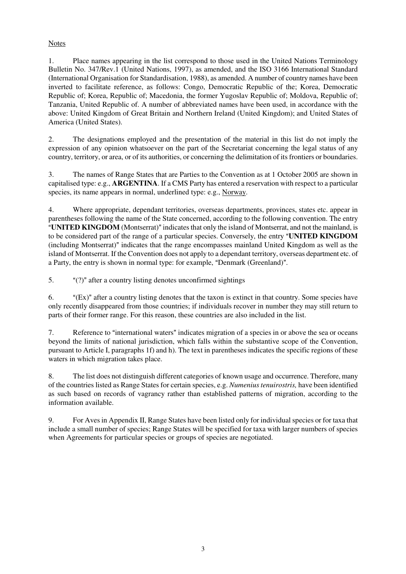## **Notes**

1. Place names appearing in the list correspond to those used in the United Nations Terminology Bulletin No. 347/Rev.1 (United Nations, 1997), as amended, and the ISO 3166 International Standard (International Organisation for Standardisation, 1988), as amended. A number of country names have been inverted to facilitate reference, as follows: Congo, Democratic Republic of the; Korea, Democratic Republic of; Korea, Republic of; Macedonia, the former Yugoslav Republic of; Moldova, Republic of; Tanzania, United Republic of. A number of abbreviated names have been used, in accordance with the above: United Kingdom of Great Britain and Northern Ireland (United Kingdom); and United States of America (United States).

2. The designations employed and the presentation of the material in this list do not imply the expression of any opinion whatsoever on the part of the Secretariat concerning the legal status of any country, territory, or area, or of its authorities, or concerning the delimitation of its frontiers or boundaries.

3. The names of Range States that are Parties to the Convention as at 1 October 2005 are shown in capitalised type: e.g., **ARGENTINA**. If a CMS Party has entered a reservation with respect to a particular species, its name appears in normal, underlined type: e.g., Norway.

4. Where appropriate, dependant territories, overseas departments, provinces, states etc. appear in parentheses following the name of the State concerned, according to the following convention. The entry "**UNITED KINGDOM** (Montserrat)" indicates that only the island of Montserrat, and not the mainland, is to be considered part of the range of a particular species. Conversely, the entry "**UNITED KINGDOM** (including Montserrat)" indicates that the range encompasses mainland United Kingdom as well as the island of Montserrat. If the Convention does not apply to a dependant territory, overseas department etc. of a Party, the entry is shown in normal type: for example, "Denmark (Greenland)".

5.  $A'(?)$  after a country listing denotes unconfirmed sightings

6.  $\bullet$  "(Ex)" after a country listing denotes that the taxon is extinct in that country. Some species have only recently disappeared from those countries; if individuals recover in number they may still return to parts of their former range. For this reason, these countries are also included in the list.

7. Reference to "international waters" indicates migration of a species in or above the sea or oceans beyond the limits of national jurisdiction, which falls within the substantive scope of the Convention, pursuant to Article I, paragraphs 1f) and h). The text in parentheses indicates the specific regions of these waters in which migration takes place.

8. The list does not distinguish different categories of known usage and occurrence. Therefore, many of the countries listed as Range States for certain species, e.g. *Numenius tenuirostris,* have been identified as such based on records of vagrancy rather than established patterns of migration, according to the information available.

9. For Aves in Appendix II, Range States have been listed only for individual species or for taxa that include a small number of species; Range States will be specified for taxa with larger numbers of species when Agreements for particular species or groups of species are negotiated.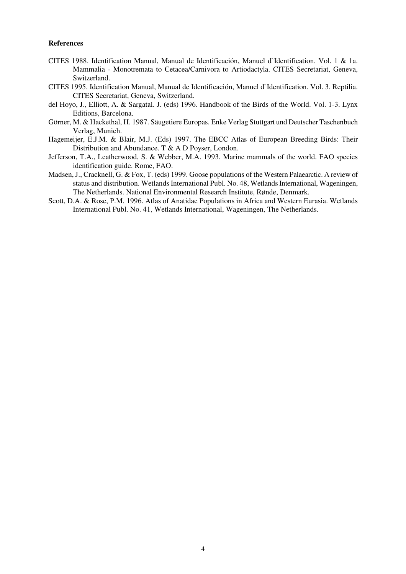## **References**

- CITES 1988. Identification Manual, Manual de Identificación, Manuel d`Identification. Vol. 1 & 1a. Mammalia - Monotremata to Cetacea/Carnivora to Artiodactyla. CITES Secretariat, Geneva, Switzerland.
- CITES 1995. Identification Manual, Manual de Identificación, Manuel d`Identification. Vol. 3. Reptilia. CITES Secretariat, Geneva, Switzerland.
- del Hoyo, J., Elliott, A. & Sargatal. J. (eds) 1996. Handbook of the Birds of the World. Vol. 1-3. Lynx Editions, Barcelona.
- Görner, M. & Hackethal, H. 1987. Säugetiere Europas. Enke Verlag Stuttgart und Deutscher Taschenbuch Verlag, Munich.
- Hagemeijer, E.J.M. & Blair, M.J. (Eds) 1997. The EBCC Atlas of European Breeding Birds: Their Distribution and Abundance. T & A D Poyser, London.
- Jefferson, T.A., Leatherwood, S. & Webber, M.A. 1993. Marine mammals of the world. FAO species identification guide. Rome, FAO.
- Madsen, J., Cracknell, G. & Fox, T. (eds) 1999. Goose populations of the Western Palaearctic. A review of status and distribution. Wetlands International Publ. No. 48, Wetlands International, Wageningen, The Netherlands. National Environmental Research Institute, Rønde, Denmark.
- Scott, D.A. & Rose, P.M. 1996. Atlas of Anatidae Populations in Africa and Western Eurasia. Wetlands International Publ. No. 41, Wetlands International, Wageningen, The Netherlands.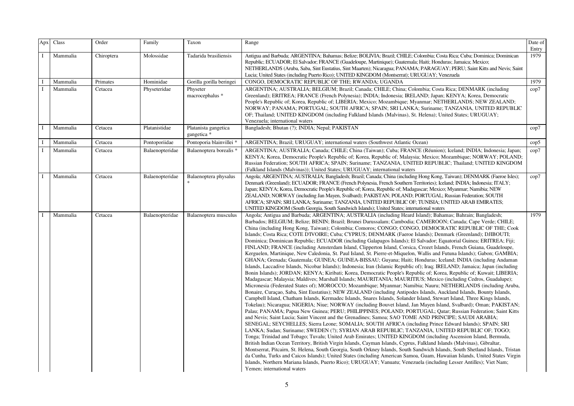| Apx          | Class    | Order      | Family          | Taxon                               | Range                                                                                                                                                                                                                                                                                                                                                                                                                                                                                                                                                                                                                                                                                                                                                                                                                                                                                                                                                                                                                                                                                                                                                                                                                                                                                                                                                                                                                                                                                                                                                                                                                                                                                                                                                                                                                                                                                                                                                                                                                                                                                                                                                                                                                                                                                                                                                                                                                                                                                                                                                                                                                                                                                                                                                                                                                                                                                                                     | Date of       |
|--------------|----------|------------|-----------------|-------------------------------------|---------------------------------------------------------------------------------------------------------------------------------------------------------------------------------------------------------------------------------------------------------------------------------------------------------------------------------------------------------------------------------------------------------------------------------------------------------------------------------------------------------------------------------------------------------------------------------------------------------------------------------------------------------------------------------------------------------------------------------------------------------------------------------------------------------------------------------------------------------------------------------------------------------------------------------------------------------------------------------------------------------------------------------------------------------------------------------------------------------------------------------------------------------------------------------------------------------------------------------------------------------------------------------------------------------------------------------------------------------------------------------------------------------------------------------------------------------------------------------------------------------------------------------------------------------------------------------------------------------------------------------------------------------------------------------------------------------------------------------------------------------------------------------------------------------------------------------------------------------------------------------------------------------------------------------------------------------------------------------------------------------------------------------------------------------------------------------------------------------------------------------------------------------------------------------------------------------------------------------------------------------------------------------------------------------------------------------------------------------------------------------------------------------------------------------------------------------------------------------------------------------------------------------------------------------------------------------------------------------------------------------------------------------------------------------------------------------------------------------------------------------------------------------------------------------------------------------------------------------------------------------------------------------------------------|---------------|
|              |          |            |                 |                                     |                                                                                                                                                                                                                                                                                                                                                                                                                                                                                                                                                                                                                                                                                                                                                                                                                                                                                                                                                                                                                                                                                                                                                                                                                                                                                                                                                                                                                                                                                                                                                                                                                                                                                                                                                                                                                                                                                                                                                                                                                                                                                                                                                                                                                                                                                                                                                                                                                                                                                                                                                                                                                                                                                                                                                                                                                                                                                                                           | Entry         |
|              | Mammalia | Chiroptera | Molossidae      | Tadarida brasiliensis               | Antigua and Barbuda; ARGENTINA; Bahamas; Belize; BOLIVIA; Brazil; CHILE; Colombia; Costa Rica; Cuba; Dominica; Dominican<br>Republic; ECUADOR; El Salvador; FRANCE (Guadeloupe, Martinique); Guatemala; Haiti; Honduras; Jamaica; Mexico;<br>NETHERLANDS (Aruba, Saba, Sint Eustatius, Sint Maarten); Nicaragua; PANAMA; PARAGUAY; PERU; Saint Kitts and Nevis; Saint<br>Lucia; United States (including Puerto Rico); UNITED KINGDOM (Montserrat); URUGUAY; Venezuela                                                                                                                                                                                                                                                                                                                                                                                                                                                                                                                                                                                                                                                                                                                                                                                                                                                                                                                                                                                                                                                                                                                                                                                                                                                                                                                                                                                                                                                                                                                                                                                                                                                                                                                                                                                                                                                                                                                                                                                                                                                                                                                                                                                                                                                                                                                                                                                                                                                    | 1979          |
| $\mathbf{I}$ | Mammalia | Primates   | Hominidae       | Gorilla gorilla beringei            | CONGO, DEMOCRATIC REPUBLIC OF THE; RWANDA; UGANDA                                                                                                                                                                                                                                                                                                                                                                                                                                                                                                                                                                                                                                                                                                                                                                                                                                                                                                                                                                                                                                                                                                                                                                                                                                                                                                                                                                                                                                                                                                                                                                                                                                                                                                                                                                                                                                                                                                                                                                                                                                                                                                                                                                                                                                                                                                                                                                                                                                                                                                                                                                                                                                                                                                                                                                                                                                                                         | 1979          |
|              | Mammalia | Cetacea    | Physeteridae    | Physeter<br>macrocephalus *         | ARGENTINA; AUSTRALIA; BELGIUM; Brazil; Canada; CHILE; China; Colombia; Costa Rica; DENMARK (including<br>Greenland); ERITREA; FRANCE (French Polynesia); INDIA; Indonesia; IRELAND; Japan; KENYA; Korea, Democratic<br>People's Republic of; Korea, Republic of; LIBERIA; Mexico; Mozambique; Myanmar; NETHERLANDS; NEW ZEALAND;<br>NORWAY; PANAMA; PORTUGAL; SOUTH AFRICA; SPAIN; SRI LANKA; Suriname; TANZANIA, UNITED REPUBLIC<br>OF; Thailand; UNITED KINGDOM (including Falkland Islands (Malvinas), St. Helena); United States; URUGUAY;<br>Venezuela; international waters                                                                                                                                                                                                                                                                                                                                                                                                                                                                                                                                                                                                                                                                                                                                                                                                                                                                                                                                                                                                                                                                                                                                                                                                                                                                                                                                                                                                                                                                                                                                                                                                                                                                                                                                                                                                                                                                                                                                                                                                                                                                                                                                                                                                                                                                                                                                         | cop7          |
| $\mathbf I$  | Mammalia | Cetacea    | Platanistidae   | Platanista gangetica<br>gangetica * | Bangladesh; Bhutan (?); INDIA; Nepal; PAKISTAN                                                                                                                                                                                                                                                                                                                                                                                                                                                                                                                                                                                                                                                                                                                                                                                                                                                                                                                                                                                                                                                                                                                                                                                                                                                                                                                                                                                                                                                                                                                                                                                                                                                                                                                                                                                                                                                                                                                                                                                                                                                                                                                                                                                                                                                                                                                                                                                                                                                                                                                                                                                                                                                                                                                                                                                                                                                                            | cop7          |
|              | Mammalia | Cetacea    | Pontoporiidae   | Pontoporia blainvillei *            | ARGENTINA; Brazil; URUGUAY; international waters (Southwest Atlantic Ocean)                                                                                                                                                                                                                                                                                                                                                                                                                                                                                                                                                                                                                                                                                                                                                                                                                                                                                                                                                                                                                                                                                                                                                                                                                                                                                                                                                                                                                                                                                                                                                                                                                                                                                                                                                                                                                                                                                                                                                                                                                                                                                                                                                                                                                                                                                                                                                                                                                                                                                                                                                                                                                                                                                                                                                                                                                                               | $\text{cop}5$ |
|              | Mammalia | Cetacea    | Balaenopteridae | Balaenoptera borealis *             | ARGENTINA; AUSTRALIA; Canada; CHILE; China (Taiwan); Cuba; FRANCE (Réunion); Iceland; INDIA; Indonesia; Japan;<br>KENYA; Korea, Democratic People's Republic of; Korea, Republic of; Malaysia; Mexico; Mozambique; NORWAY; POLAND;<br>Russian Federation; SOUTH AFRICA; SPAIN; Suriname; TANZANIA, UNITED REPUBLIC; Thailand; UNITED KINGDOM<br>(Falkland Islands (Malvinas)); United States; URUGUAY; international waters                                                                                                                                                                                                                                                                                                                                                                                                                                                                                                                                                                                                                                                                                                                                                                                                                                                                                                                                                                                                                                                                                                                                                                                                                                                                                                                                                                                                                                                                                                                                                                                                                                                                                                                                                                                                                                                                                                                                                                                                                                                                                                                                                                                                                                                                                                                                                                                                                                                                                               | cop7          |
|              | Mammalia | Cetacea    | Balaenopteridae | Balaenoptera physalus               | Angola; ARGENTINA; AUSTRALIA; Bangladesh; Brazil; Canada; China (including Hong Kong, Taiwan); DENMARK (Faeroe Isles);<br>Denmark (Greenland); ECUADOR; FRANCE (French Polynesia, French Southern Territories); Iceland; INDIA; Indonesia; ITALY;<br>Japan; KENYA; Korea, Democratic People's Republic of; Korea, Republic of; Madagascar; Mexico; Myanmar; Namibia; NEW<br>ZEALAND; NORWAY (including Jan Mayen, Svalbard); PAKISTAN; POLAND; PORTUGAL; Russian Federation; SOUTH<br>AFRICA; SPAIN; SRI LANKA; Suriname; TANZANIA, UNITED REPUBLIC OF; TUNISIA; UNITED ARAB EMIRATES;<br>UNITED KINGDOM (South Georgia, South Sandwich Islands); United States; international waters                                                                                                                                                                                                                                                                                                                                                                                                                                                                                                                                                                                                                                                                                                                                                                                                                                                                                                                                                                                                                                                                                                                                                                                                                                                                                                                                                                                                                                                                                                                                                                                                                                                                                                                                                                                                                                                                                                                                                                                                                                                                                                                                                                                                                                     | $\rm cop7$    |
| $\mathbf{I}$ | Mammalia | Cetacea    | Balaenopteridae | Balaenoptera musculus               | Angola; Antigua and Barbuda; ARGENTINA; AUSTRALIA (including Heard Island); Bahamas; Bahrain; Bangladesh;<br>Barbados; BELGIUM; Belize; BENIN; Brazil; Brunei Darussalam; Cambodia; CAMEROON; Canada; Cape Verde; CHILE;<br>China (including Hong Kong, Taiwan); Colombia; Comoros; CONGO; CONGO, DEMOCRATIC REPUBLIC OF THE; Cook<br>Islands; Costa Rica; COTE D'IVOIRE; Cuba; CYPRUS; DENMARK (Faeroe Islands); Denmark (Greenland); DJIBOUTI;<br>Dominica; Dominican Republic; ECUADOR (including Galapagos Islands); El Salvador; Equatorial Guinea; ERITREA; Fiji;<br>FINLAND; FRANCE (including Amsterdam Island, Clipperton Island, Corsica, Crozet Islands, French Guiana, Guadeloupe,<br>Kerguelen, Martinique, New Caledonia, St. Paul Island, St. Pierre-et-Miquelon, Wallis and Futuna Islands); Gabon; GAMBIA;<br>GHANA; Grenada; Guatemala; GUINEA; GUINEA-BISSAU; Guyana; Haiti; Honduras; Iceland; INDIA (including Andaman<br>Islands, Laccadive Islands, Nicobar Islands); Indonesia; Iran (Islamic Republic of); Iraq; IRELAND; Jamaica; Japan (including<br>Bonin Islands); JORDAN; KENYA; Kiribati; Korea, Democratic People's Republic of; Korea, Republic of; Kuwait; LIBERIA;<br>Madagascar; Malaysia; Maldives; Marshall Islands; MAURITANIA; MAURITIUS; Mexico (including Cedros, Guadalupe);<br>Micronesia (Federated States of); MOROCCO; Mozambique; Myanmar; Namibia; Nauru; NETHERLANDS (including Aruba,<br>Bonaire, Curaçao, Saba, Sint Eustatius); NEW ZEALAND (including Antipodes Islands, Auckland Islands, Bounty Islands,<br>Campbell Island, Chatham Islands, Kermadec Islands, Snares Islands, Solander Island, Stewart Island, Three Kings Islands,<br>Tokelau); Nicaragua; NIGERIA; Niue; NORWAY (including Bouvet Island, Jan Mayen Island, Svalbard); Oman; PAKISTAN;<br>Palau; PANAMA; Papua New Guinea; PERU; PHILIPPINES; POLAND; PORTUGAL; Qatar; Russian Federation; Saint Kitts<br>and Nevis; Saint Lucia; Saint Vincent and the Grenadines; Samoa; SAO TOME AND PRINCIPE; SAUDI ARABIA;<br>SENEGAL; SEYCHELLES; Sierra Leone; SOMALIA; SOUTH AFRICA (including Prince Edward Islands); SPAIN; SRI<br>LANKA; Sudan; Suriname; SWEDEN (?); SYRIAN ARAB REPUBLIC; TANZANIA, UNITED REPUBLIC OF; TOGO;<br>Tonga; Trinidad and Tobago; Tuvalu; United Arab Emirates; UNITED KINGDOM (including Ascension Island, Bermuda,<br>British Indian Ocean Territory, British Virgin Islands, Cayman Islands, Cyprus, Falkland Islands (Malvinas), Gibraltar,<br>Montserrat, Pitcairn, St. Helena, South Georgia, South Orkney Islands, South Sandwich Islands, South Shetland Islands, Tristan<br>da Cunha, Turks and Caicos Islands); United States (including American Samoa, Guam, Hawaiian Islands, United States Virgin<br>Islands, Northern Mariana Islands, Puerto Rico); URUGUAY; Vanuatu; Venezuela (including Lesser Antilles); Viet Nam;<br>Yemen; international waters | 1979          |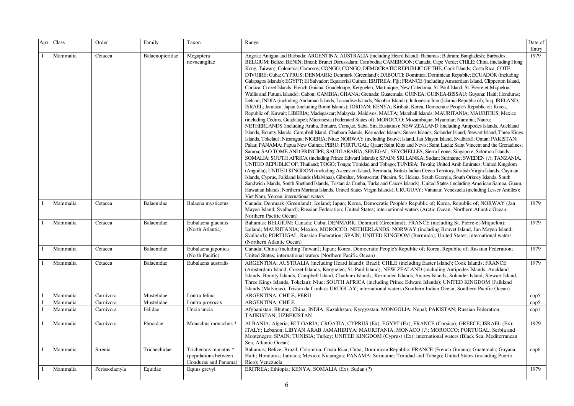| Apx | Class    | Order          | Family          | Taxon                                                                 | Range                                                                                                                                                                                                                                                                                                                                                                                                                                                                                                                                                                                                                                                                                                                                                                                                                                                                                                                                                                                                                                                                                                                                                                                                                                                                                                                                                                                                                                                                                                                                                                                                                                                                                                                                                                                                                                                                                                                                                                                                                                                                                                                                                                                                                                                                                                                                                                                                                                                                                                                                                                                                                                                                                                                                                                                                                                                                                                         | Date of<br>Entry |
|-----|----------|----------------|-----------------|-----------------------------------------------------------------------|---------------------------------------------------------------------------------------------------------------------------------------------------------------------------------------------------------------------------------------------------------------------------------------------------------------------------------------------------------------------------------------------------------------------------------------------------------------------------------------------------------------------------------------------------------------------------------------------------------------------------------------------------------------------------------------------------------------------------------------------------------------------------------------------------------------------------------------------------------------------------------------------------------------------------------------------------------------------------------------------------------------------------------------------------------------------------------------------------------------------------------------------------------------------------------------------------------------------------------------------------------------------------------------------------------------------------------------------------------------------------------------------------------------------------------------------------------------------------------------------------------------------------------------------------------------------------------------------------------------------------------------------------------------------------------------------------------------------------------------------------------------------------------------------------------------------------------------------------------------------------------------------------------------------------------------------------------------------------------------------------------------------------------------------------------------------------------------------------------------------------------------------------------------------------------------------------------------------------------------------------------------------------------------------------------------------------------------------------------------------------------------------------------------------------------------------------------------------------------------------------------------------------------------------------------------------------------------------------------------------------------------------------------------------------------------------------------------------------------------------------------------------------------------------------------------------------------------------------------------------------------------------------------------|------------------|
|     | Mammalia | Cetacea        | Balaenopteridae | Megaptera<br>novaeangliae                                             | Angola; Antigua and Barbuda; ARGENTINA; AUSTRALIA (including Heard Island); Bahamas; Bahrain; Bangladesh; Barbados;<br>BELGIUM; Belize; BENIN; Brazil; Brunei Darussalam; Cambodia; CAMEROON; Canada; Cape Verde; CHILE; China (including Hong<br>Kong, Taiwan); Colombia; Comoros; CONGO; CONGO, DEMOCRATIC REPUBLIC OF THE; Cook Islands; Costa Rica; COTE<br>D'IVOIRE; Cuba; CYPRUS; DENMARK; Denmark (Greenland); DJIBOUTI; Dominica; Dominican Republic; ECUADOR (including<br>Galapagos Islands); EGYPT; El Salvador; Equatorial Guinea; ERITREA; Fiji; FRANCE (including Amsterdam Island, Clipperton Island,<br>Corsica, Crozet Islands, French Guiana, Guadeloupe, Kerguelen, Martinique, New Caledonia, St. Paul Island, St. Pierre-et-Miquelon,<br>Wallis and Futuna Islands); Gabon; GAMBIA; GHANA; Grenada; Guatemala; GUINEA; GUINEA-BISSAU; Guyana; Haiti; Honduras;<br>Iceland; INDIA (including Andaman Islands, Laccadive Islands, Nicobar Islands); Indonesia; Iran (Islamic Republic of); Iraq; IRELAND;<br>ISRAEL; Jamaica; Japan (including Bonin Islands); JORDAN; KENYA; Kiribati; Korea, Democratic People's Republic of; Korea,<br>Republic of; Kuwait; LIBERIA; Madagascar; Malaysia; Maldives; MALTA; Marshall Islands; MAURITANIA; MAURITIUS; Mexico<br>(including Cedros, Guadalupe); Micronesia (Federated States of); MOROCCO; Mozambique; Myanmar; Namibia; Nauru;<br>NETHERLANDS (including Aruba, Bonaire, Curaçao, Saba, Sint Eustatius); NEW ZEALAND (including Antipodes Islands, Auckland<br>Islands, Bounty Islands, Campbell Island, Chatham Islands, Kermadec Islands, Snares Islands, Solander Island, Stewart Island, Three Kings<br>Islands, Tokelau); Nicaragua; NIGERIA; Niue; NORWAY (including Bouvet Island, Jan Mayen Island, Svalbard); Oman; PAKISTAN;<br>Palau; PANAMA; Papua New Guinea; PERU; PORTUGAL; Qatar; Saint Kitts and Nevis; Saint Lucia; Saint Vincent and the Grenadines;<br>Samoa; SAO TOME AND PRINCIPE; SAUDI ARABIA; SENEGAL; SEYCHELLES; Sierra Leone; Singapore; Solomon Islands;<br>SOMALIA; SOUTH AFRICA (including Prince Edward Islands); SPAIN; SRI LANKA; Sudan; Suriname; SWEDEN (?); TANZANIA,<br>UNITED REPUBLIC OF; Thailand; TOGO; Tonga; Trinidad and Tobago; TUNISIA; Tuvalu; United Arab Emirates; United Kingdom<br>(Anguilla); UNITED KINGDOM (including Ascension Island, Bermuda, British Indian Ocean Territory, British Virgin Islands, Cayman<br>Islands, Cyprus, Falkland Islands (Malvinas), Gibraltar, Montserrat, Pitcairn, St. Helena, South Georgia, South Orkney Islands, South<br>Sandwich Islands, South Shetland Islands, Tristan da Cunha, Turks and Caicos Islands); United States (including American Samoa, Guam,<br>Hawaiian Islands, Northern Mariana Islands, United States Virgin Islands); URUGUAY; Vanuatu; Venezuela (including Lesser Antilles);<br>Viet Nam; Yemen; international waters | 1979             |
|     | Mammalia | Cetacea        | Balaenidae      | Balaena mysticetus                                                    | Canada; Denmark (Greenland); Iceland; Japan; Korea, Democratic People's Republic of; Korea, Republic of; NORWAY (Jan<br>Mayen Island, Svalbard); Russian Federation; United States; international waters (Arctic Ocean, Northern Atlantic Ocean,<br>Northern Pacific Ocean)                                                                                                                                                                                                                                                                                                                                                                                                                                                                                                                                                                                                                                                                                                                                                                                                                                                                                                                                                                                                                                                                                                                                                                                                                                                                                                                                                                                                                                                                                                                                                                                                                                                                                                                                                                                                                                                                                                                                                                                                                                                                                                                                                                                                                                                                                                                                                                                                                                                                                                                                                                                                                                   | 1979             |
|     | Mammalia | Cetacea        | Balaenidae      | Eubalaena glacialis<br>(North Atlantic)                               | Bahamas; BELGIUM; Canada; Cuba; DENMARK; Denmark (Greenland); FRANCE (including St. Pierre-et-Miquelon);<br>Iceland; MAURITANIA; Mexico; MOROCCO; NETHERLANDS; NORWAY (including Bouvet Island, Jan Mayen Island,<br>Svalbard); PORTUGAL; Russian Federation; SPAIN; UNITED KINGDOM (Bermuda); United States; international waters<br>(Northern Atlantic Ocean)                                                                                                                                                                                                                                                                                                                                                                                                                                                                                                                                                                                                                                                                                                                                                                                                                                                                                                                                                                                                                                                                                                                                                                                                                                                                                                                                                                                                                                                                                                                                                                                                                                                                                                                                                                                                                                                                                                                                                                                                                                                                                                                                                                                                                                                                                                                                                                                                                                                                                                                                               | 1979             |
|     | Mammalia | Cetacea        | Balaenidae      | Eubalaena japonica<br>(North Pacific)                                 | Canada; China (including Taiwan); Japan; Korea, Democratic People's Republic of; Korea, Republic of; Russian Federation;<br>United States; international waters (Northern Pacific Ocean)                                                                                                                                                                                                                                                                                                                                                                                                                                                                                                                                                                                                                                                                                                                                                                                                                                                                                                                                                                                                                                                                                                                                                                                                                                                                                                                                                                                                                                                                                                                                                                                                                                                                                                                                                                                                                                                                                                                                                                                                                                                                                                                                                                                                                                                                                                                                                                                                                                                                                                                                                                                                                                                                                                                      | 1979             |
|     | Mammalia | Cetacea        | Balaenidae      | Eubalaena australis                                                   | ARGENTINA; AUSTRALIA (including Heard Island); Brazil; CHILE (including Easter Island); Cook Islands; FRANCE<br>(Amsterdam Island, Crozet Islands, Kerguelen, St. Paul Island); NEW ZEALAND (including Antipodes Islands, Auckland<br>Islands, Bounty Islands, Campbell Island, Chatham Islands, Kermadec Islands, Snares Islands, Solander Island, Stewart Island,<br>Three Kings Islands, Tokelau); Niue; SOUTH AFRICA (including Prince Edward Islands); UNITED KINGDOM (Falkland<br>Islands (Malvinas), Tristan da Cunha); URUGUAY; international waters (Southern Indian Ocean, Southern Pacific Ocean)                                                                                                                                                                                                                                                                                                                                                                                                                                                                                                                                                                                                                                                                                                                                                                                                                                                                                                                                                                                                                                                                                                                                                                                                                                                                                                                                                                                                                                                                                                                                                                                                                                                                                                                                                                                                                                                                                                                                                                                                                                                                                                                                                                                                                                                                                                  | 1979             |
|     | Mammalia | Carnivora      | Mustelidae      | Lontra felina                                                         | ARGENTINA; CHILE; PERU                                                                                                                                                                                                                                                                                                                                                                                                                                                                                                                                                                                                                                                                                                                                                                                                                                                                                                                                                                                                                                                                                                                                                                                                                                                                                                                                                                                                                                                                                                                                                                                                                                                                                                                                                                                                                                                                                                                                                                                                                                                                                                                                                                                                                                                                                                                                                                                                                                                                                                                                                                                                                                                                                                                                                                                                                                                                                        | $\rm cop5$       |
|     | Mammalia | Carnivora      | Mustelidae      | Lontra provocax                                                       | <b>ARGENTINA; CHILE</b>                                                                                                                                                                                                                                                                                                                                                                                                                                                                                                                                                                                                                                                                                                                                                                                                                                                                                                                                                                                                                                                                                                                                                                                                                                                                                                                                                                                                                                                                                                                                                                                                                                                                                                                                                                                                                                                                                                                                                                                                                                                                                                                                                                                                                                                                                                                                                                                                                                                                                                                                                                                                                                                                                                                                                                                                                                                                                       | $\rm cop5$       |
|     | Mammalia | Carnivora      | Felidae         | Uncia uncia                                                           | Afghanistan; Bhutan; China; INDIA; Kazakhstan; Kyrgyzstan; MONGOLIA; Nepal; PAKISTAN; Russian Federation;<br>TAJIKISTAN; UZBEKISTAN                                                                                                                                                                                                                                                                                                                                                                                                                                                                                                                                                                                                                                                                                                                                                                                                                                                                                                                                                                                                                                                                                                                                                                                                                                                                                                                                                                                                                                                                                                                                                                                                                                                                                                                                                                                                                                                                                                                                                                                                                                                                                                                                                                                                                                                                                                                                                                                                                                                                                                                                                                                                                                                                                                                                                                           | cop1             |
|     | Mammalia | Carnivora      | Phocidae        | Monachus monachus *                                                   | ALBANIA; Algeria; BULGARIA; CROATIA; CYPRUS (Ex); EGYPT (Ex); FRANCE (Corsica); GREECE; ISRAEL (Ex);<br>ITALY; Lebanon; LIBYAN ARAB JAMAHIRIYA; MAURITANIA; MONACO (?); MOROCCO; PORTUGAL; Serbia and<br>Montenegro; SPAIN; TUNISIA; Turkey; UNITED KINGDOM (Cyprus) (Ex); international waters (Black Sea, Mediterranean<br>Sea, Atlantic Ocean)                                                                                                                                                                                                                                                                                                                                                                                                                                                                                                                                                                                                                                                                                                                                                                                                                                                                                                                                                                                                                                                                                                                                                                                                                                                                                                                                                                                                                                                                                                                                                                                                                                                                                                                                                                                                                                                                                                                                                                                                                                                                                                                                                                                                                                                                                                                                                                                                                                                                                                                                                             | 1979             |
|     | Mammalia | Sirenia        | Trichechidae    | Trichechus manatus *<br>(populations between)<br>Honduras and Panama) | Bahamas; Belize; Brazil; Colombia; Costa Rica; Cuba; Dominican Republic; FRANCE (French Guiana); Guatemala; Guyana;<br>Haiti; Honduras; Jamaica; Mexico; Nicaragua; PANAMA; Suriname; Trinidad and Tobago; United States (including Puerto<br>Rico); Venezuela                                                                                                                                                                                                                                                                                                                                                                                                                                                                                                                                                                                                                                                                                                                                                                                                                                                                                                                                                                                                                                                                                                                                                                                                                                                                                                                                                                                                                                                                                                                                                                                                                                                                                                                                                                                                                                                                                                                                                                                                                                                                                                                                                                                                                                                                                                                                                                                                                                                                                                                                                                                                                                                | $\rm cop6$       |
|     | Mammalia | Perissodactyla | Equidae         | Equus grevyi                                                          | ERITREA; Ethiopia; KENYA; SOMALIA (Ex); Sudan (?)                                                                                                                                                                                                                                                                                                                                                                                                                                                                                                                                                                                                                                                                                                                                                                                                                                                                                                                                                                                                                                                                                                                                                                                                                                                                                                                                                                                                                                                                                                                                                                                                                                                                                                                                                                                                                                                                                                                                                                                                                                                                                                                                                                                                                                                                                                                                                                                                                                                                                                                                                                                                                                                                                                                                                                                                                                                             | 1979             |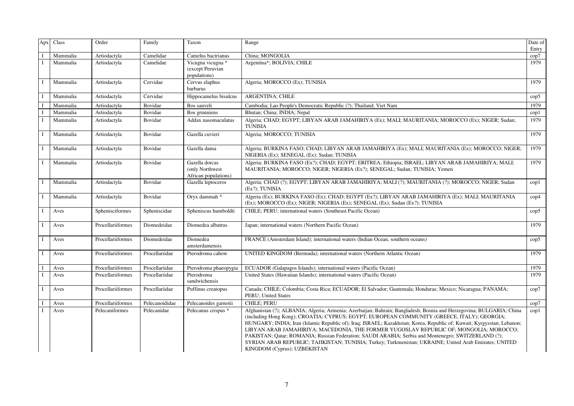| Apx            | Class    | Order             | Family         | Taxon                                                      | Range                                                                                                                                                                                                                                                                                                                                                                                                                                                                                                                                                                                                                                                                                    | Date of<br>Entry |
|----------------|----------|-------------------|----------------|------------------------------------------------------------|------------------------------------------------------------------------------------------------------------------------------------------------------------------------------------------------------------------------------------------------------------------------------------------------------------------------------------------------------------------------------------------------------------------------------------------------------------------------------------------------------------------------------------------------------------------------------------------------------------------------------------------------------------------------------------------|------------------|
| $\blacksquare$ | Mammalia | Artiodactyla      | Camelidae      | Camelus bactrianus                                         | China; MONGOLIA                                                                                                                                                                                                                                                                                                                                                                                                                                                                                                                                                                                                                                                                          | cop7             |
|                | Mammalia | Artiodactyla      | Camelidae      | Vicugna vicugna *<br>(except Peruvian<br>populations)      | Argentina*; BOLIVIA; CHILE                                                                                                                                                                                                                                                                                                                                                                                                                                                                                                                                                                                                                                                               | 1979             |
| $\mathbf I$    | Mammalia | Artiodactyla      | Cervidae       | Cervus elaphus<br>barbarus                                 | Algeria; MOROCCO (Ex); TUNISIA                                                                                                                                                                                                                                                                                                                                                                                                                                                                                                                                                                                                                                                           | 1979             |
|                | Mammalia | Artiodactyla      | Cervidae       | Hippocamelus bisulcus                                      | <b>ARGENTINA; CHILE</b>                                                                                                                                                                                                                                                                                                                                                                                                                                                                                                                                                                                                                                                                  | $\text{cop}5$    |
|                | Mammalia | Artiodactyla      | Bovidae        | Bos sauveli                                                | Cambodia; Lao People's Democratic Republic (?); Thailand; Viet Nam                                                                                                                                                                                                                                                                                                                                                                                                                                                                                                                                                                                                                       | 1979             |
|                | Mammalia | Artiodactyla      | Bovidae        | Bos grunniens                                              | Bhutan; China; INDIA; Nepal                                                                                                                                                                                                                                                                                                                                                                                                                                                                                                                                                                                                                                                              | cop1             |
|                | Mammalia | Artiodactyla      | Bovidae        | Addax nasomaculatus                                        | Algeria; CHAD; EGYPT; LIBYAN ARAB JAMAHIRIYA (Ex); MALI; MAURITANIA; MOROCCO (Ex); NIGER; Sudan;<br>TUNISIA                                                                                                                                                                                                                                                                                                                                                                                                                                                                                                                                                                              | 1979             |
|                | Mammalia | Artiodactyla      | Bovidae        | Gazella cuvieri                                            | Algeria; MOROCCO; TUNISIA                                                                                                                                                                                                                                                                                                                                                                                                                                                                                                                                                                                                                                                                | 1979             |
|                | Mammalia | Artiodactyla      | Bovidae        | Gazella dama                                               | Algeria; BURKINA FASO; CHAD; LIBYAN ARAB JAMAHIRIYA (Ex); MALI; MAURITANIA (Ex); MOROCCO; NIGER;<br>NIGERIA (Ex); SENEGAL (Ex); Sudan; TUNISIA                                                                                                                                                                                                                                                                                                                                                                                                                                                                                                                                           | 1979             |
| $\bf{I}$       | Mammalia | Artiodactyla      | Bovidae        | Gazella dorcas<br>(only Northwest)<br>African populations) | Algeria; BURKINA FASO (Ex?); CHAD; EGYPT; ERITREA; Ethiopia; ISRAEL; LIBYAN ARAB JAMAHIRIYA; MALI;<br>MAURITANIA; MOROCCO; NIGER; NIGERIA (Ex?); SENEGAL; Sudan; TUNISIA; Yemen                                                                                                                                                                                                                                                                                                                                                                                                                                                                                                          | 1979             |
|                | Mammalia | Artiodactyla      | Bovidae        | Gazella leptoceros                                         | Algeria; CHAD (?); EGYPT; LIBYAN ARAB JAMAHIRIYA; MALI (?); MAURITANIA (?); MOROCCO; NIGER; Sudan<br>(Ex?); TUNISIA                                                                                                                                                                                                                                                                                                                                                                                                                                                                                                                                                                      | $\text{cop1}$    |
| $\mathbf I$    | Mammalia | Artiodactyla      | Bovidae        | Oryx dammah *                                              | Algeria (Ex); BURKINA FASO (Ex); CHAD; EGYPT (Ex?); LIBYAN ARAB JAMAHIRIYA (Ex); MALI; MAURITANIA<br>(Ex); MOROCCO (Ex); NIGER; NIGERIA (Ex); SENEGAL (Ex); Sudan (Ex?); TUNISIA                                                                                                                                                                                                                                                                                                                                                                                                                                                                                                         | $\mathrm{cop}4$  |
| $\mathbf I$    | Aves     | Sphenisciformes   | Spheniscidae   | Spheniscus humboldti                                       | CHILE; PERU; international waters (Southeast Pacific Ocean)                                                                                                                                                                                                                                                                                                                                                                                                                                                                                                                                                                                                                              | $\text{cop}5$    |
|                | Aves     | Procellariiformes | Diomedeidae    | Diomedea albatrus                                          | Japan; international waters (Northern Pacific Ocean)                                                                                                                                                                                                                                                                                                                                                                                                                                                                                                                                                                                                                                     | 1979             |
| $\bf{I}$       | Aves     | Procellariiformes | Diomedeidae    | Diomedea<br>amsterdamensis                                 | FRANCE (Amsterdam Island); international waters (Indian Ocean, southern oceans)                                                                                                                                                                                                                                                                                                                                                                                                                                                                                                                                                                                                          | $\text{cop}5$    |
|                | Aves     | Procellariiformes | Procellariidae | Pterodroma cahow                                           | UNITED KINGDOM (Bermuda); international waters (Northern Atlantic Ocean)                                                                                                                                                                                                                                                                                                                                                                                                                                                                                                                                                                                                                 | 1979             |
|                | Aves     | Procellariiformes | Procellariidae | Pterodroma phaeopygia                                      | ECUADOR (Galapagos Islands); international waters (Pacific Ocean)                                                                                                                                                                                                                                                                                                                                                                                                                                                                                                                                                                                                                        | 1979             |
| $\mathbf{I}$   | Aves     | Procellariiformes | Procellariidae | Pterodroma<br>sandwichensis                                | United States (Hawaiian Islands); international waters (Pacific Ocean)                                                                                                                                                                                                                                                                                                                                                                                                                                                                                                                                                                                                                   | 1979             |
| $\mathbf I$    | Aves     | Procellariiformes | Procellariidae | Puffinus creatopus                                         | Canada; CHILE; Colombia; Costa Rica; ECUADOR; El Salvador; Guatemala; Honduras; Mexico; Nicaragua; PANAMA;<br>PERU; United States                                                                                                                                                                                                                                                                                                                                                                                                                                                                                                                                                        | cop7             |
|                | Aves     | Procellariiformes | Pelecanoididae | Pelecanoides garnotii                                      | <b>CHILE: PERU</b>                                                                                                                                                                                                                                                                                                                                                                                                                                                                                                                                                                                                                                                                       | cop7             |
|                | Aves     | Pelecaniformes    | Pelecanidae    | Pelecanus crispus *                                        | Afghanistan (?); ALBANIA; Algeria; Armenia; Azerbaijan; Bahrain; Bangladesh; Bosnia and Herzegovina; BULGARIA; China<br>(including Hong Kong); CROATIA; CYPRUS; EGYPT; EUROPEAN COMMUNITY (GREECE, ITALY); GEORGIA;<br>HUNGARY; INDIA; Iran (Islamic Republic of); Iraq; ISRAEL; Kazakhstan; Korea, Republic of; Kuwait; Kyrgyzstan; Lebanon;<br>LIBYAN ARAB JAMAHIRIYA; MACEDONIA, THE FORMER YUGOSLAV REPUBLIC OF; MONGOLIA; MOROCCO;<br>PAKISTAN; Qatar; ROMANIA; Russian Federation; SAUDI ARABIA; Serbia and Montenegro; SWITZERLAND (?);<br>SYRIAN ARAB REPUBLIC; TAJIKISTAN; TUNISIA; Turkey; Turkmenistan; UKRAINE; United Arab Emirates; UNITED<br>KINGDOM (Cyprus); UZBEKISTAN | $\text{cop}1$    |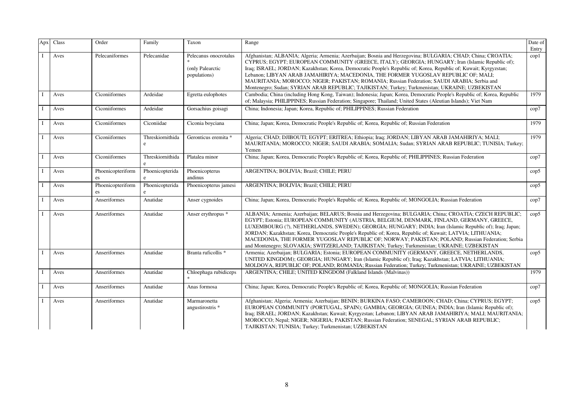| Apx | Class | Order                    | Family                | Taxon                                                     | Range                                                                                                                                                                                                                                                                                                                                                                                                                                                                                                                                                                                                                             | Date of<br>Entry |
|-----|-------|--------------------------|-----------------------|-----------------------------------------------------------|-----------------------------------------------------------------------------------------------------------------------------------------------------------------------------------------------------------------------------------------------------------------------------------------------------------------------------------------------------------------------------------------------------------------------------------------------------------------------------------------------------------------------------------------------------------------------------------------------------------------------------------|------------------|
|     | Aves  | Pelecaniformes           | Pelecanidae           | Pelecanus onocrotalus<br>(only Palearctic<br>populations) | Afghanistan; ALBANIA; Algeria; Armenia; Azerbaijan; Bosnia and Herzegovina; BULGARIA; CHAD; China; CROATIA;<br>CYPRUS; EGYPT; EUROPEAN COMMUNITY (GREECE, ITALY); GEORGIA; HUNGARY; Iran (Islamic Republic of);<br>Iraq; ISRAEL; JORDAN; Kazakhstan; Korea, Democratic People's Republic of; Korea, Republic of; Kuwait; Kyrgyzstan;<br>Lebanon; LIBYAN ARAB JAMAHIRIYA; MACEDONIA, THE FORMER YUGOSLAV REPUBLIC OF; MALI;<br>MAURITANIA; MOROCCO; NIGER; PAKISTAN; ROMANIA; Russian Federation; SAUDI ARABIA; Serbia and<br>Montenegro; Sudan; SYRIAN ARAB REPUBLIC; TAJIKISTAN; Turkey; Turkmenistan; UKRAINE; UZBEKISTAN       | cop1             |
|     | Aves  | Ciconiiformes            | Ardeidae              | Egretta eulophotes                                        | Cambodia; China (including Hong Kong, Taiwan); Indonesia; Japan; Korea, Democratic People's Republic of; Korea, Republic<br>of; Malaysia; PHILIPPINES; Russian Federation; Singapore; Thailand; United States (Aleutian Islands); Viet Nam                                                                                                                                                                                                                                                                                                                                                                                        | 1979             |
|     | Aves  | Ciconiiformes            | Ardeidae              | Gorsachius goisagi                                        | China; Indonesia; Japan; Korea, Republic of; PHILIPPINES; Russian Federation                                                                                                                                                                                                                                                                                                                                                                                                                                                                                                                                                      | cop7             |
|     | Aves  | Ciconiiformes            | Ciconiidae            | Ciconia boyciana                                          | China; Japan; Korea, Democratic People's Republic of; Korea, Republic of; Russian Federation                                                                                                                                                                                                                                                                                                                                                                                                                                                                                                                                      | 1979             |
|     | Aves  | Ciconiiformes            | Threskiornithida<br>e | Geronticus eremita *                                      | Algeria; CHAD; DJIBOUTI; EGYPT; ERITREA; Ethiopia; Iraq; JORDAN; LIBYAN ARAB JAMAHIRIYA; MALI;<br>MAURITANIA; MOROCCO; NIGER; SAUDI ARABIA; SOMALIA; Sudan; SYRIAN ARAB REPUBLIC; TUNISIA; Turkey;<br>Yemen                                                                                                                                                                                                                                                                                                                                                                                                                       | 1979             |
|     | Aves  | Ciconiiformes            | Threskiornithida<br>e | Platalea minor                                            | China; Japan; Korea, Democratic People's Republic of; Korea, Republic of; PHILIPPINES; Russian Federation                                                                                                                                                                                                                                                                                                                                                                                                                                                                                                                         | cop7             |
|     | Aves  | Phoenicopteriform<br>es  | Phoenicopterida       | Phoenicopterus<br>andinus                                 | ARGENTINA; BOLIVIA; Brazil; CHILE; PERU                                                                                                                                                                                                                                                                                                                                                                                                                                                                                                                                                                                           | $\rm cop5$       |
|     | Aves  | Phoenicopteriform<br>es. | Phoenicopterida       | Phoenicopterus jamesi                                     | ARGENTINA; BOLIVIA; Brazil; CHILE; PERU                                                                                                                                                                                                                                                                                                                                                                                                                                                                                                                                                                                           | $\rm cop5$       |
|     | Aves  | Anseriformes             | Anatidae              | Anser cygnoides                                           | China; Japan; Korea, Democratic People's Republic of; Korea, Republic of; MONGOLIA; Russian Federation                                                                                                                                                                                                                                                                                                                                                                                                                                                                                                                            | cop7             |
|     | Aves  | Anseriformes             | Anatidae              | Anser erythropus *                                        | ALBANIA; Armenia; Azerbaijan; BELARUS; Bosnia and Herzegovina; BULGARIA; China; CROATIA; CZECH REPUBLIC;<br>EGYPT; Estonia; EUROPEAN COMMUNITY (AUSTRIA, BELGIUM, DENMARK, FINLAND, GERMANY, GREECE,<br>LUXEMBOURG (?), NETHERLANDS, SWEDEN); GEORGIA; HUNGARY; INDIA; Iran (Islamic Republic of); Iraq; Japan;<br>JORDAN; Kazakhstan; Korea, Democratic People's Republic of; Korea, Republic of; Kuwait; LATVIA; LITHUANIA;<br>MACEDONIA, THE FORMER YUGOSLAV REPUBLIC OF; NORWAY; PAKISTAN; POLAND; Russian Federation; Serbia<br>and Montenegro; SLOVAKIA; SWITZERLAND; TAJIKISTAN; Turkey; Turkmenistan; UKRAINE; UZBEKISTAN | $\rm cop5$       |
|     | Aves  | Anseriformes             | Anatidae              | Branta ruficollis *                                       | Armenia; Azerbaijan; BULGARIA; Estonia; EUROPEAN COMMUNITY (GERMANY, GREECE, NETHERLANDS,<br>UNITED KINGDOM); GEORGIA; HUNGARY; Iran (Islamic Republic of); Iraq; Kazakhstan; LATVIA; LITHUANIA;<br>MOLDOVA, REPUBLIC OF; POLAND; ROMANIA; Russian Federation; Turkey; Turkmenistan; UKRAINE; UZBEKISTAN                                                                                                                                                                                                                                                                                                                          | $\rm cop5$       |
|     | Aves  | Anseriformes             | Anatidae              | Chloephaga rubidiceps                                     | ARGENTINA; CHILE; UNITED KINGDOM (Falkland Islands (Malvinas))                                                                                                                                                                                                                                                                                                                                                                                                                                                                                                                                                                    | 1979             |
|     | Aves  | Anseriformes             | Anatidae              | Anas formosa                                              | China; Japan; Korea, Democratic People's Republic of; Korea, Republic of; MONGOLIA; Russian Federation                                                                                                                                                                                                                                                                                                                                                                                                                                                                                                                            | cop7             |
|     | Aves  | Anseriformes             | Anatidae              | Marmaronetta<br>angustirostris *                          | Afghanistan; Algeria; Armenia; Azerbaijan; BENIN; BURKINA FASO; CAMEROON; CHAD; China; CYPRUS; EGYPT;<br>EUROPEAN COMMUNITY (PORTUGAL, SPAIN); GAMBIA; GEORGIA; GUINEA; INDIA; Iran (Islamic Republic of);<br>Iraq; ISRAEL; JORDAN; Kazakhstan; Kuwait; Kyrgyzstan; Lebanon; LIBYAN ARAB JAMAHIRIYA; MALI; MAURITANIA;<br>MOROCCO; Nepal; NIGER; NIGERIA; PAKISTAN; Russian Federation; SENEGAL; SYRIAN ARAB REPUBLIC;<br>TAJIKISTAN; TUNISIA; Turkey; Turkmenistan; UZBEKISTAN                                                                                                                                                   | $\rm cop5$       |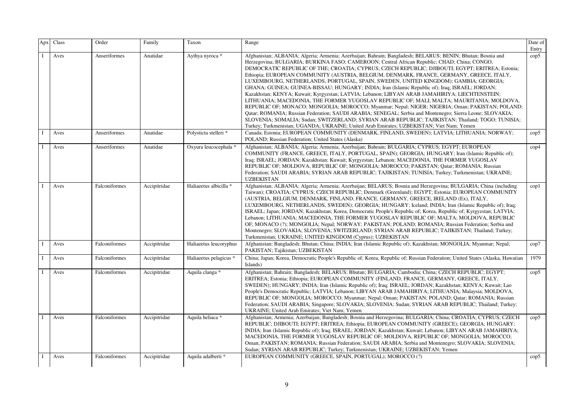| Apx          | Class | Order         | Family       | Taxon                  | Range                                                                                                                                                                                                                                                                                                                                                                                                                                                                                                                                                                                                                                                                                                                                                                                                                                                                                                                                                                                                                                                                                                                                                                                                               | Date of<br>Entry |
|--------------|-------|---------------|--------------|------------------------|---------------------------------------------------------------------------------------------------------------------------------------------------------------------------------------------------------------------------------------------------------------------------------------------------------------------------------------------------------------------------------------------------------------------------------------------------------------------------------------------------------------------------------------------------------------------------------------------------------------------------------------------------------------------------------------------------------------------------------------------------------------------------------------------------------------------------------------------------------------------------------------------------------------------------------------------------------------------------------------------------------------------------------------------------------------------------------------------------------------------------------------------------------------------------------------------------------------------|------------------|
|              | Aves  | Anseriformes  | Anatidae     | Aythya nyroca *        | Afghanistan; ALBANIA; Algeria; Armenia; Azerbaijan; Bahrain; Bangladesh; BELARUS; BENIN; Bhutan; Bosnia and<br>Herzegovina; BULGARIA; BURKINA FASO; CAMEROON; Central African Republic; CHAD; China; CONGO,<br>DEMOCRATIC REPUBLIC OF THE; CROATIA; CYPRUS; CZECH REPUBLIC; DJIBOUTI; EGYPT; ERITREA; Estonia;<br>Ethiopia; EUROPEAN COMMUNITY (AUSTRIA, BELGIUM, DENMARK, FRANCE, GERMANY, GREECE, ITALY,<br>LUXEMBOURG, NETHERLANDS, PORTUGAL, SPAIN, SWEDEN, UNITED KINGDOM); GAMBIA; GEORGIA;<br>GHANA; GUINEA; GUINEA-BISSAU; HUNGARY; INDIA; Iran (Islamic Republic of); Iraq; ISRAEL; JORDAN;<br>Kazakhstan; KENYA; Kuwait; Kyrgyzstan; LATVIA; Lebanon; LIBYAN ARAB JAMAHIRIYA; LIECHTENSTEIN;<br>LITHUANIA; MACEDONIA, THE FORMER YUGOSLAV REPUBLIC OF; MALI; MALTA; MAURITANIA; MOLDOVA,<br>REPUBLIC OF; MONACO; MONGOLIA; MOROCCO; Myanmar; Nepal; NIGER; NIGERIA; Oman; PAKISTAN; POLAND;<br>Qatar; ROMANIA; Russian Federation; SAUDI ARABIA; SENEGAL; Serbia and Montenegro; Sierra Leone; SLOVAKIA;<br>SLOVENIA; SOMALIA; Sudan; SWITZERLAND; SYRIAN ARAB REPUBLIC; TAJIKISTAN; Thailand; TOGO; TUNISIA;<br>Turkey; Turkmenistan; UGANDA; UKRAINE; United Arab Emirates; UZBEKISTAN; Viet Nam; Yemen | $\text{cop}5$    |
| $\mathbf{I}$ | Aves  | Anseriformes  | Anatidae     | Polysticta stelleri *  | Canada; Estonia; EUROPEAN COMMUNITY (DENMARK, FINLAND, SWEDEN); LATVIA; LITHUANIA; NORWAY;<br>POLAND; Russian Federation; United States (Alaska)                                                                                                                                                                                                                                                                                                                                                                                                                                                                                                                                                                                                                                                                                                                                                                                                                                                                                                                                                                                                                                                                    | $\text{cop}5$    |
|              | Aves  | Anseriformes  | Anatidae     | Oxyura leucocephala *  | Afghanistan; ALBANIA; Algeria; Armenia; Azerbaijan; Bahrain; BULGARIA; CYPRUS; EGYPT; EUROPEAN<br>COMMUNITY (FRANCE, GREECE, ITALY, PORTUGAL, SPAIN); GEORGIA; HUNGARY; Iran (Islamic Republic of);<br>Iraq; ISRAEL; JORDAN; Kazakhstan; Kuwait; Kyrgyzstan; Lebanon; MACEDONIA, THE FORMER YUGOSLAV<br>REPUBLIC OF; MOLDOVA, REPUBLIC OF; MONGOLIA; MOROCCO; PAKISTAN; Qatar; ROMANIA; Russian<br>Federation; SAUDI ARABIA; SYRIAN ARAB REPUBLIC; TAJIKISTAN; TUNISIA; Turkey; Turkmenistan; UKRAINE;<br><b>UZBEKISTAN</b>                                                                                                                                                                                                                                                                                                                                                                                                                                                                                                                                                                                                                                                                                         | $\text{cop}4$    |
|              | Aves  | Falconiformes | Accipitridae | Haliaeetus albicilla * | Afghanistan; ALBANIA; Algeria; Armenia; Azerbaijan; BELARUS; Bosnia and Herzegovina; BULGARIA; China (including<br>Taiwan); CROATIA; CYPRUS; CZECH REPUBLIC; Denmark (Greenland); EGYPT; Estonia; EUROPEAN COMMUNITY<br>(AUSTRIA, BELGIUM, DENMARK, FINLAND, FRANCE, GERMANY, GREECE, IRELAND (Ex), ITALY,<br>LUXEMBOURG, NETHERLANDS, SWEDEN); GEORGIA; HUNGARY; Iceland; INDIA; Iran (Islamic Republic of); Iraq;<br>ISRAEL; Japan; JORDAN; Kazakhstan; Korea, Democratic People's Republic of; Korea, Republic of; Kyrgyzstan; LATVIA;<br>Lebanon; LITHUANIA; MACEDONIA, THE FORMER YUGOSLAV REPUBLIC OF; MALTA; MOLDOVA, REPUBLIC<br>OF; MONACO (?); MONGOLIA; Nepal; NORWAY; PAKISTAN; POLAND; ROMANIA; Russian Federation; Serbia and<br>Montenegro; SLOVAKIA; SLOVENIA; SWITZERLAND; SYRIAN ARAB REPUBLIC; TAJIKISTAN; Thailand; Turkey;<br>Turkmenistan; UKRAINE; UNITED KINGDOM (Cyprus); UZBEKISTAN                                                                                                                                                                                                                                                                                                       | $\text{cop}1$    |
| $\mathbf{I}$ | Aves  | Falconiformes | Accipitridae | Haliaeetus leucoryphus | Afghanistan; Bangladesh; Bhutan; China; INDIA; Iran (Islamic Republic of); Kazakhstan; MONGOLIA; Myanmar; Nepal;<br>PAKISTAN; Tajikistan; UZBEKISTAN                                                                                                                                                                                                                                                                                                                                                                                                                                                                                                                                                                                                                                                                                                                                                                                                                                                                                                                                                                                                                                                                | cop7             |
| T            | Aves  | Falconiformes | Accipitridae | Haliaeetus pelagicus * | China; Japan; Korea, Democratic People's Republic of; Korea, Republic of; Russian Federation; United States (Alaska, Hawaiian<br>Islands)                                                                                                                                                                                                                                                                                                                                                                                                                                                                                                                                                                                                                                                                                                                                                                                                                                                                                                                                                                                                                                                                           | 1979             |
|              | Aves  | Falconiformes | Accipitridae | Aquila clanga *        | Afghanistan; Bahrain; Bangladesh; BELARUS; Bhutan; BULGARIA; Cambodia; China; CZECH REPUBLIC; EGYPT;<br>ERITREA; Estonia; Ethiopia; EUROPEAN COMMUNITY (FINLAND, FRANCE, GERMANY, GREECE, ITALY,<br>SWEDEN); HUNGARY; INDIA; Iran (Islamic Republic of); Iraq; ISRAEL; JORDAN; Kazakhstan; KENYA; Kuwait; Lao<br>People's Democratic Republic; LATVIA; Lebanon; LIBYAN ARAB JAMAHIRIYA; LITHUANIA; Malaysia; MOLDOVA,<br>REPUBLIC OF; MONGOLIA; MOROCCO; Myanmar; Nepal; Oman; PAKISTAN; POLAND; Qatar; ROMANIA; Russian<br>Federation; SAUDI ARABIA; Singapore; SLOVAKIA; SLOVENIA; Sudan; SYRIAN ARAB REPUBLIC; Thailand; Turkey;<br>UKRAINE; United Arab Emirates; Viet Nam; Yemen                                                                                                                                                                                                                                                                                                                                                                                                                                                                                                                               | $\text{cop}5$    |
| $\mathbf{I}$ | Aves  | Falconiformes | Accipitridae | Aquila heliaca *       | Afghanistan; Armenia; Azerbaijan; Bangladesh; Bosnia and Herzegovina; BULGARIA; China; CROATIA; CYPRUS; CZECH<br>REPUBLIC; DJIBOUTI; EGYPT; ERITREA; Ethiopia; EUROPEAN COMMUNITY (GREECE); GEORGIA; HUNGARY;<br>INDIA; Iran (Islamic Republic of); Iraq; ISRAEL; JORDAN; Kazakhstan; Kuwait; Lebanon; LIBYAN ARAB JAMAHIRIYA;<br>MACEDONIA, THE FORMER YUGOSLAV REPUBLIC OF; MOLDOVA, REPUBLIC OF; MONGOLIA; MOROCCO;<br>Oman; PAKISTAN; ROMANIA; Russian Federation; SAUDI ARABIA; Serbia and Montenegro; SLOVAKIA; SLOVENIA;<br>Sudan; SYRIAN ARAB REPUBLIC; Turkey; Turkmenistan; UKRAINE; UZBEKISTAN; Yemen                                                                                                                                                                                                                                                                                                                                                                                                                                                                                                                                                                                                    | $\rm cop5$       |
| $\bf{I}$     | Aves  | Falconiformes | Accipitridae | Aquila adalberti *     | EUROPEAN COMMUNITY (GREECE, SPAIN, PORTUGAL); MOROCCO (?)                                                                                                                                                                                                                                                                                                                                                                                                                                                                                                                                                                                                                                                                                                                                                                                                                                                                                                                                                                                                                                                                                                                                                           | $\text{cop}5$    |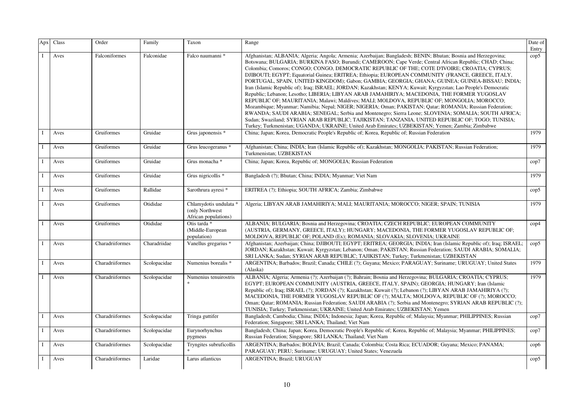| Apx          | Class | Order           | Family       | Taxon                                                             | Range                                                                                                                                                                                                                                                                                                                                                                                                                                                                                                                                                                                                                                                                                                                                                                                                                                                                                                                                                                                                                                                                                                                                                                                                                                                                        | Date of<br>Entry |
|--------------|-------|-----------------|--------------|-------------------------------------------------------------------|------------------------------------------------------------------------------------------------------------------------------------------------------------------------------------------------------------------------------------------------------------------------------------------------------------------------------------------------------------------------------------------------------------------------------------------------------------------------------------------------------------------------------------------------------------------------------------------------------------------------------------------------------------------------------------------------------------------------------------------------------------------------------------------------------------------------------------------------------------------------------------------------------------------------------------------------------------------------------------------------------------------------------------------------------------------------------------------------------------------------------------------------------------------------------------------------------------------------------------------------------------------------------|------------------|
|              | Aves  | Falconiformes   | Falconidae   | Falco naumanni *                                                  | Afghanistan; ALBANIA; Algeria; Angola; Armenia; Azerbaijan; Bangladesh; BENIN; Bhutan; Bosnia and Herzegovina;<br>Botswana; BULGARIA; BURKINA FASO; Burundi; CAMEROON; Cape Verde; Central African Republic; CHAD; China;<br>Colombia; Comoros; CONGO; CONGO, DEMOCRATIC REPUBLIC OF THE; COTE D'IVOIRE; CROATIA; CYPRUS;<br>DJIBOUTI; EGYPT; Equatorial Guinea; ERITREA; Ethiopia; EUROPEAN COMMUNITY (FRANCE, GREECE, ITALY,<br>PORTUGAL, SPAIN, UNITED KINGDOM); Gabon; GAMBIA; GEORGIA; GHANA; GUINEA; GUINEA-BISSAU; INDIA;<br>Iran (Islamic Republic of); Iraq; ISRAEL; JORDAN; Kazakhstan; KENYA; Kuwait; Kyrgyzstan; Lao People's Democratic<br>Republic; Lebanon; Lesotho; LIBERIA; LIBYAN ARAB JAMAHIRIYA; MACEDONIA, THE FORMER YUGOSLAV<br>REPUBLIC OF; MAURITANIA; Malawi; Maldives; MALI; MOLDOVA, REPUBLIC OF; MONGOLIA; MOROCCO;<br>Mozambique; Myanmar; Namibia; Nepal; NIGER; NIGERIA; Oman; PAKISTAN; Qatar; ROMANIA; Russian Federation;<br>RWANDA; SAUDI ARABIA; SENEGAL; Serbia and Montenegro; Sierra Leone; SLOVENIA; SOMALIA; SOUTH AFRICA;<br>Sudan; Swaziland; SYRIAN ARAB REPUBLIC; TAJIKISTAN; TANZANIA, UNITED REPUBLIC OF; TOGO; TUNISIA;<br>Turkey; Turkmenistan; UGANDA; UKRAINE; United Arab Emirates; UZBEKISTAN; Yemen; Zambia; Zimbabwe | $\rm cop 5$      |
|              | Aves  | Gruiformes      | Gruidae      | Grus japonensis *                                                 | China; Japan; Korea, Democratic People's Republic of; Korea, Republic of; Russian Federation                                                                                                                                                                                                                                                                                                                                                                                                                                                                                                                                                                                                                                                                                                                                                                                                                                                                                                                                                                                                                                                                                                                                                                                 | 1979             |
| $\bf{I}$     | Aves  | Gruiformes      | Gruidae      | Grus leucogeranus *                                               | Afghanistan; China; INDIA; Iran (Islamic Republic of); Kazakhstan; MONGOLIA; PAKISTAN; Russian Federation;<br>Turkmenistan; UZBEKISTAN                                                                                                                                                                                                                                                                                                                                                                                                                                                                                                                                                                                                                                                                                                                                                                                                                                                                                                                                                                                                                                                                                                                                       | 1979             |
| $\bf{I}$     | Aves  | Gruiformes      | Gruidae      | Grus monacha *                                                    | China; Japan; Korea, Republic of; MONGOLIA; Russian Federation                                                                                                                                                                                                                                                                                                                                                                                                                                                                                                                                                                                                                                                                                                                                                                                                                                                                                                                                                                                                                                                                                                                                                                                                               | cop7             |
| $\mathbf{I}$ | Aves  | Gruiformes      | Gruidae      | Grus nigricollis *                                                | Bangladesh (?); Bhutan; China; INDIA; Myanmar; Viet Nam                                                                                                                                                                                                                                                                                                                                                                                                                                                                                                                                                                                                                                                                                                                                                                                                                                                                                                                                                                                                                                                                                                                                                                                                                      | 1979             |
| $\mathbf{I}$ | Aves  | Gruiformes      | Rallidae     | Sarothrura ayresi *                                               | ERITREA (?); Ethiopia; SOUTH AFRICA; Zambia; Zimbabwe                                                                                                                                                                                                                                                                                                                                                                                                                                                                                                                                                                                                                                                                                                                                                                                                                                                                                                                                                                                                                                                                                                                                                                                                                        | $\text{cop}5$    |
|              | Aves  | Gruiformes      | Otididae     | Chlamydotis undulata *<br>(only Northwest<br>African populations) | Algeria; LIBYAN ARAB JAMAHIRIYA; MALI; MAURITANIA; MOROCCO; NIGER; SPAIN; TUNISIA                                                                                                                                                                                                                                                                                                                                                                                                                                                                                                                                                                                                                                                                                                                                                                                                                                                                                                                                                                                                                                                                                                                                                                                            | 1979             |
| $\bf{I}$     | Aves  | Gruiformes      | Otididae     | Otis tarda *<br>(Middle-European<br>population)                   | ALBANIA; BULGARIA; Bosnia and Herzegovina; CROATIA; CZECH REPUBLIC; EUROPEAN COMMUNITY<br>(AUSTRIA, GERMANY, GREECE, ITALY); HUNGARY; MACEDONIA, THE FORMER YUGOSLAV REPUBLIC OF;<br>MOLDOVA, REPUBLIC OF; POLAND (Ex); ROMANIA; SLOVAKIA; SLOVENIA; UKRAINE                                                                                                                                                                                                                                                                                                                                                                                                                                                                                                                                                                                                                                                                                                                                                                                                                                                                                                                                                                                                                 | $\mathrm{cop}4$  |
| $\mathbf{I}$ | Aves  | Charadriiformes | Charadriidae | Vanellus gregarius *                                              | Afghanistan; Azerbaijan; China; DJIBOUTI; EGYPT; ERITREA; GEORGIA; INDIA; Iran (Islamic Republic of); Iraq; ISRAEL;<br>JORDAN; Kazakhstan; Kuwait; Kyrgyzstan; Lebanon; Oman; PAKISTAN; Russian Federation; SAUDI ARABIA; SOMALIA;<br>SRI LANKA; Sudan; SYRIAN ARAB REPUBLIC; TAJIKISTAN; Turkey; Turkmenistan; UZBEKISTAN                                                                                                                                                                                                                                                                                                                                                                                                                                                                                                                                                                                                                                                                                                                                                                                                                                                                                                                                                   | $\rm cop 5$      |
| <sup>1</sup> | Aves  | Charadriiformes | Scolopacidae | Numenius borealis *                                               | ARGENTINA; Barbados; Brazil; Canada; CHILE (?); Guyana; Mexico; PARAGUAY; Suriname; URUGUAY; United States<br>(Alaska)                                                                                                                                                                                                                                                                                                                                                                                                                                                                                                                                                                                                                                                                                                                                                                                                                                                                                                                                                                                                                                                                                                                                                       | 1979             |
| $\mathbf{I}$ | Aves  | Charadriiformes | Scolopacidae | Numenius tenuirostris                                             | ALBANIA; Algeria; Armenia (?); Azerbaijan (?); Bahrain; Bosnia and Herzegovina; BULGARIA; CROATIA; CYPRUS;<br>EGYPT; EUROPEAN COMMUNITY (AUSTRIA, GREECE, ITALY, SPAIN); GEORGIA; HUNGARY; Iran (Islamic<br>Republic of); Iraq; ISRAEL (?); JORDAN (?); Kazakhstan; Kuwait (?); Lebanon (?); LIBYAN ARAB JAMAHIRIYA (?);<br>MACEDONIA, THE FORMER YUGOSLAV REPUBLIC OF (?); MALTA; MOLDOVA, REPUBLIC OF (?); MOROCCO;<br>Oman; Qatar; ROMANIA; Russian Federation; SAUDI ARABIA (?); Serbia and Montenegro; SYRIAN ARAB REPUBLIC (?);<br>TUNISIA; Turkey; Turkmenistan; UKRAINE; United Arab Emirates; UZBEKISTAN; Yemen                                                                                                                                                                                                                                                                                                                                                                                                                                                                                                                                                                                                                                                     | 1979             |
|              | Aves  | Charadriiformes | Scolopacidae | Tringa guttifer                                                   | Bangladesh; Cambodia; China; INDIA; Indonesia; Japan; Korea, Republic of; Malaysia; Myanmar; PHILIPPINES; Russian<br>Federation; Singapore; SRI LANKA; Thailand; Viet Nam                                                                                                                                                                                                                                                                                                                                                                                                                                                                                                                                                                                                                                                                                                                                                                                                                                                                                                                                                                                                                                                                                                    | cop7             |
| - 1          | Aves  | Charadriiformes | Scolopacidae | Eurynorhynchus<br>pygmeus                                         | Bangladesh; China; Japan; Korea, Democratic People's Republic of; Korea, Republic of; Malaysia; Myanmar; PHILIPPINES;<br>Russian Federation; Singapore; SRI LANKA; Thailand; Viet Nam                                                                                                                                                                                                                                                                                                                                                                                                                                                                                                                                                                                                                                                                                                                                                                                                                                                                                                                                                                                                                                                                                        | cop7             |
| $\mathbf{I}$ | Aves  | Charadriiformes | Scolopacidae | Tryngites subruficollis<br>sk.                                    | ARGENTINA; Barbados; BOLIVIA; Brazil; Canada; Colombia; Costa Rica; ECUADOR; Guyana; Mexico; PANAMA;<br>PARAGUAY; PERU; Suriname; URUGUAY; United States; Venezuela                                                                                                                                                                                                                                                                                                                                                                                                                                                                                                                                                                                                                                                                                                                                                                                                                                                                                                                                                                                                                                                                                                          | $\rm cop6$       |
|              | Aves  | Charadriiformes | Laridae      | Larus atlanticus                                                  | ARGENTINA; Brazil; URUGUAY                                                                                                                                                                                                                                                                                                                                                                                                                                                                                                                                                                                                                                                                                                                                                                                                                                                                                                                                                                                                                                                                                                                                                                                                                                                   | $\text{cop}5$    |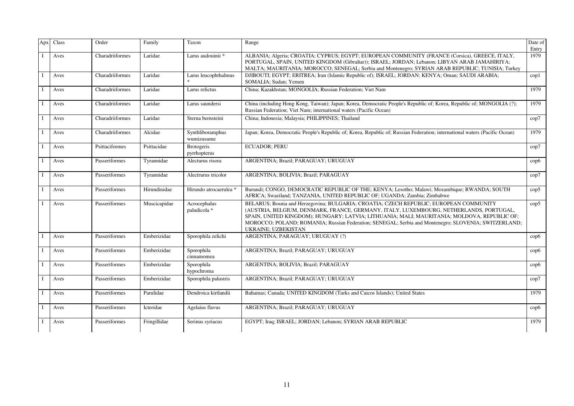| Apx | Class | Order           | Family       | Taxon                             | Range                                                                                                                                                                                                                                                                                                                                                                                                          | Date of<br>Entry |
|-----|-------|-----------------|--------------|-----------------------------------|----------------------------------------------------------------------------------------------------------------------------------------------------------------------------------------------------------------------------------------------------------------------------------------------------------------------------------------------------------------------------------------------------------------|------------------|
|     | Aves  | Charadriiformes | Laridae      | Larus audouinii *                 | ALBANIA; Algeria; CROATIA; CYPRUS; EGYPT; EUROPEAN COMMUNITY (FRANCE (Corsica), GREECE, ITALY,<br>PORTUGAL, SPAIN, UNITED KINGDOM (Gibraltar)); ISRAEL; JORDAN; Lebanon; LIBYAN ARAB JAMAHIRIYA;<br>MALTA; MAURITANIA; MOROCCO; SENEGAL; Serbia and Montenegro; SYRIAN ARAB REPUBLIC; TUNISIA; Turkey                                                                                                          | 1979             |
|     | Aves  | Charadriiformes | Laridae      | Larus leucophthalmus              | DJIBOUTI; EGYPT; ERITREA; Iran (Islamic Republic of); ISRAEL; JORDAN; KENYA; Oman; SAUDI ARABIA;<br>SOMALIA; Sudan; Yemen                                                                                                                                                                                                                                                                                      | $\text{cop}1$    |
|     | Aves  | Charadriiformes | Laridae      | Larus relictus                    | China; Kazakhstan; MONGOLIA; Russian Federation; Viet Nam                                                                                                                                                                                                                                                                                                                                                      | 1979             |
|     | Aves  | Charadriiformes | Laridae      | Larus saundersi                   | China (including Hong Kong, Taiwan); Japan; Korea, Democratic People's Republic of; Korea, Republic of; MONGOLIA (?);<br>Russian Federation; Viet Nam; international waters (Pacific Ocean)                                                                                                                                                                                                                    | 1979             |
|     | Aves  | Charadriiformes | Laridae      | Sterna bernsteini                 | China; Indonesia; Malaysia; PHILIPPINES; Thailand                                                                                                                                                                                                                                                                                                                                                              | $\rm cop7$       |
|     | Aves  | Charadriiformes | Alcidae      | Synthliboramphus<br>wumizusume    | Japan; Korea, Democratic People's Republic of; Korea, Republic of; Russian Federation; international waters (Pacific Ocean)                                                                                                                                                                                                                                                                                    | 1979             |
|     | Aves  | Psittaciformes  | Psittacidae  | <b>Brotogeris</b><br>pyrrhopterus | <b>ECUADOR</b> ; PERU                                                                                                                                                                                                                                                                                                                                                                                          | cop7             |
|     | Aves  | Passeriformes   | Tyrannidae   | Alecturus risora                  | ARGENTINA; Brazil; PARAGUAY; URUGUAY                                                                                                                                                                                                                                                                                                                                                                           | $\rm cop6$       |
|     | Aves  | Passeriformes   | Tyrannidae   | Alectrurus tricolor               | ARGENTINA; BOLIVIA; Brazil; PARAGUAY                                                                                                                                                                                                                                                                                                                                                                           | cop7             |
|     | Aves  | Passeriformes   | Hirundinidae | Hirundo atrocaerulea *            | Burundi; CONGO, DEMOCRATIC REPUBLIC OF THE; KENYA; Lesotho; Malawi; Mozambique; RWANDA; SOUTH<br>AFRICA; Swaziland; TANZANIA, UNITED REPUBLIC OF; UGANDA; Zambia; Zimbabwe                                                                                                                                                                                                                                     | $\rm cop5$       |
|     | Aves  | Passeriformes   | Muscicapidae | Acrocephalus<br>paludicola *      | BELARUS; Bosnia and Herzegovina; BULGARIA; CROATIA; CZECH REPUBLIC; EUROPEAN COMMUNITY<br>(AUSTRIA, BELGIUM, DENMARK, FRANCE, GERMANY, ITALY, LUXEMBOURG, NETHERLANDS, PORTUGAL,<br>SPAIN, UNITED KINGDOM); HUNGARY; LATVIA; LITHUANIA; MALI; MAURITANIA; MOLDOVA, REPUBLIC OF;<br>MOROCCO; POLAND; ROMANIA; Russian Federation; SENEGAL; Serbia and Montenegro; SLOVENIA; SWITZERLAND;<br>UKRAINE; UZBEKISTAN | $\rm cop5$       |
|     | Aves  | Passeriformes   | Emberizidae  | Sporophila zelichi                | ARGENTINA; PARAGUAY; URUGUAY (?)                                                                                                                                                                                                                                                                                                                                                                               | $\rm cop6$       |
|     | Aves  | Passeriformes   | Emberizidae  | Sporophila<br>cinnamomea          | ARGENTINA; Brazil; PARAGUAY; URUGUAY                                                                                                                                                                                                                                                                                                                                                                           | $\rm cop6$       |
|     | Aves  | Passeriformes   | Emberizidae  | Sporophila<br>hypochroma          | ARGENTINA; BOLIVIA; Brazil; PARAGUAY                                                                                                                                                                                                                                                                                                                                                                           | $\rm cop6$       |
|     | Aves  | Passeriformes   | Emberizidae  | Sporophila palustris              | ARGENTINA; Brazil; PARAGUAY; URUGUAY                                                                                                                                                                                                                                                                                                                                                                           | cop7             |
|     | Aves  | Passeriformes   | Parulidae    | Dendroica kirtlandii              | Bahamas; Canada; UNITED KINGDOM (Turks and Caicos Islands); United States                                                                                                                                                                                                                                                                                                                                      | 1979             |
|     | Aves  | Passeriformes   | Icteridae    | Agelaius flavus                   | ARGENTINA; Brazil; PARAGUAY; URUGUAY                                                                                                                                                                                                                                                                                                                                                                           | $\rm cop6$       |
|     | Aves  | Passeriformes   | Fringillidae | Serinus syriacus                  | EGYPT; Iraq; ISRAEL; JORDAN; Lebanon; SYRIAN ARAB REPUBLIC                                                                                                                                                                                                                                                                                                                                                     | 1979             |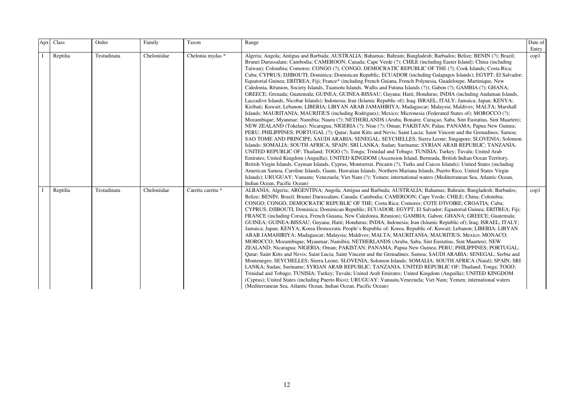| Apx | Class    | Order       | Family      | Taxon             | Range                                                                                                                                                                                                                                                                                                                                                                                                                                                                                                                                                                                                                                                                                                                                                                                                                                                                                                                                                                                                                                                                                                                                                                                                                                                                                                                                                                                                                                                                                                                                                                                                                                                                                                                                                                                                                                                                                                                                                                                                                                                                                                                                                                                                                                                                                                                                                                                                                    | Date of<br>Entry |
|-----|----------|-------------|-------------|-------------------|--------------------------------------------------------------------------------------------------------------------------------------------------------------------------------------------------------------------------------------------------------------------------------------------------------------------------------------------------------------------------------------------------------------------------------------------------------------------------------------------------------------------------------------------------------------------------------------------------------------------------------------------------------------------------------------------------------------------------------------------------------------------------------------------------------------------------------------------------------------------------------------------------------------------------------------------------------------------------------------------------------------------------------------------------------------------------------------------------------------------------------------------------------------------------------------------------------------------------------------------------------------------------------------------------------------------------------------------------------------------------------------------------------------------------------------------------------------------------------------------------------------------------------------------------------------------------------------------------------------------------------------------------------------------------------------------------------------------------------------------------------------------------------------------------------------------------------------------------------------------------------------------------------------------------------------------------------------------------------------------------------------------------------------------------------------------------------------------------------------------------------------------------------------------------------------------------------------------------------------------------------------------------------------------------------------------------------------------------------------------------------------------------------------------------|------------------|
|     | Reptilia | Testudinata | Cheloniidae | Chelonia mydas *  | Algeria; Angola; Antigua and Barbuda; AUSTRALIA; Bahamas; Bahrain; Bangladesh; Barbados; Belize; BENIN (?); Brazil;<br>Brunei Darussalam; Cambodia; CAMEROON; Canada; Cape Verde (?); CHILE (including Easter Island); China (including<br>Taiwan); Colombia; Comoros; CONGO (?); CONGO, DEMOCRATIC REPUBLIC OF THE (?); Cook Islands; Costa Rica;<br>Cuba; CYPRUS; DJIBOUTI; Dominica; Dominican Republic; ECUADOR (including Galapagos Islands); EGYPT; El Salvador;<br>Equatorial Guinea; ERITREA; Fiji; France* (including French Guiana, French Polynesia, Guadeloupe, Martinique, New<br>Caledonia, Réunion, Society Islands, Tuamotu Islands, Wallis and Futuna Islands (?)); Gabon (?); GAMBIA (?); GHANA;<br>GREECE; Grenada; Guatemala; GUINEA; GUINEA-BISSAU; Guyana; Haiti; Honduras; INDIA (including Andaman Islands,<br>Laccadive Islands, Nicobar Islands); Indonesia; Iran (Islamic Republic of); Iraq; ISRAEL; ITALY; Jamaica; Japan; KENYA;<br>Kiribati; Kuwait; Lebanon; LIBERIA; LIBYAN ARAB JAMAHIRIYA; Madagascar; Malaysia; Maldives; MALTA; Marshall<br>Islands; MAURITANIA; MAURITIUS (including Rodrigues); Mexico; Micronesia (Federated States of); MOROCCO (?);<br>Mozambique; Myanmar; Namibia; Nauru (?); NETHERLANDS (Aruba, Bonaire, Curaçao, Saba, Sint Eustatius, Sint Maarten);<br>NEW ZEALAND (Tokelau); Nicaragua; NIGERIA (?); Niue (?); Oman; PAKISTAN; Palau; PANAMA; Papua New Guinea;<br>PERU; PHILIPPINES; PORTUGAL (?); Qatar; Saint Kitts and Nevis; Saint Lucia; Saint Vincent and the Grenadines; Samoa;<br>SAO TOME AND PRINCIPE; SAUDI ARABIA; SENEGAL; SEYCHELLES; Sierra Leone; Singapore; SLOVENIA; Solomon<br>Islands; SOMALIA; SOUTH AFRICA; SPAIN; SRI LANKA; Sudan; Suriname; SYRIAN ARAB REPUBLIC; TANZANIA,<br>UNITED REPUBLIC OF; Thailand; TOGO (?); Tonga; Trinidad and Tobago; TUNISIA; Turkey; Tuvalu; United Arab<br>Emirates; United Kingdom (Anguilla); UNITED KINGDOM (Ascension Island, Bermuda, British Indian Ocean Territory,<br>British Virgin Islands, Cayman Islands, Cyprus, Montserrat, Pitcairn (?), Turks and Caicos Islands); United States (including<br>American Samoa, Caroline Islands, Guam, Hawaiian Islands, Northern Mariana Islands, Puerto Rico, United States Virgin<br>Islands); URUGUAY; Vanuatu; Venezuela; Viet Nam (?); Yemen; international waters (Mediterranean Sea, Atlantic Ocean,<br>Indian Ocean, Pacific Ocean) | $\text{cop}1$    |
|     | Reptilia | Testudinata | Cheloniidae | Caretta caretta * | ALBANIA; Algeria; ARGENTINA; Angola; Antigua and Barbuda; AUSTRALIA; Bahamas; Bahrain; Bangladesh; Barbados;<br>Belize; BENIN; Brazil; Brunei Darussalam; Canada; Cambodia; CAMEROON; Cape Verde; CHILE; China; Colombia;<br>CONGO; CONGO, DEMOCRATIC REPUBLIC OF THE; Costa Rica; Comores; COTE D'IVOIRE; CROATIA; Cuba;<br>CYPRUS; DJIBOUTI; Dominica; Dominican Republic; ECUADOR; EGYPT; El Salvador; Equatorial Guinea; ERITREA; Fiji;<br>FRANCE (including Corsica, French Guiana, New Caledonia, Réunion); GAMBIA; Gabon; GHANA; GREECE; Guatemala;<br>GUINEA; GUINEA-BISSAU; Guyana; Haiti; Honduras; INDIA; Indonesia; Iran (Islamic Republic of); Iraq; ISRAEL; ITALY;<br>Jamaica; Japan; KENYA; Korea Democratic People's Republic of; Korea, Republic of; Kuwait; Lebanon; LIBERIA; LIBYAN<br>ARAB JAMAHIRIYA; Madagascar; Malaysia; Maldives; MALTA; MAURITANIA; MAURITIUS; Mexico; MONACO;<br>MOROCCO; Mozambique; Myanmar; Namibia; NETHERLANDS (Aruba, Saba, Sint Eustatius, Sint Maarten); NEW<br>ZEALAND; Nicaragua; NIGERIA; Oman; PAKISTAN; PANAMA; Papua New Guinea; PERU; PHILIPPINES; PORTUGAL;<br>Qatar; Saint Kitts and Nevis; Saint Lucia; Saint Vincent and the Grenadines; Samoa; SAUDI ARABIA; SENEGAL; Serbia and<br>Montenegro; SEYCHELLES; Sierra Leone; SLOVENIA; Solomon Islands; SOMALIA; SOUTH AFRICA (Natal); SPAIN; SRI<br>LANKA; Sudan; Suriname; SYRIAN ARAB REPUBLIC; TANZANIA, UNITED REPUBLIC OF; Thailand; Tonga; TOGO;<br>Trinidad and Tobago; TUNISIA; Turkey; Tuvalu; United Arab Emirates; United Kingdom (Anguilla); UNITED KINGDOM<br>(Cyprus); United States (including Puerto Rico); URUGUAY; Vanuatu, Venezuela; Viet Nam; Yemen; international waters<br>(Mediterranean Sea, Atlantic Ocean, Indian Ocean, Pacific Ocean)                                                                                                                                                                                                                                                                                                                                                                                                                                                                                                                                                                                                                                          | $\text{cop}1$    |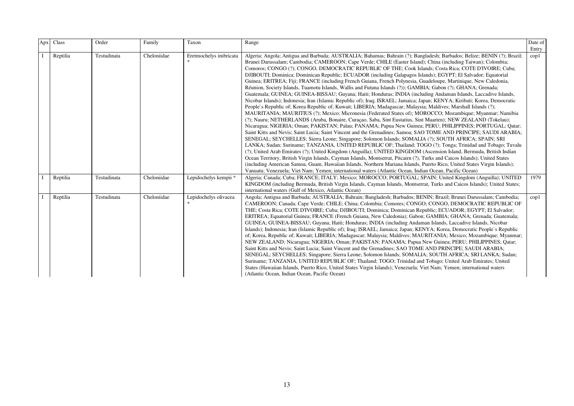| Apx | Class    | Order       | Family      | Taxon                  | Range                                                                                                                                                                                                                                                                                                                                                                                                                                                                                                                                                                                                                                                                                                                                                                                                                                                                                                                                                                                                                                                                                                                                                                                                                                                                                                                                                                                                                                                                                                                                                                                                                                                                                                                                                                                                                                                                                                                                                                                                                                                                                                                                                                                                                                                           | Date of<br>Entry |
|-----|----------|-------------|-------------|------------------------|-----------------------------------------------------------------------------------------------------------------------------------------------------------------------------------------------------------------------------------------------------------------------------------------------------------------------------------------------------------------------------------------------------------------------------------------------------------------------------------------------------------------------------------------------------------------------------------------------------------------------------------------------------------------------------------------------------------------------------------------------------------------------------------------------------------------------------------------------------------------------------------------------------------------------------------------------------------------------------------------------------------------------------------------------------------------------------------------------------------------------------------------------------------------------------------------------------------------------------------------------------------------------------------------------------------------------------------------------------------------------------------------------------------------------------------------------------------------------------------------------------------------------------------------------------------------------------------------------------------------------------------------------------------------------------------------------------------------------------------------------------------------------------------------------------------------------------------------------------------------------------------------------------------------------------------------------------------------------------------------------------------------------------------------------------------------------------------------------------------------------------------------------------------------------------------------------------------------------------------------------------------------|------------------|
|     | Reptilia | Testudinata | Cheloniidae | Eretmochelys imbricata | Algeria; Angola; Antigua and Barbuda; AUSTRALIA; Bahamas; Bahrain (?); Bangladesh; Barbados; Belize; BENIN (?); Brazil;<br>Brunei Darussalam; Cambodia; CAMEROON; Cape Verde; CHILE (Easter Island); China (including Taiwan); Colombia;<br>Comoros; CONGO (?); CONGO, DEMOCRATIC REPUBLIC OF THE; Cook Islands; Costa Rica; COTE D'IVOIRE; Cuba;<br>DJIBOUTI; Dominica; Dominican Republic; ECUADOR (including Galapagos Islands); EGYPT; El Salvador; Equatorial<br>Guinea; ERITREA; Fiji; FRANCE (including French Guiana, French Polynesia, Guadeloupe, Martinique, New Caledonia,<br>Réunion, Society Islands, Tuamotu Islands, Wallis and Futuna Islands (?)); GAMBIA; Gabon (?); GHANA; Grenada;<br>Guatemala; GUINEA; GUINEA-BISSAU; Guyana; Haiti; Honduras; INDIA (including Andaman Islands, Laccadive Islands,<br>Nicobar Islands); Indonesia; Iran (Islamic Republic of); Iraq; ISRAEL; Jamaica; Japan; KENYA; Kiribati; Korea, Democratic<br>People's Republic of; Korea Republic of; Kuwait; LIBERIA; Madagascar; Malaysia; Maldives; Marshall Islands (?);<br>MAURITANIA; MAURITIUS (?); Mexico; Micronesia (Federated States of); MOROCCO; Mozambique; Myanmar; Namibia<br>(?); Nauru; NETHERLANDS (Aruba, Bonaire, Curaçao, Saba, Sint Eustatius, Sint Maarten); NEW ZEALAND (Tokelau);<br>Nicaragua; NIGERIA; Oman; PAKISTAN; Palau; PANAMA; Papua New Guinea; PERU; PHILIPPINES; PORTUGAL; Qatar;<br>Saint Kitts and Nevis; Saint Lucia; Saint Vincent and the Grenadines; Samoa; SAO TOME AND PRINCIPE; SAUDI ARABIA;<br>SENEGAL; SEYCHELLES; Sierra Leone; Singapore; Solomon Islands; SOMALIA (?); SOUTH AFRICA; SPAIN; SRI<br>LANKA; Sudan; Suriname; TANZANIA, UNITED REPUBLIC OF; Thailand; TOGO (?); Tonga; Trinidad and Tobago; Tuvalu<br>(?); United Arab Emirates (?); United Kingdom (Anguilla); UNITED KINGDOM (Ascension Island, Bermuda, British Indian<br>Ocean Territory, British Virgin Islands, Cayman Islands, Montserrat, Pitcairn (?), Turks and Caicos Islands); United States<br>(including American Samoa, Guam, Hawaiian Islands, Northern Mariana Islands, Puerto Rico, United States Virgin Islands);<br>Vanuatu; Venezuela; Viet Nam; Yemen; international waters (Atlantic Ocean, Indian Ocean, Pacific Ocean) | $\text{cop}1$    |
|     | Reptilia | Testudinata | Cheloniidae | Lepidochelys kempii *  | Algeria; Canada; Cuba; FRANCE; ITALY; Mexico; MOROCCO; PORTUGAL; SPAIN; United Kingdom (Anguilla); UNITED<br>KINGDOM (including Bermuda, British Virgin Islands, Cayman Islands, Montserrat, Turks and Caicos Islands); United States;<br>international waters (Gulf of Mexico, Atlantic Ocean)                                                                                                                                                                                                                                                                                                                                                                                                                                                                                                                                                                                                                                                                                                                                                                                                                                                                                                                                                                                                                                                                                                                                                                                                                                                                                                                                                                                                                                                                                                                                                                                                                                                                                                                                                                                                                                                                                                                                                                 | 1979             |
|     | Reptilia | Testudinata | Cheloniidae | Lepidochelys olivacea  | Angola; Antigua and Barbuda; AUSTRALIA; Bahrain; Bangladesh; Barbados; BENIN; Brazil; Brunei Darussalam; Cambodia;<br>CAMEROON; Canada; Cape Verde; CHILE; China; Colombia; Comores; CONGO; CONGO, DEMOCRATIC REPUBLIC OF<br>THE; Costa Rica; COTE D'IVOIRE; Cuba; DJIBOUTI; Dominica; Dominican Republic; ECUADOR; EGYPT; El Salvador;<br>ERITREA; Equatorial Guinea; FRANCE (French Guiana, New Caledonia); Gabon; GAMBIA; GHANA; Grenada; Guatemala;<br>GUINEA; GUINEA-BISSAU; Guyana; Haiti; Honduras; INDIA (including Andaman Islands, Laccadive Islands, Nicobar<br>Islands); Indonesia; Iran (Islamic Republic of); Iraq; ISRAEL; Jamaica; Japan; KENYA; Korea, Democratic People's Republic<br>of; Korea, Republic of; Kuwait; LIBERIA; Madagascar; Malaysia; Maldives; MAURITANIA; Mexico; Mozambique; Myanmar;<br>NEW ZEALAND; Nicaragua; NIGERIA; Oman; PAKISTAN; PANAMA; Papua New Guinea; PERU; PHILIPPINES; Qatar;<br>Saint Kitts and Nevis; Saint Lucia; Saint Vincent and the Grenadines; SAO TOME AND PRINCIPE; SAUDI ARABIA;<br>SENEGAL; SEYCHELLES; Singapore; Sierra Leone; Solomon Islands; SOMALIA; SOUTH AFRICA; SRI LANKA; Sudan;<br>Suriname; TANZANIA, UNITED REPUBLIC OF; Thailand; TOGO; Trinidad and Tobago; United Arab Emirates; United<br>States (Hawaiian Islands, Puerto Rico, United States Virgin Islands); Venezuela; Viet Nam; Yemen; international waters<br>(Atlantic Ocean, Indian Ocean, Pacific Ocean)                                                                                                                                                                                                                                                                                                                                                                                                                                                                                                                                                                                                                                                                                                                                                                                                              | $\text{cop}1$    |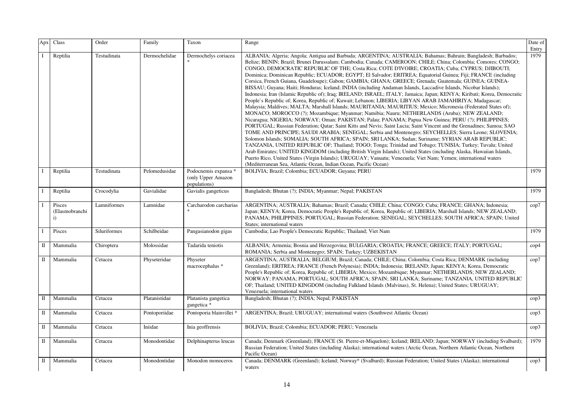| Apx          | Class                                  | Order        | Family        | Taxon                                                      | Range                                                                                                                                                                                                                                                                                                                                                                                                                                                                                                                                                                                                                                                                                                                                                                                                                                                                                                                                                                                                                                                                                                                                                                                                                                                                                                                                                                                                                                                                                                                                                                                                                                                                                                                                                                                                                                                                                                                                                                                                         | Date of<br>Entry |
|--------------|----------------------------------------|--------------|---------------|------------------------------------------------------------|---------------------------------------------------------------------------------------------------------------------------------------------------------------------------------------------------------------------------------------------------------------------------------------------------------------------------------------------------------------------------------------------------------------------------------------------------------------------------------------------------------------------------------------------------------------------------------------------------------------------------------------------------------------------------------------------------------------------------------------------------------------------------------------------------------------------------------------------------------------------------------------------------------------------------------------------------------------------------------------------------------------------------------------------------------------------------------------------------------------------------------------------------------------------------------------------------------------------------------------------------------------------------------------------------------------------------------------------------------------------------------------------------------------------------------------------------------------------------------------------------------------------------------------------------------------------------------------------------------------------------------------------------------------------------------------------------------------------------------------------------------------------------------------------------------------------------------------------------------------------------------------------------------------------------------------------------------------------------------------------------------------|------------------|
|              | Reptilia                               | Testudinata  | Dermochelidae | Dermochelys coriacea                                       | ALBANIA; Algeria; Angola; Antigua and Barbuda; ARGENTINA; AUSTRALIA; Bahamas; Bahrain; Bangladesh; Barbados;<br>Belize; BENIN; Brazil; Brunei Darussalam; Cambodia; Canada; CAMEROON; CHILE; China; Colombia; Comores; CONGO;<br>CONGO, DEMOCRATIC REPUBLIC OF THE; Costa Rica; COTE D'IVOIRE; CROATIA; Cuba; CYPRUS; DJIBOUTI;<br>Dominica; Dominican Republic; ECUADOR; EGYPT; El Salvador; ERITREA; Equatorial Guinea; Fiji; FRANCE (including<br>Corsica, French Guiana, Guadeloupe); Gabon; GAMBIA; GHANA; GREECE; Grenada; Guatemala; GUINEA; GUINEA-<br>BISSAU; Guyana; Haiti; Honduras; Iceland; INDIA (including Andaman Islands, Laccadive Islands, Nicobar Islands);<br>Indonesia; Iran (Islamic Republic of); Iraq; IRELAND; ISRAEL; ITALY; Jamaica; Japan; KENYA; Kiribati; Korea, Democratic<br>People's Republic of; Korea, Republic of; Kuwait; Lebanon; LIBERIA; LIBYAN ARAB JAMAHIRIYA; Madagascar;<br>Malaysia; Maldives; MALTA; Marshall Islands; MAURITANIA; MAURITIUS; Mexico; Micronesia (Federated States of);<br>MONACO; MOROCCO (?); Mozambique; Myanmar; Namibia; Nauru; NETHERLANDS (Aruba); NEW ZEALAND;<br>Nicaragua; NIGERIA; NORWAY; Oman; PAKISTAN; Palau; PANAMA; Papua New Guinea; PERU (?); PHILIPPINES;<br>PORTUGAL; Russian Federation; Qatar; Saint Kitts and Nevis; Saint Lucia; Saint Vincent and the Grenadines; Samoa; SAO<br>TOME AND PRINCIPE; SAUDI ARABIA; SENEGAL; Serbia and Montenegro; SEYCHELLES; Sierra Leone; SLOVENIA;<br>Solomon Islands; SOMALIA; SOUTH AFRICA; SPAIN; SRI LANKA; Sudan; Suriname; SYRIAN ARAB REPUBLIC;<br>TANZANIA, UNITED REPUBLIC OF; Thailand; TOGO; Tonga; Trinidad and Tobago; TUNISIA; Turkey; Tuvalu; United<br>Arab Emirates; UNITED KINGDOM (including British Virgin Islands); United States (including Alaska, Hawaiian Islands,<br>Puerto Rico, United States (Virgin Islands); URUGUAY; Vanuatu; Venezuela; Viet Nam; Yemen; international waters<br>(Mediterranean Sea, Atlantic Ocean, Indian Ocean, Pacific Ocean) | 1979             |
| $\bf{I}$     | Reptilia                               | Testudinata  | Pelomedusidae | Podocnemis expansa *<br>(only Upper Amazon<br>populations) | BOLIVIA; Brazil; Colombia; ECUADOR; Guyana; PERU                                                                                                                                                                                                                                                                                                                                                                                                                                                                                                                                                                                                                                                                                                                                                                                                                                                                                                                                                                                                                                                                                                                                                                                                                                                                                                                                                                                                                                                                                                                                                                                                                                                                                                                                                                                                                                                                                                                                                              | 1979             |
|              | Reptilia                               | Crocodylia   | Gavialidae    | Gavialis gangeticus                                        | Bangladesh; Bhutan (?); INDIA; Myanmar; Nepal; PAKISTAN                                                                                                                                                                                                                                                                                                                                                                                                                                                                                                                                                                                                                                                                                                                                                                                                                                                                                                                                                                                                                                                                                                                                                                                                                                                                                                                                                                                                                                                                                                                                                                                                                                                                                                                                                                                                                                                                                                                                                       | 1979             |
|              | Pisces<br>(Elasmobranchi<br>$\ddot{i}$ | Lamniformes  | Lamnidae      | Carcharodon carcharias                                     | ARGENTINA; AUSTRALIA; Bahamas; Brazil; Canada; CHILE; China; CONGO; Cuba; FRANCE; GHANA; Indonesia;<br>Japan; KENYA; Korea, Democratic People's Republic of; Korea, Republic of; LIBERIA; Marshall Islands; NEW ZEALAND;<br>PANAMA; PHILIPPINES; PORTUGAL; Russian Federation; SENEGAL; SEYCHELLES; SOUTH AFRICA; SPAIN; United<br>States; international waters                                                                                                                                                                                                                                                                                                                                                                                                                                                                                                                                                                                                                                                                                                                                                                                                                                                                                                                                                                                                                                                                                                                                                                                                                                                                                                                                                                                                                                                                                                                                                                                                                                               | cop7             |
|              | Pisces                                 | Siluriformes | Schilbeidae   | Pangasianodon gigas                                        | Cambodia; Lao People's Democratic Republic; Thailand; Viet Nam                                                                                                                                                                                                                                                                                                                                                                                                                                                                                                                                                                                                                                                                                                                                                                                                                                                                                                                                                                                                                                                                                                                                                                                                                                                                                                                                                                                                                                                                                                                                                                                                                                                                                                                                                                                                                                                                                                                                                | 1979             |
| Π            | Mammalia                               | Chiroptera   | Molossidae    | Tadarida teniotis                                          | ALBANIA; Armenia; Bosnia and Herzegovina; BULGARIA; CROATIA; FRANCE; GREECE; ITALY; PORTUGAL;<br>ROMANIA; Serbia and Montenegro; SPAIN; Turkey; UZBEKISTAN                                                                                                                                                                                                                                                                                                                                                                                                                                                                                                                                                                                                                                                                                                                                                                                                                                                                                                                                                                                                                                                                                                                                                                                                                                                                                                                                                                                                                                                                                                                                                                                                                                                                                                                                                                                                                                                    | $\rm cop 4$      |
| Π            | Mammalia                               | Cetacea      | Physeteridae  | Physeter<br>macrocephalus *                                | ARGENTINA; AUSTRALIA; BELGIUM; Brazil; Canada; CHILE; China; Colombia; Costa Rica; DENMARK (including<br>Greenland); ERITREA; FRANCE (French Polynesia); INDIA; Indonesia; IRELAND; Japan; KENYA; Korea, Democratic<br>People's Republic of; Korea, Republic of; LIBERIA; Mexico; Mozambique; Myanmar; NETHERLANDS; NEW ZEALAND;<br>NORWAY; PANAMA; PORTUGAL; SOUTH AFRICA; SPAIN; SRI LANKA; Suriname; TANZANIA, UNITED REPUBLIC<br>OF; Thailand; UNITED KINGDOM (including Falkland Islands (Malvinas), St. Helena); United States; URUGUAY;<br>Venezuela; international waters                                                                                                                                                                                                                                                                                                                                                                                                                                                                                                                                                                                                                                                                                                                                                                                                                                                                                                                                                                                                                                                                                                                                                                                                                                                                                                                                                                                                                             | cop7             |
| П            | Mammalia                               | Cetacea      | Platanistidae | Platanista gangetica<br>gangetica *                        | Bangladesh; Bhutan (?); INDIA; Nepal; PAKISTAN                                                                                                                                                                                                                                                                                                                                                                                                                                                                                                                                                                                                                                                                                                                                                                                                                                                                                                                                                                                                                                                                                                                                                                                                                                                                                                                                                                                                                                                                                                                                                                                                                                                                                                                                                                                                                                                                                                                                                                | $\rm cop3$       |
| $\mathbf{I}$ | Mammalia                               | Cetacea      | Pontoporiidae | Pontoporia blainvillei *                                   | ARGENTINA; Brazil; URUGUAY; international waters (Southwest Atlantic Ocean)                                                                                                                                                                                                                                                                                                                                                                                                                                                                                                                                                                                                                                                                                                                                                                                                                                                                                                                                                                                                                                                                                                                                                                                                                                                                                                                                                                                                                                                                                                                                                                                                                                                                                                                                                                                                                                                                                                                                   | cop3             |
| $\mathbf{I}$ | Mammalia                               | Cetacea      | Iniidae       | Inia geoffrensis                                           | BOLIVIA; Brazil; Colombia; ECUADOR; PERU; Venezuela                                                                                                                                                                                                                                                                                                                                                                                                                                                                                                                                                                                                                                                                                                                                                                                                                                                                                                                                                                                                                                                                                                                                                                                                                                                                                                                                                                                                                                                                                                                                                                                                                                                                                                                                                                                                                                                                                                                                                           | cop3             |
| П            | Mammalia                               | Cetacea      | Monodontidae  | Delphinapterus leucas                                      | Canada; Denmark (Greenland); FRANCE (St. Pierre-et-Miquelon); Iceland; IRELAND; Japan; NORWAY (including Svalbard);<br>Russian Federation; United States (including Alaska); international waters (Arctic Ocean, Northern Atlantic Ocean, Northern<br>Pacific Ocean)                                                                                                                                                                                                                                                                                                                                                                                                                                                                                                                                                                                                                                                                                                                                                                                                                                                                                                                                                                                                                                                                                                                                                                                                                                                                                                                                                                                                                                                                                                                                                                                                                                                                                                                                          | 1979             |
| П            | Mammalia                               | Cetacea      | Monodontidae  | Monodon monoceros                                          | Canada; DENMARK (Greenland); Iceland; Norway* (Svalbard); Russian Federation; United States (Alaska); international<br>waters                                                                                                                                                                                                                                                                                                                                                                                                                                                                                                                                                                                                                                                                                                                                                                                                                                                                                                                                                                                                                                                                                                                                                                                                                                                                                                                                                                                                                                                                                                                                                                                                                                                                                                                                                                                                                                                                                 | $\rm cop3$       |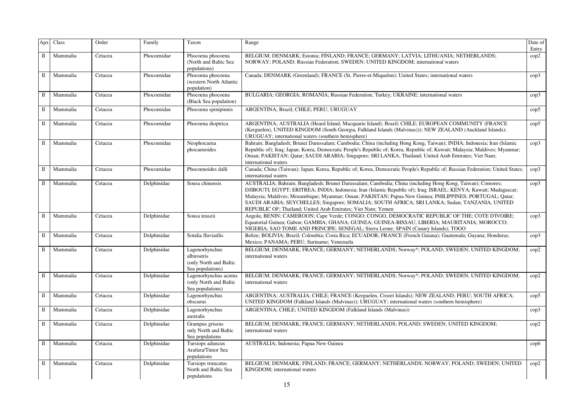| Apx         | Class    | Order   | Family      | Taxon                                                                       | Range                                                                                                                                                                                                                                                                                                                                                                                                                                                                                                        | Date of<br>Entry |
|-------------|----------|---------|-------------|-----------------------------------------------------------------------------|--------------------------------------------------------------------------------------------------------------------------------------------------------------------------------------------------------------------------------------------------------------------------------------------------------------------------------------------------------------------------------------------------------------------------------------------------------------------------------------------------------------|------------------|
| $\rm II$    | Mammalia | Cetacea | Phocoenidae | Phocoena phocoena<br>(North and Baltic Sea<br>populations)                  | BELGIUM; DENMARK; Estonia; FINLAND; FRANCE; GERMANY; LATVIA; LITHUANIA; NETHERLANDS;<br>NORWAY; POLAND; Russian Federation; SWEDEN; UNITED KINGDOM; international waters                                                                                                                                                                                                                                                                                                                                     | cop2             |
| П           | Mammalia | Cetacea | Phocoenidae | Phocoena phocoena<br>(western North Atlantic<br>population)                 | Canada; DENMARK (Greenland); FRANCE (St. Pierre-et-Miquelon); United States; international waters                                                                                                                                                                                                                                                                                                                                                                                                            | $\text{cop3}$    |
| П           | Mammalia | Cetacea | Phocoenidae | Phocoena phocoena<br>(Black Sea population)                                 | BULGARIA; GEORGIA; ROMANIA; Russian Federation; Turkey; UKRAINE; international waters                                                                                                                                                                                                                                                                                                                                                                                                                        | $\text{cop3}$    |
| П           | Mammalia | Cetacea | Phocoenidae | Phocoena spinipinnis                                                        | ARGENTINA; Brazil; CHILE; PERU; URUGUAY                                                                                                                                                                                                                                                                                                                                                                                                                                                                      | $\text{cop}5$    |
| П           | Mammalia | Cetacea | Phocoenidae | Phocoena dioptrica                                                          | ARGENTINA; AUSTRALIA (Heard Island, Macquarie Island); Brazil; CHILE; EUROPEAN COMMUNITY (FRANCE<br>(Kerguelen), UNITED KINGDOM (South Georgia, Falkland Islands (Malvinas))); NEW ZEALAND (Auckland Islands);<br>URUGUAY; international waters (southern hemisphere)                                                                                                                                                                                                                                        | $\text{cop}5$    |
| П           | Mammalia | Cetacea | Phocoenidae | Neophocaena<br>phocaenoides                                                 | Bahrain; Bangladesh; Brunei Darussalam; Cambodia; China (including Hong Kong, Taiwan); INDIA; Indonesia; Iran (Islamic<br>Republic of); Iraq; Japan; Korea, Democratic People's Republic of; Korea, Republic of; Kuwait; Malaysia; Maldives; Myanmar;<br>Oman; PAKISTAN; Qatar; SAUDI ARABIA; Singapore; SRI LANKA; Thailand; United Arab Emirates; Viet Nam;<br>international waters                                                                                                                        | $\text{cop3}$    |
| $\mathbf I$ | Mammalia | Cetacea | Phocoenidae | Phocoenoides dalli                                                          | Canada; China (Taiwan); Japan; Korea, Republic of; Korea, Democratic People's Republic of; Russian Federation; United States;<br>international waters                                                                                                                                                                                                                                                                                                                                                        | cop3             |
| $\rm II$    | Mammalia | Cetacea | Delphinidae | Sousa chinensis                                                             | AUSTRALIA; Bahrain; Bangladesh; Brunei Darussalam; Cambodia; China (including Hong Kong, Taiwan); Comores;<br>DJIBOUTI; EGYPT; ERITREA; INDIA; Indonesia; Iran (Islamic Republic of); Iraq; ISRAEL; KENYA; Kuwait; Madagascar;<br>Malaysia; Maldives; Mozambique; Myanmar; Oman; PAKISTAN; Papua New Guinea; PHILIPPINES; PORTUGAL; Oatar;<br>SAUDI ARABIA; SEYCHELLES; Singapore; SOMALIA; SOUTH AFRICA; SRI LANKA; Sudan; TANZANIA, UNITED<br>REPUBLIC OF; Thailand; United Arab Emirates; Viet Nam; Yemen | cop3             |
| П           | Mammalia | Cetacea | Delphinidae | Sousa teuszii                                                               | Angola; BENIN; CAMEROON; Cape Verde; CONGO; CONGO, DEMOCRATIC REPUBLIC OF THE; COTE D'IVOIRE;<br>Equatorial Guinea; Gabon; GAMBIA; GHANA; GUINEA; GUINEA-BISSAU; LIBERIA; MAURITANIA; MOROCCO;<br>NIGERIA; SAO TOME AND PRINCIPE; SENEGAL; Sierra Leone; SPAIN (Canary Islands); TOGO                                                                                                                                                                                                                        | $\text{cop3}$    |
| П           | Mammalia | Cetacea | Delphinidae | Sotalia fluviatilis                                                         | Belize; BOLIVIA; Brazil; Colombia; Costa Rica; ECUADOR; FRANCE (French Guiana); Guatemala; Guyana; Honduras;<br>Mexico; PANAMA; PERU; Suriname; Venezuela                                                                                                                                                                                                                                                                                                                                                    | $\text{cop3}$    |
| П           | Mammalia | Cetacea | Delphinidae | Lagenorhynchus<br>albirostris<br>(only North and Baltic<br>Sea populations) | BELGIUM; DENMARK; FRANCE; GERMANY; NETHERLANDS; Norway*; POLAND; SWEDEN; UNITED KINGDOM;<br>international waters                                                                                                                                                                                                                                                                                                                                                                                             | cop2             |
| П           | Mammalia | Cetacea | Delphinidae | Lagenorhynchus acutus<br>(only North and Baltic<br>Sea populations)         | BELGIUM; DENMARK; FRANCE; GERMANY; NETHERLANDS; Norway*; POLAND; SWEDEN; UNITED KINGDOM;<br>international waters                                                                                                                                                                                                                                                                                                                                                                                             | cop2             |
| П           | Mammalia | Cetacea | Delphinidae | Lagenorhynchus<br>obscurus                                                  | ARGENTINA; AUSTRALIA; CHILE; FRANCE (Kerguelen, Crozet Islands); NEW ZEALAND; PERU; SOUTH AFRICA;<br>UNITED KINGDOM (Falkland Islands (Malvinas)); URUGUAY; international waters (southern hemisphere)                                                                                                                                                                                                                                                                                                       | $\text{cop}5$    |
| $\rm II$    | Mammalia | Cetacea | Delphinidae | Lagenorhynchus<br>australis                                                 | ARGENTINA; CHILE; UNITED KINGDOM (Falkland Islands (Malvinas))                                                                                                                                                                                                                                                                                                                                                                                                                                               | cop3             |
| П           | Mammalia | Cetacea | Delphinidae | Grampus griseus<br>only North and Baltic<br>Sea populations                 | BELGIUM; DENMARK; FRANCE; GERMANY; NETHERLANDS; POLAND; SWEDEN; UNITED KINGDOM;<br>international waters                                                                                                                                                                                                                                                                                                                                                                                                      | cop2             |
| П           | Mammalia | Cetacea | Delphinidae | Tursiops aduncus<br>Arafura/Timor Sea<br>populations                        | AUSTRALIA; Indonesia; Papua New Guinea                                                                                                                                                                                                                                                                                                                                                                                                                                                                       | $\rm cop6$       |
| П           | Mammalia | Cetacea | Delphinidae | Tursiops truncatus<br>North and Baltic Sea<br>populations                   | BELGIUM; DENMARK; FINLAND; FRANCE; GERMANY; NETHERLANDS; NORWAY; POLAND; SWEDEN; UNITED<br>KINGDOM: international waters                                                                                                                                                                                                                                                                                                                                                                                     | cop2             |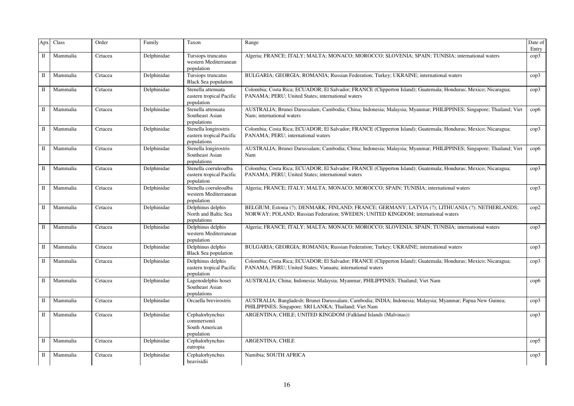| Apx          | Class    | Order   | Family      | Taxon                                                            | Range                                                                                                                                                                                | Date of<br>Entry |
|--------------|----------|---------|-------------|------------------------------------------------------------------|--------------------------------------------------------------------------------------------------------------------------------------------------------------------------------------|------------------|
| $\mathbb{I}$ | Mammalia | Cetacea | Delphinidae | Tursiops truncatus<br>western Mediterranean<br>population        | Algeria; FRANCE; ITALY; MALTA; MONACO; MOROCCO; SLOVENIA; SPAIN; TUNISIA; international waters                                                                                       | cop3             |
| П            | Mammalia | Cetacea | Delphinidae | Tursiops truncatus<br><b>Black Sea population</b>                | BULGARIA; GEORGIA; ROMANIA; Russian Federation; Turkey; UKRAINE; international waters                                                                                                | cop3             |
| П            | Mammalia | Cetacea | Delphinidae | Stenella attenuata<br>eastern tropical Pacific<br>population     | Colombia; Costa Rica; ECUADOR; El Salvador; FRANCE (Clipperton Island); Guatemala; Honduras; Mexico; Nicaragua;<br>PANAMA; PERU; United States; international waters                 | cop3             |
| П            | Mammalia | Cetacea | Delphinidae | Stenella attenuata<br>Southeast Asian<br>populations             | AUSTRALIA; Brunei Darussalam; Cambodia; China; Indonesia; Malaysia; Myanmar; PHILIPPINES; Singapore; Thailand; Viet<br>Nam; international waters                                     | $\rm cop6$       |
| П            | Mammalia | Cetacea | Delphinidae | Stenella longirostris<br>eastern tropical Pacific<br>populations | Colombia; Costa Rica; ECUADOR; El Salvador; FRANCE (Clipperton Island); Guatemala; Honduras; Mexico; Nicaragua;<br>PANAMA; PERU; international waters                                | cop3             |
| П            | Mammalia | Cetacea | Delphinidae | Stenella longirostris<br>Southeast Asian<br>populations          | AUSTRALIA; Brunei Darussalam; Cambodia; China; Indonesia; Malaysia; Myanmar; PHILIPPINES; Singapore; Thailand; Viet<br>Nam                                                           | $\rm cop6$       |
| П            | Mammalia | Cetacea | Delphinidae | Stenella coeruleoalba<br>eastern tropical Pacific<br>population  | Colombia; Costa Rica; ECUADOR; El Salvador; FRANCE (Clipperton Island); Guatemala; Honduras; Mexico; Nicaragua;<br>PANAMA; PERU; United States; international waters                 | cop3             |
| П            | Mammalia | Cetacea | Delphinidae | Stenella coeruleoalba<br>western Mediterranean<br>population     | Algeria; FRANCE; ITALY; MALTA; MONACO; MOROCCO; SPAIN; TUNISIA; international waters                                                                                                 | $\rm cop3$       |
| П            | Mammalia | Cetacea | Delphinidae | Delphinus delphis<br>North and Baltic Sea<br>populations         | BELGIUM; Estonia (?); DENMARK; FINLAND; FRANCE; GERMANY; LATVIA (?); LITHUANIA (?); NETHERLANDS;<br>NORWAY; POLAND; Russian Federation; SWEDEN; UNITED KINGDOM; international waters | cop2             |
| $\rm II$     | Mammalia | Cetacea | Delphinidae | Delphinus delphis<br>western Mediterranean<br>population         | Algeria; FRANCE; ITALY; MALTA; MONACO; MOROCCO; SLOVENIA; SPAIN; TUNISIA; international waters                                                                                       | $\rm cop3$       |
| $\mathbf{I}$ | Mammalia | Cetacea | Delphinidae | Delphinus delphis<br><b>Black Sea population</b>                 | BULGARIA; GEORGIA; ROMANIA; Russian Federation; Turkey; UKRAINE; international waters                                                                                                | cop3             |
| П            | Mammalia | Cetacea | Delphinidae | Delphinus delphis<br>eastern tropical Pacific<br>population      | Colombia; Costa Rica; ECUADOR; El Salvador; FRANCE (Clipperton Island); Guatemala; Honduras; Mexico; Nicaragua;<br>PANAMA; PERU; United States; Vanuatu; international waters        | cop3             |
| П            | Mammalia | Cetacea | Delphinidae | Lagenodelphis hosei<br>Southeast Asian<br>populations            | AUSTRALIA; China; Indonesia; Malaysia; Myanmar; PHILIPPINES; Thailand; Viet Nam                                                                                                      | $\rm cop6$       |
| П            | Mammalia | Cetacea | Delphinidae | Orcaella brevirostris                                            | AUSTRALIA; Bangladesh; Brunei Darussalam; Cambodia; INDIA; Indonesia; Malaysia; Myanmar; Papua New Guinea;<br>PHILIPPINES; Singapore; SRI LANKA; Thailand; Viet Nam                  | cop3             |
| П            | Mammalia | Cetacea | Delphinidae | Cephalorhynchus<br>commersonii<br>South American<br>population   | ARGENTINA; CHILE; UNITED KINGDOM (Falkland Islands (Malvinas))                                                                                                                       | cop3             |
| П            | Mammalia | Cetacea | Delphinidae | Cephalorhynchus<br>eutropia                                      | <b>ARGENTINA; CHILE</b>                                                                                                                                                              | $\rm cop5$       |
| $\mathbf I$  | Mammalia | Cetacea | Delphinidae | Cephalorhynchus<br>heavisidii                                    | Namibia; SOUTH AFRICA                                                                                                                                                                | $\text{cop3}$    |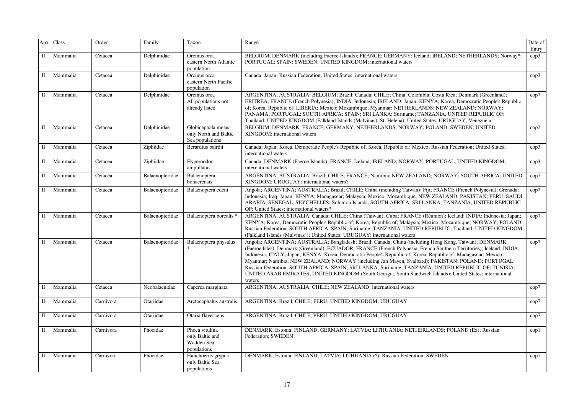| Apx          | Class    | Order     | Family          | Taxon                                                          | Range                                                                                                                                                                                                                                                                                                                                                                                                                                                                                                                                                                                                                                                                                    | Date of<br>Entry |
|--------------|----------|-----------|-----------------|----------------------------------------------------------------|------------------------------------------------------------------------------------------------------------------------------------------------------------------------------------------------------------------------------------------------------------------------------------------------------------------------------------------------------------------------------------------------------------------------------------------------------------------------------------------------------------------------------------------------------------------------------------------------------------------------------------------------------------------------------------------|------------------|
| $\mathbf I$  | Mammalia | Cetacea   | Delphinidae     | Orcinus orca<br>eastern North Atlantic<br>population           | BELGIUM; DENMARK (including Faeroe Islands); FRANCE; GERMANY; Iceland; IRELAND; NETHERLANDS; Norway*;<br>PORTUGAL; SPAIN; SWEDEN; UNITED KINGDOM; international waters                                                                                                                                                                                                                                                                                                                                                                                                                                                                                                                   | $\text{cop3}$    |
| $\rm II$     | Mammalia | Cetacea   | Delphinidae     | Orcinus orca<br>eastern North Pacific<br>population            | Canada; Japan; Russian Federation; United States; international waters                                                                                                                                                                                                                                                                                                                                                                                                                                                                                                                                                                                                                   | $\rm cop3$       |
| $\mathbf I$  | Mammalia | Cetacea   | Delphinidae     | Orcinus orca<br>All populations not<br>already listed          | ARGENTINA; AUSTRALIA; BELGIUM; Brazil; Canada; CHILE; China; Colombia; Costa Rica; Denmark (Greenland);<br>ERITREA; FRANCE (French Polynesia); INDIA; Indonesia; IRELAND; Japan; KENYA; Korea, Democratic People's Republic<br>of; Korea, Republic of; LIBERIA; Mexico; Mozambique; Myanmar; NETHERLANDS; NEW ZEALAND; NORWAY;<br>PANAMA; PORTUGAL; SOUTH AFRICA; SPAIN; SRI LANKA; Suriname; TANZANIA, UNITED REPUBLIC OF;<br>Thailand; UNITED KINGDOM (Falkland Islands (Malvinas), St. Helena); United States; URUGUAY; Venezuela                                                                                                                                                     | cop7             |
| П            | Mammalia | Cetacea   | Delphinidae     | Globicephala melas<br>only North and Baltic<br>Sea populations | BELGIUM; DENMARK; FRANCE; GERMANY; NETHERLANDS; NORWAY; POLAND; SWEDEN; UNITED<br>KINGDOM; international waters                                                                                                                                                                                                                                                                                                                                                                                                                                                                                                                                                                          | $\text{cop2}$    |
| $\rm II$     | Mammalia | Cetacea   | Ziphiidae       | Berardius bairdii                                              | Canada; Japan; Korea, Democratic People's Republic of; Korea, Republic of; Mexico; Russian Federation; United States;<br>international waters                                                                                                                                                                                                                                                                                                                                                                                                                                                                                                                                            | $\text{cop3}$    |
| $\rm II$     | Mammalia | Cetacea   | Ziphiidae       | Hyperoodon<br>ampullatus                                       | Canada; DENMARK (Faeroe Islands); FRANCE; Iceland; IRELAND; NORWAY; PORTUGAL; UNITED KINGDOM;<br>international waters                                                                                                                                                                                                                                                                                                                                                                                                                                                                                                                                                                    | cop3             |
| $\rm II$     | Mammalia | Cetacea   | Balaenopteridae | Balaenoptera<br>bonaerensis                                    | ARGENTINA; AUSTRALIA; Brazil; CHILE; FRANCE; Namibia; NEW ZEALAND; NORWAY; SOUTH AFRICA; UNITED<br>KINGDOM; URUGUAY; international waters?                                                                                                                                                                                                                                                                                                                                                                                                                                                                                                                                               | cop7             |
| $\mathbf I$  | Mammalia | Cetacea   | Balaenopteridae | Balaenoptera edeni                                             | Angola; ARGENTINA; AUSTRALIA; Brazil; CHILE; China (including Taiwan); Fiji; FRANCE (French Polynesia); Grenada;<br>Indonesia; Iraq; Japan; KENYA; Madagascar; Malaysia; Mexico; Mozambique; NEW ZEALAND; PAKISTAN; PERU; SAUDI<br>ARABIA; SENEGAL; SEYCHELLES; Solomon Islands; SOUTH AFRICA; SRI LANKA; TANZANIA, UNITED REPUBLIC<br>OF; United States; international waters?                                                                                                                                                                                                                                                                                                          | cop7             |
| $\mathbf I$  | Mammalia | Cetacea   | Balaenopteridae | Balaenoptera borealis *                                        | ARGENTINA; AUSTRALIA; Canada; CHILE; China (Taiwan); Cuba; FRANCE (Réunion); Iceland; INDIA; Indonesia; Japan;<br>KENYA; Korea, Democratic People's Republic of; Korea, Republic of; Malaysia; Mexico; Mozambique; NORWAY; POLAND;<br>Russian Federation; SOUTH AFRICA; SPAIN; Suriname; TANZANIA, UNITED REPUBLIC; Thailand; UNITED KINGDOM<br>(Falkland Islands (Malvinas)); United States; URUGUAY; international waters                                                                                                                                                                                                                                                              | cop7             |
| $\mathbf I$  | Mammalia | Cetacea   | Balaenopteridae | Balaenoptera physalus                                          | Angola; ARGENTINA; AUSTRALIA; Bangladesh; Brazil; Canada; China (including Hong Kong, Taiwan); DENMARK<br>(Faeroe Isles); Denmark (Greenland); ECUADOR; FRANCE (French Polynesia, French Southern Territories); Iceland; INDIA;<br>Indonesia; ITALY; Japan; KENYA; Korea, Democratic People's Republic of; Korea, Republic of; Madagascar; Mexico;<br>Myanmar; Namibia; NEW ZEALAND; NORWAY (including Jan Mayen, Svalbard); PAKISTAN; POLAND; PORTUGAL;<br>Russian Federation; SOUTH AFRICA; SPAIN; SRI LANKA; Suriname; TANZANIA, UNITED REPUBLIC OF; TUNISIA;<br>UNITED ARAB EMIRATES; UNITED KINGDOM (South Georgia, South Sandwich Islands); United States; international<br>waters | cop7             |
| $\mathbf{I}$ | Mammalia | Cetacea   | Neobalaenidae   | Caperea marginata                                              | ARGENTINA; AUSTRALIA; CHILE; NEW ZEALAND; international waters                                                                                                                                                                                                                                                                                                                                                                                                                                                                                                                                                                                                                           | cop7             |
| $\mathbf I$  | Mammalia | Carnivora | Otariidae       | Arctocephalus australis                                        | ARGENTINA; Brazil; CHILE; PERU; UNITED KINGDOM; URUGUAY                                                                                                                                                                                                                                                                                                                                                                                                                                                                                                                                                                                                                                  | cop7             |
| $\mathbf I$  | Mammalia | Carnivora | Otariidae       | Otaria flavescens                                              | ARGENTINA; Brazil; CHILE; PERU; UNITED KINGDOM; URUGUAY                                                                                                                                                                                                                                                                                                                                                                                                                                                                                                                                                                                                                                  | cop7             |
| $\rm II$     | Mammalia | Carnivora | Phocidae        | Phoca vitulina<br>only Baltic and<br>Wadden Sea<br>populations | DENMARK; Estonia; FINLAND; GERMANY; LATVIA; LITHUANIA; NETHERLANDS; POLAND (Ex); Russian<br>Federation; SWEDEN                                                                                                                                                                                                                                                                                                                                                                                                                                                                                                                                                                           | $\text{cop}1$    |
| $\rm II$     | Mammalia | Carnivora | Phocidae        | Halichoerus grypus<br>only Baltic Sea<br>populations           | DENMARK; Estonia; FINLAND; LATVIA; LITHUANIA (?); Russian Federation; SWEDEN                                                                                                                                                                                                                                                                                                                                                                                                                                                                                                                                                                                                             | $\text{cop}1$    |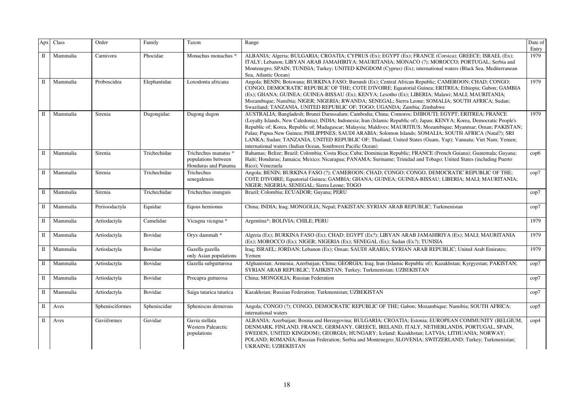| Apx          | Class    | Order           | Family       | Taxon                                                              | Range                                                                                                                                                                                                                                                                                                                                                                                                                                                                                                                                                                                                                                          | Date of<br>Entry |
|--------------|----------|-----------------|--------------|--------------------------------------------------------------------|------------------------------------------------------------------------------------------------------------------------------------------------------------------------------------------------------------------------------------------------------------------------------------------------------------------------------------------------------------------------------------------------------------------------------------------------------------------------------------------------------------------------------------------------------------------------------------------------------------------------------------------------|------------------|
| $\mathbb{I}$ | Mammalia | Carnivora       | Phocidae     | Monachus monachus '                                                | ALBANIA; Algeria; BULGARIA; CROATIA; CYPRUS (Ex); EGYPT (Ex); FRANCE (Corsica); GREECE; ISRAEL (Ex);<br>ITALY; Lebanon; LIBYAN ARAB JAMAHIRIYA; MAURITANIA; MONACO (?); MOROCCO; PORTUGAL; Serbia and<br>Montenegro; SPAIN; TUNISIA; Turkey; UNITED KINGDOM (Cyprus) (Ex); international waters (Black Sea, Mediterranean<br>Sea, Atlantic Ocean)                                                                                                                                                                                                                                                                                              | 1979             |
| П            | Mammalia | Proboscidea     | Elephantidae | Loxodonta africana                                                 | Angola; BENIN; Botswana; BURKINA FASO; Burundi (Ex); Central African Republic; CAMEROON; CHAD; CONGO;<br>CONGO, DEMOCRATIC REPUBLIC OF THE; COTE D'IVOIRE: Equatorial Guinea; ERITREA; Ethiopia; Gabon; GAMBIA<br>(Ex); GHANA; GUINEA; GUINEA-BISSAU (Ex); KENYA; Lesotho (Ex); LIBERIA; Malawi; MALI; MAURITANIA;<br>Mozambique; Namibia; NIGER; NIGERIA; RWANDA; SENEGAL; Sierra Leone; SOMALIA; SOUTH AFRICA; Sudan;<br>Swaziland; TANZANIA, UNITED REPUBLIC OF; TOGO; UGANDA; Zambia; Zimbabwe                                                                                                                                             | 1979             |
| П            | Mammalia | Sirenia         | Dugongidae   | Dugong dugon                                                       | AUSTRALIA; Bangladesh; Brunei Darussalam; Cambodia; China; Comoros; DJIBOUTI; EGYPT; ERITREA; FRANCE<br>(Loyalty Islands, New Caledonia); INDIA; Indonesia; Iran (Islamic Republic of); Japan; KENYA; Korea, Democratic People's<br>Republic of; Korea, Republic of; Madagascar; Malaysia; Maldives; MAURITIUS; Mozambique; Myanmar; Oman; PAKISTAN;<br>Palau; Papua New Guinea; PHILIPPINES; SAUDI ARABIA; Solomon Islands; SOMALIA; SOUTH AFRICA (Natal?); SRI<br>LANKA; Sudan; TANZANIA, UNITED REPUBLIC OF; Thailand; United States (Guam, Yap); Vanuatu; Viet Nam; Yemen;<br>international waters (Indian Ocean, Southwest Pacific Ocean) | 1979             |
| П            | Mammalia | Sirenia         | Trichechidae | Trichechus manatus *<br>populations between<br>Honduras and Panama | Bahamas; Belize; Brazil; Colombia; Costa Rica; Cuba; Dominican Republic; FRANCE (French Guiana); Guatemala; Guyana;<br>Haiti; Honduras; Jamaica; Mexico; Nicaragua; PANAMA; Suriname; Trinidad and Tobago; United States (including Puerto<br>Rico); Venezuela                                                                                                                                                                                                                                                                                                                                                                                 | $\rm cop6$       |
| П            | Mammalia | Sirenia         | Trichechidae | Trichechus<br>senegalensis                                         | Angola; BENIN; BURKINA FASO (?); CAMEROON; CHAD; CONGO; CONGO, DEMOCRATIC REPUBLIC OF THE;<br>COTE D'IVOIRE; Equatorial Guinea; GAMBIA; GHANA; GUINEA; GUINEA-BISSAU; LIBERIA; MALI; MAURITANIA;<br>NIGER; NIGERIA; SENEGAL; Sierra Leone; TOGO                                                                                                                                                                                                                                                                                                                                                                                                | cop7             |
| П            | Mammalia | Sirenia         | Trichechidae | Trichechus inunguis                                                | Brazil; Colombia; ECUADOR; Guyana; PERU                                                                                                                                                                                                                                                                                                                                                                                                                                                                                                                                                                                                        | cop7             |
| П            | Mammalia | Perissodactyla  | Equidae      | Equus hemionus                                                     | China; INDIA; Iraq; MONGOLIA; Nepal; PAKISTAN; SYRIAN ARAB REPUBLIC; Turkmenistan                                                                                                                                                                                                                                                                                                                                                                                                                                                                                                                                                              | cop7             |
| $\rm II$     | Mammalia | Artiodactyla    | Camelidae    | Vicugna vicugna *                                                  | Argentina*; BOLIVIA; CHILE; PERU                                                                                                                                                                                                                                                                                                                                                                                                                                                                                                                                                                                                               | 1979             |
| П            | Mammalia | Artiodactyla    | Bovidae      | Oryx dammah *                                                      | Algeria (Ex); BURKINA FASO (Ex); CHAD; EGYPT (Ex?); LIBYAN ARAB JAMAHIRIYA (Ex); MALI; MAURITANIA<br>(Ex); MOROCCO (Ex); NIGER; NIGERIA (Ex); SENEGAL (Ex); Sudan (Ex?); TUNISIA                                                                                                                                                                                                                                                                                                                                                                                                                                                               | 1979             |
| П            | Mammalia | Artiodactyla    | Bovidae      | Gazella gazella<br>only Asian populations                          | Iraq; ISRAEL; JORDAN; Lebanon (Ex); Oman; SAUDI ARABIA; SYRIAN ARAB REPUBLIC; United Arab Emirates;<br>Yemen                                                                                                                                                                                                                                                                                                                                                                                                                                                                                                                                   | 1979             |
| П            | Mammalia | Artiodactyla    | Bovidae      | Gazella subgutturosa                                               | Afghanistan; Armenia; Azerbaijan; China; GEORGIA; Iraq; Iran (Islamic Republic of); Kazakhstan; Kyrgyzstan; PAKISTAN;<br>SYRIAN ARAB REPUBLIC; TAJIKISTAN; Turkey; Turkmenistan; UZBEKISTAN                                                                                                                                                                                                                                                                                                                                                                                                                                                    | cop7             |
| П            | Mammalia | Artiodactyla    | Bovidae      | Procapra gutturosa                                                 | China; MONGOLIA; Russian Federation                                                                                                                                                                                                                                                                                                                                                                                                                                                                                                                                                                                                            | cop7             |
| $\rm II$     | Mammalia | Artiodactyla    | Bovidae      | Saiga tatarica tatarica                                            | Kazakhstan; Russian Federation; Turkmenistan; UZBEKISTAN                                                                                                                                                                                                                                                                                                                                                                                                                                                                                                                                                                                       | cop7             |
| П            | Aves     | Sphenisciformes | Spheniscidae | Spheniscus demersus                                                | Angola; CONGO (?); CONGO, DEMOCRATIC REPUBLIC OF THE; Gabon; Mozambique; Namibia; SOUTH AFRICA;<br>international waters                                                                                                                                                                                                                                                                                                                                                                                                                                                                                                                        | $\rm cop5$       |
| П            | Aves     | Gaviiformes     | Gavidae      | Gavia stellata<br><b>Western Palearctic</b><br>populations         | ALBANIA; Azerbaijan; Bosnia and Herzegovina; BULGARIA; CROATIA; Estonia; EUROPEAN COMMUNITY (BELGIUM,<br>DENMARK, FINLAND, FRANCE, GERMANY, GREECE, IRELAND, ITALY, NETHERLANDS, PORTUGAL, SPAIN,<br>SWEDEN, UNITED KINGDOM); GEORGIA; HUNGARY; Iceland; Kazakhstan; LATVIA; LITHUANIA; NORWAY;<br>POLAND; ROMANIA; Russian Federation; Serbia and Montenegro; SLOVENIA; SWITZERLAND; Turkey; Turkmenistan;<br><b>UKRAINE; UZBEKISTAN</b>                                                                                                                                                                                                      | $\rm cop 4$      |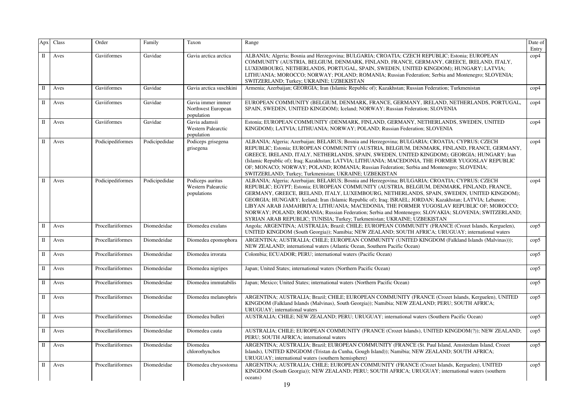| Apx          | Class | Order             | Family        | Taxon                                                        | Range                                                                                                                                                                                                                                                                                                                                                                                                                                                                                                                                                                                                                                                                                 | Date of<br>Entry |
|--------------|-------|-------------------|---------------|--------------------------------------------------------------|---------------------------------------------------------------------------------------------------------------------------------------------------------------------------------------------------------------------------------------------------------------------------------------------------------------------------------------------------------------------------------------------------------------------------------------------------------------------------------------------------------------------------------------------------------------------------------------------------------------------------------------------------------------------------------------|------------------|
| $\mathbb{I}$ | Aves  | Gaviiformes       | Gavidae       | Gavia arctica arctica                                        | ALBANIA; Algeria; Bosnia and Herzegovina; BULGARIA; CROATIA; CZECH REPUBLIC; Estonia; EUROPEAN<br>COMMUNITY (AUSTRIA, BELGIUM, DENMARK, FINLAND, FRANCE, GERMANY, GREECE, IRELAND, ITALY,<br>LUXEMBOURG, NETHERLANDS, PORTUGAL, SPAIN, SWEDEN, UNITED KINGDOM); HUNGARY; LATVIA;<br>LITHUANIA; MOROCCO; NORWAY; POLAND; ROMANIA; Russian Federation; Serbia and Montenegro; SLOVENIA;<br>SWITZERLAND; Turkey; UKRAINE; UZBEKISTAN                                                                                                                                                                                                                                                     | cop4             |
| $\mathbf I$  | Aves  | Gaviiformes       | Gavidae       | Gavia arctica suschkini                                      | Armenia; Azerbaijan; GEORGIA; Iran (Islamic Republic of); Kazakhstan; Russian Federation; Turkmenistan                                                                                                                                                                                                                                                                                                                                                                                                                                                                                                                                                                                | $\rm cop 4$      |
| П            | Aves  | Gaviiformes       | Gavidae       | Gavia immer immer<br>Northwest European<br>population        | EUROPEAN COMMUNITY (BELGIUM, DENMARK, FRANCE, GERMANY, IRELAND, NETHERLANDS, PORTUGAL,<br>SPAIN, SWEDEN, UNITED KINGDOM); Iceland; NORWAY; Russian Federation; SLOVENIA                                                                                                                                                                                                                                                                                                                                                                                                                                                                                                               | $\text{cop}4$    |
| $\mathbb{I}$ | Aves  | Gaviiformes       | Gavidae       | Gavia adamsii<br><b>Western Palearctic</b><br>population     | Estonia; EUROPEAN COMMUNITY (DENMARK, FINLAND, GERMANY, NETHERLANDS, SWEDEN, UNITED<br>KINGDOM); LATVIA; LITHUANIA; NORWAY; POLAND; Russian Federation; SLOVENIA                                                                                                                                                                                                                                                                                                                                                                                                                                                                                                                      | $\text{cop}4$    |
| Π            | Aves  | Podicipediformes  | Podicipedidae | Podiceps grisegena<br>grisegena                              | ALBANIA; Algeria; Azerbaijan; BELARUS; Bosnia and Herzegovina; BULGARIA; CROATIA; CYPRUS; CZECH<br>REPUBLIC; Estonia; EUROPEAN COMMUNITY (AUSTRIA, BELGIUM, DENMARK, FINLAND, FRANCE, GERMANY,<br>GREECE, IRELAND, ITALY, NETHERLANDS, SPAIN, SWEDEN, UNITED KINGDOM); GEORGIA; HUNGARY; Iran<br>(Islamic Republic of); Iraq; Kazakhstan; LATVIA; LITHUANIA; MACEDONIA, THE FORMER YUGOSLAV REPUBLIC<br>OF; MONACO; NORWAY; POLAND; ROMANIA; Russian Federation; Serbia and Montenegro; SLOVENIA;<br>SWITZERLAND; Turkey; Turkmenistan; UKRAINE; UZBEKISTAN                                                                                                                           | $\rm cop 4$      |
| $\Pi$        | Aves  | Podicipediformes  | Podicipedidae | Podiceps auritus<br><b>Western Palearctic</b><br>populations | ALBANIA; Algeria; Azerbaijan; BELARUS; Bosnia and Herzegovina; BULGARIA; CROATIA; CYPRUS; CZECH<br>REPUBLIC; EGYPT; Estonia; EUROPEAN COMMUNITY (AUSTRIA, BELGIUM, DENMARK, FINLAND, FRANCE,<br>GERMANY, GREECE, IRELAND, ITALY, LUXEMBOURG, NETHERLANDS, SPAIN, SWEDEN, UNITED KINGDOM);<br>GEORGIA; HUNGARY; Iceland; Iran (Islamic Republic of); Iraq; ISRAEL; JORDAN; Kazakhstan; LATVIA; Lebanon;<br>LIBYAN ARAB JAMAHIRIYA; LITHUANIA; MACEDONIA, THE FORMER YUGOSLAV REPUBLIC OF; MOROCCO;<br>NORWAY; POLAND; ROMANIA; Russian Federation; Serbia and Montenegro; SLOVAKIA; SLOVENIA; SWITZERLAND;<br>SYRIAN ARAB REPUBLIC; TUNISIA; Turkey; Turkmenistan; UKRAINE; UZBEKISTAN | $\rm cop 4$      |
| $\rm II$     | Aves  | Procellariiformes | Diomedeidae   | Diomedea exulans                                             | Angola; ARGENTINA; AUSTRALIA; Brazil; CHILE; EUROPEAN COMMUNITY (FRANCE (Crozet Islands, Kerguelen),<br>UNITED KINGDOM (South Georgia)); Namibia; NEW ZEALAND; SOUTH AFRICA; URUGUAY; international waters                                                                                                                                                                                                                                                                                                                                                                                                                                                                            | $\rm cop5$       |
| П            | Aves  | Procellariiformes | Diomedeidae   | Diomedea epomophora                                          | ARGENTINA; AUSTRALIA; CHILE; EUROPEAN COMMUNITY (UNITED KINGDOM (Falkland Islands (Malvinas)));<br>NEW ZEALAND; international waters (Atlantic Ocean, Southern Pacific Ocean)                                                                                                                                                                                                                                                                                                                                                                                                                                                                                                         | $\text{cop}5$    |
| $\mathbb{I}$ | Aves  | Procellariiformes | Diomedeidae   | Diomedea irrorata                                            | Colombia; ECUADOR; PERU; international waters (Pacific Ocean)                                                                                                                                                                                                                                                                                                                                                                                                                                                                                                                                                                                                                         | $\text{cop}5$    |
| П            | Aves  | Procellariiformes | Diomedeidae   | Diomedea nigripes                                            | Japan; United States; international waters (Northern Pacific Ocean)                                                                                                                                                                                                                                                                                                                                                                                                                                                                                                                                                                                                                   | $\rm cop5$       |
| П            | Aves  | Procellariiformes | Diomedeidae   | Diomedea immutabilis                                         | Japan; Mexico; United States; international waters (Northern Pacific Ocean)                                                                                                                                                                                                                                                                                                                                                                                                                                                                                                                                                                                                           | $\rm cop5$       |
| П            | Aves  | Procellariiformes | Diomedeidae   | Diomedea melanophris                                         | ARGENTINA; AUSTRALIA; Brazil; CHILE; EUROPEAN COMMUNITY (FRANCE (Crozet Islands, Kerguelen), UNITED<br>KINGDOM (Falkland Islands (Malvinas), South Georgia)); Namibia; NEW ZEALAND; PERU; SOUTH AFRICA;<br>URUGUAY; international waters                                                                                                                                                                                                                                                                                                                                                                                                                                              | $\rm cop5$       |
| П            | Aves  | Procellariiformes | Diomedeidae   | Diomedea bulleri                                             | AUSTRALIA; CHILE; NEW ZEALAND; PERU; URUGUAY; international waters (Southern Pacific Ocean)                                                                                                                                                                                                                                                                                                                                                                                                                                                                                                                                                                                           | $\rm cop5$       |
| П            | Aves  | Procellariiformes | Diomedeidae   | Diomedea cauta                                               | AUSTRALIA; CHILE; EUROPEAN COMMUNITY (FRANCE (Crozet Islands), UNITED KINGDOM(?)); NEW ZEALAND;<br>PERU; SOUTH AFRICA; international waters                                                                                                                                                                                                                                                                                                                                                                                                                                                                                                                                           | $\text{cop}5$    |
| П            | Aves  | Procellariiformes | Diomedeidae   | Diomedea<br>chlororhynchos                                   | ARGENTINA; AUSTRALIA; Brazil; EUROPEAN COMMUNITY (FRANCE (St. Paul Island, Amsterdam Island, Crozet<br>Islands), UNITED KINGDOM (Tristan da Cunha, Gough Island)); Namibia; NEW ZEALAND; SOUTH AFRICA;<br>URUGUAY; international waters (southern hemisphere)                                                                                                                                                                                                                                                                                                                                                                                                                         | $\rm cop5$       |
| П            | Aves  | Procellariiformes | Diomedeidae   | Diomedea chrysostoma                                         | ARGENTINA; AUSTRALIA; CHILE; EUROPEAN COMMUNITY (FRANCE (Crozet Islands, Kerguelen), UNITED<br>KINGDOM (South Georgia)); NEW ZEALAND; PERU; SOUTH AFRICA; URUGUAY; international waters (southern<br>oceans)                                                                                                                                                                                                                                                                                                                                                                                                                                                                          | $\rm cop5$       |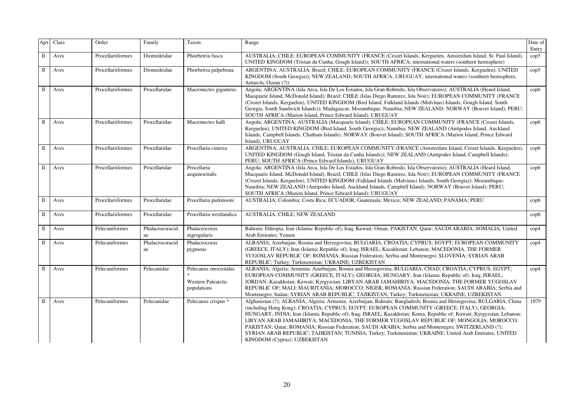| Apx          | Class | Order             | Family                | Taxon                                                             | Range                                                                                                                                                                                                                                                                                                                                                                                                                                                                                                                                                                                                                                                                                    | Date of<br>Entry |
|--------------|-------|-------------------|-----------------------|-------------------------------------------------------------------|------------------------------------------------------------------------------------------------------------------------------------------------------------------------------------------------------------------------------------------------------------------------------------------------------------------------------------------------------------------------------------------------------------------------------------------------------------------------------------------------------------------------------------------------------------------------------------------------------------------------------------------------------------------------------------------|------------------|
| $\rm II$     | Aves  | Procellariiformes | Diomedeidae           | Phoebetria fusca                                                  | AUSTRALIA; CHILE; EUROPEAN COMMUNITY (FRANCE (Crozet Islands, Kerguelen, Amsterdam Island, St. Paul Island),<br>UNITED KINGDOM (Tristan da Cunha, Gough Island)); SOUTH AFRICA; international waters (southern hemisphere)                                                                                                                                                                                                                                                                                                                                                                                                                                                               | $\rm cop5$       |
| $\rm II$     | Aves  | Procellariiformes | Diomedeidae           | Phoebetria palpebrata                                             | ARGENTINA; AUSTRALIA; Brazil; CHILE; EUROPEAN COMMUNITY (FRANCE (Crozet Islands, Kerguelen), UNITED<br>KINGDOM (South Georgia)); NEW ZEALAND; SOUTH AFRICA; URUGUAY; international waters (southern hemisphere,<br>Antarctic Ocean (?))                                                                                                                                                                                                                                                                                                                                                                                                                                                  | $\text{cop}5$    |
| $\mathbf{I}$ | Aves  | Procellariiformes | Procellaridae         | Macronectes giganteus                                             | Angola; ARGENTINA (Isla Arca, Isla De Los Estados, Isla Gran Robredo, Isla Observatorio); AUSTRALIA (Heard Island,<br>Macquarie Island, McDonald Island); Brazil; CHILE (Islas Diego Ramirez, Isla Noir); EUROPEAN COMMUNITY (FRANCE<br>(Crozet Islands, Kerguelen), UNITED KINGDOM (Bird Island, Falkland Islands (Malvinas) Islands, Gough Island, South<br>Georgia, South Sandwich Islands)); Madagascar; Mozambique; Namibia; NEW ZEALAND; NORWAY (Bouvet Island); PERU;<br>SOUTH AFRICA (Marion Island, Prince Edward Island); URUGUAY                                                                                                                                              | $\rm cop6$       |
| $\rm II$     | Aves  | Procellariiformes | Procellaridae         | Macronectes halli                                                 | Angola; ARGENTINA; AUSTRALIA (Macquarie Island); CHILE; EUROPEAN COMMUNITY (FRANCE (Crozet Islands,<br>Kerguelen), UNITED KINGDOM (Bird Island, South Georgia)); Namibia; NEW ZEALAND (Antipodes Island, Auckland<br>Islands, Campbell Islands, Chatham Islands); NORWAY (Bouvet Island); SOUTH AFRICA (Marion Island, Prince Edward<br>Island); URUGUAY                                                                                                                                                                                                                                                                                                                                 | $\rm cop6$       |
| $\rm II$     | Aves  | Procellariiformes | Procellaridae         | Procellaria cinerea                                               | ARGENTINA; AUSTRALIA; CHILE; EUROPEAN COMMUNITY (FRANCE (Amsterdam Island, Crozet Islands, Kerguelen),<br>UNITED KINGDOM (Gough Island, Tristan da Cunha Islands)); NEW ZEALAND (Antipodes Island, Campbell Islands);<br>PERU; SOUTH AFRICA (Prince Edward Islands); URUGUAY                                                                                                                                                                                                                                                                                                                                                                                                             | $\rm cop6$       |
| $\rm II$     | Aves  | Procellariiformes | Procellaridae         | Procellaria<br>aequinoctialis                                     | Angola; ARGENTINA (Isla Arca, Isla De Los Estados, Isla Gran Robredo, Isla Observatorio); AUSTRALIA (Heard Island,<br>Macquarie Island, McDonald Island); Brazil; CHILE (Islas Diego Ramirez, Isla Noir); EUROPEAN COMMUNITY (FRANCE<br>(Crozet Islands, Kerguelen), UNITED KINGDOM (Falkland Islands (Malvinas) Islands, South Georgia)); Mozambique;<br>Namibia; NEW ZEALAND (Antipodes Island, Auckland Islands, Campbell Island); NORWAY (Bouvet Island); PERU;<br>SOUTH AFRICA (Marion Island, Prince Edward Island); URUGUAY                                                                                                                                                       | $\rm cop6$       |
| $\;$ II      | Aves  | Procellariiformes | Procellaridae         | Procellaria parkinsoni                                            | AUSTRALIA; Colombia; Costa Rica; ECUADOR; Guatemala; Mexico; NEW ZEALAND; PANAMA; PERU                                                                                                                                                                                                                                                                                                                                                                                                                                                                                                                                                                                                   | $\rm cop6$       |
| $\mathbf I$  | Aves  | Procellariiformes | Procellaridae         | Procellaria westlandica                                           | AUSTRALIA; CHILE; NEW ZEALAND                                                                                                                                                                                                                                                                                                                                                                                                                                                                                                                                                                                                                                                            | $\rm cop6$       |
| $\rm II$     | Aves  | Pelecaniformes    | Phalacrocoracid<br>ae | Phalacrocorax<br>nigrogularis                                     | Bahrain; Ethiopia; Iran (Islamic Republic of); Iraq; Kuwait; Oman; PAKISTAN; Qatar; SAUDI ARABIA; SOMALIA; United<br>Arab Emirates; Yemen                                                                                                                                                                                                                                                                                                                                                                                                                                                                                                                                                | $\text{cop}4$    |
| П            | Aves  | Pelecaniformes    | Phalacrocoracid<br>ae | Phalacrocorax<br>pygmeus                                          | ALBANIA; Azerbaijan; Bosnia and Herzegovina; BULGARIA; CROATIA; CYPRUS; EGYPT; EUROPEAN COMMUNITY<br>(GREECE, ITALY); Iran (Islamic Republic of); Iraq; ISRAEL; Kazakhstan; Lebanon; MACEDONIA, THE FORMER<br>YUGOSLAV REPUBLIC OF; ROMANIA; Russian Federation; Serbia and Montenegro; SLOVENIA; SYRIAN ARAB<br>REPUBLIC; Turkey; Turkmenistan; UKRAINE; UZBEKISTAN                                                                                                                                                                                                                                                                                                                     | $\rm cop 4$      |
| $\rm II$     | Aves  | Pelecaniformes    | Pelecanidae           | Pelecanus onocrotalus<br><b>Western Palearctic</b><br>populations | ALBANIA; Algeria; Armenia; Azerbaijan; Bosnia and Herzegovina; BULGARIA; CHAD; CROATIA; CYPRUS; EGYPT;<br>EUROPEAN COMMUNITY (GREECE, ITALY); GEORGIA; HUNGARY; Iran (Islamic Republic of); Iraq; ISRAEL;<br>JORDAN; Kazakhstan; Kuwait; Kyrgyzstan; LIBYAN ARAB JAMAHIRIYA; MACEDONIA, THE FORMER YUGOSLAV<br>REPUBLIC OF; MALI; MAURITANIA; MOROCCO; NIGER; ROMANIA; Russian Federation; SAUDI ARABIA; Serbia and<br>Montenegro; Sudan; SYRIAN ARAB REPUBLIC; TAJIKISTAN; Turkey; Turkmenistan; UKRAINE; UZBEKISTAN                                                                                                                                                                    | $\mathrm{cop}4$  |
| $\mathbf I$  | Aves  | Pelecaniformes    | Pelecanidae           | Pelecanus crispus *                                               | Afghanistan (?); ALBANIA; Algeria; Armenia; Azerbaijan; Bahrain; Bangladesh; Bosnia and Herzegovina; BULGARIA; China<br>(including Hong Kong); CROATIA; CYPRUS; EGYPT; EUROPEAN COMMUNITY (GREECE, ITALY); GEORGIA;<br>HUNGARY; INDIA; Iran (Islamic Republic of); Iraq; ISRAEL; Kazakhstan; Korea, Republic of; Kuwait; Kyrgyzstan; Lebanon;<br>LIBYAN ARAB JAMAHIRIYA; MACEDONIA, THE FORMER YUGOSLAV REPUBLIC OF; MONGOLIA; MOROCCO;<br>PAKISTAN; Qatar; ROMANIA; Russian Federation; SAUDI ARABIA; Serbia and Montenegro; SWITZERLAND (?);<br>SYRIAN ARAB REPUBLIC; TAJIKISTAN; TUNISIA; Turkey; Turkmenistan; UKRAINE; United Arab Emirates; UNITED<br>KINGDOM (Cyprus); UZBEKISTAN | 1979             |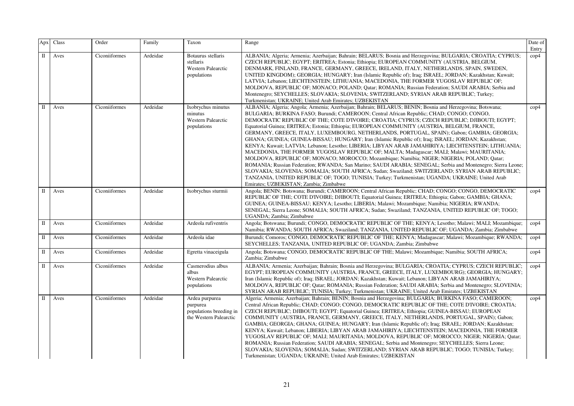| Apx          | Class | Order         | Family   | Taxon                                                                           | Range                                                                                                                                                                                                                                                                                                                                                                                                                                                                                                                                                                                                                                                                                                                                                                                                                                                                                                                                                                                                                                                                                                                                                                                                                                                                        | Date of<br>Entry |
|--------------|-------|---------------|----------|---------------------------------------------------------------------------------|------------------------------------------------------------------------------------------------------------------------------------------------------------------------------------------------------------------------------------------------------------------------------------------------------------------------------------------------------------------------------------------------------------------------------------------------------------------------------------------------------------------------------------------------------------------------------------------------------------------------------------------------------------------------------------------------------------------------------------------------------------------------------------------------------------------------------------------------------------------------------------------------------------------------------------------------------------------------------------------------------------------------------------------------------------------------------------------------------------------------------------------------------------------------------------------------------------------------------------------------------------------------------|------------------|
| Π            | Aves  | Ciconiiformes | Ardeidae | Botaurus stellaris<br>stellaris<br><b>Western Palearctic</b><br>populations     | ALBANIA; Algeria; Armenia; Azerbaijan; Bahrain; BELARUS; Bosnia and Herzegovina; BULGARIA; CROATIA; CYPRUS;<br>CZECH REPUBLIC; EGYPT; ERITREA; Estonia; Ethiopia; EUROPEAN COMMUNITY (AUSTRIA, BELGIUM,<br>DENMARK, FINLAND, FRANCE, GERMANY, GREECE, IRELAND, ITALY, NETHERLANDS, SPAIN, SWEDEN,<br>UNITED KINGDOM); GEORGIA; HUNGARY; Iran (Islamic Republic of); Iraq; ISRAEL; JORDAN; Kazakhstan; Kuwait;<br>LATVIA; Lebanon; LIECHTENSTEIN; LITHUANIA; MACEDONIA, THE FORMER YUGOSLAV REPUBLIC OF;<br>MOLDOVA, REPUBLIC OF; MONACO; POLAND; Qatar; ROMANIA; Russian Federation; SAUDI ARABIA; Serbia and<br>Montenegro; SEYCHELLES; SLOVAKIA; SLOVENIA; SWITZERLAND; SYRIAN ARAB REPUBLIC; Turkey;<br>Turkmenistan; UKRAINE; United Arab Emirates; UZBEKISTAN                                                                                                                                                                                                                                                                                                                                                                                                                                                                                                           | $\text{cop}4$    |
| Н            | Aves  | Ciconiiformes | Ardeidae | Ixobrychus minutus<br>minutus<br><b>Western Palearctic</b><br>populations       | ALBANIA; Algeria; Angola; Armenia; Azerbaijan; Bahrain; BELARUS; BENIN; Bosnia and Herzegovina; Botswana;<br>BULGARIA; BURKINA FASO; Burundi; CAMEROON; Central African Republic; CHAD; CONGO; CONGO,<br>DEMOCRATIC REPUBLIC OF THE; COTE D'IVOIRE; CROATIA; CYPRUS; CZECH REPUBLIC; DJIBOUTI; EGYPT;<br>Equatorial Guinea; ERITREA; Estonia; Ethiopia; EUROPEAN COMMUNITY (AUSTRIA, BELGIUM, FRANCE,<br>GERMANY, GREECE, ITALY, LUXEMBOURG, NETHERLANDS, PORTUGAL, SPAIN); Gabon; GAMBIA; GEORGIA;<br>GHANA; GUINEA; GUINEA-BISSAU; HUNGARY; Iran (Islamic Republic of); Iraq; ISRAEL; JORDAN; Kazakhstan;<br>KENYA; Kuwait; LATVIA; Lebanon; Lesotho; LIBERIA; LIBYAN ARAB JAMAHIRIYA; LIECHTENSTEIN; LITHUANIA;<br>MACEDONIA, THE FORMER YUGOSLAV REPUBLIC OF; MALTA; Madagascar; MALI; Malawi; MAURITANIA;<br>MOLDOVA, REPUBLIC OF; MONACO; MOROCCO; Mozambique; Namibia; NIGER; NIGERIA; POLAND; Qatar;<br>ROMANIA; Russian Federation; RWANDA; San Marino; SAUDI ARABIA; SENEGAL; Serbia and Montenegro; Sierra Leone;<br>SLOVAKIA; SLOVENIA; SOMALIA; SOUTH AFRICA; Sudan; Swaziland; SWITZERLAND; SYRIAN ARAB REPUBLIC;<br>TANZANIA, UNITED REPUBLIC OF; TOGO; TUNISIA; Turkey; Turkmenistan; UGANDA; UKRAINE; United Arab<br>Emirates; UZBEKISTAN; Zambia; Zimbabwe | $\text{cop}4$    |
| $\Pi$        | Aves  | Ciconiiformes | Ardeidae | Ixobrychus sturmii                                                              | Angola; BENIN; Botswana; Burundi; CAMEROON; Central African Republic; CHAD; CONGO; CONGO, DEMOCRATIC<br>REPUBLIC OF THE; COTE D'IVOIRE; DJIBOUTI; Equatorial Guinea; ERITREA; Ethiopia; Gabon; GAMBIA; GHANA;<br>GUINEA; GUINEA-BISSAU; KENYA; Lesotho; LIBERIA; Malawi; Mozambique; Namibia; NIGERIA; RWANDA;<br>SENEGAL; Sierra Leone; SOMALIA; SOUTH AFRICA; Sudan; Swaziland; TANZANIA, UNITED REPUBLIC OF; TOGO;<br>UGANDA; Zambia; Zimbabwe                                                                                                                                                                                                                                                                                                                                                                                                                                                                                                                                                                                                                                                                                                                                                                                                                            | $\rm cop 4$      |
| $\mathbf I$  | Aves  | Ciconiiformes | Ardeidae | Ardeola rufiventris                                                             | Angola; Botswana; Burundi; CONGO, DEMOCRATIC REPUBLIC OF THE; KENYA; Lesotho; Malawi; MALI; Mozambique;<br>Namibia; RWANDA; SOUTH AFRICA; Swaziland; TANZANIA, UNITED REPUBLIC OF; UGANDA; Zambia; Zimbabwe                                                                                                                                                                                                                                                                                                                                                                                                                                                                                                                                                                                                                                                                                                                                                                                                                                                                                                                                                                                                                                                                  | $\rm cop 4$      |
| П            | Aves  | Ciconiiformes | Ardeidae | Ardeola idae                                                                    | Burundi; Comoros; CONGO, DEMOCRATIC REPUBLIC OF THE; KENYA; Madagascar; Malawi; Mozambique; RWANDA;<br>SEYCHELLES; TANZANIA, UNITED REPUBLIC OF; UGANDA; Zambia; Zimbabwe                                                                                                                                                                                                                                                                                                                                                                                                                                                                                                                                                                                                                                                                                                                                                                                                                                                                                                                                                                                                                                                                                                    | cop4             |
| П            | Aves  | Ciconiiformes | Ardeidae | Egretta vinaceigula                                                             | Angola; Botswana; CONGO, DEMOCRATIC REPUBLIC OF THE; Malawi; Mozambique; Namibia; SOUTH AFRICA;<br>Zambia; Zimbabwe                                                                                                                                                                                                                                                                                                                                                                                                                                                                                                                                                                                                                                                                                                                                                                                                                                                                                                                                                                                                                                                                                                                                                          | cop4             |
| П            | Aves  | Ciconiiformes | Ardeidae | Casmerodius albus<br>albus<br><b>Western Palearctic</b><br>populations          | ALBANIA; Armenia; Azerbaijan; Bahrain; Bosnia and Herzegovina; BULGARIA; CROATIA; CYPRUS; CZECH REPUBLIC;<br>EGYPT; EUROPEAN COMMUNITY (AUSTRIA, FRANCE, GREECE, ITALY, LUXEMBOURG); GEORGIA; HUNGARY;<br>Iran (Islamic Republic of); Iraq; ISRAEL; JORDAN; Kazakhstan; Kuwait; Lebanon; LIBYAN ARAB JAMAHIRIYA;<br>MOLDOVA, REPUBLIC OF; Qatar; ROMANIA; Russian Federation; SAUDI ARABIA; Serbia and Montenegro; SLOVENIA;<br>SYRIAN ARAB REPUBLIC; TUNISIA; Turkey; Turkmenistan; UKRAINE; United Arab Emirates; UZBEKISTAN                                                                                                                                                                                                                                                                                                                                                                                                                                                                                                                                                                                                                                                                                                                                               | $\rm cop 4$      |
| $\mathbb{I}$ | Aves  | Ciconiiformes | Ardeidae | Ardea purpurea<br>purpurea<br>populations breeding in<br>the Western Palearctic | Algeria; Armenia; Azerbaijan; Bahrain; BENIN; Bosnia and Herzegovina; BULGARIA; BURKINA FASO; CAMEROON;<br>Central African Republic; CHAD; CONGO; CONGO, DEMOCRATIC REPUBLIC OF THE; COTE D'IVOIRE; CROATIA;<br>CZECH REPUBLIC; DJIBOUTI; EGYPT; Equatorial Guinea; ERITREA; Ethiopia; GUINEA-BISSAU; EUROPEAN<br>COMMUNITY (AUSTRIA, FRANCE, GERMANY, GREECE, ITALY, NETHERLANDS, PORTUGAL, SPAIN); Gabon;<br>GAMBIA; GEORGIA; GHANA; GUINEA; HUNGARY; Iran (Islamic Republic of); Iraq; ISRAEL; JORDAN; Kazakhstan;<br>KENYA; Kuwait; Lebanon; LIBERIA; LIBYAN ARAB JAMAHIRIYA; LIECHTENSTEIN; MACEDONIA, THE FORMER<br>YUGOSLAV REPUBLIC OF; MALI; MAURITANIA; MOLDOVA, REPUBLIC OF; MOROCCO; NIGER; NIGERIA; Qatar;<br>ROMANIA; Russian Federation; SAUDI ARABIA; SENEGAL; Serbia and Montenegro; SEYCHELLES; Sierra Leone;<br>SLOVAKIA; SLOVENIA; SOMALIA; Sudan; SWITZERLAND; SYRIAN ARAB REPUBLIC; TOGO; TUNISIA; Turkey;<br>Turkmenistan; UGANDA; UKRAINE; United Arab Emirates; UZBEKISTAN                                                                                                                                                                                                                                                                          | $\text{cop}4$    |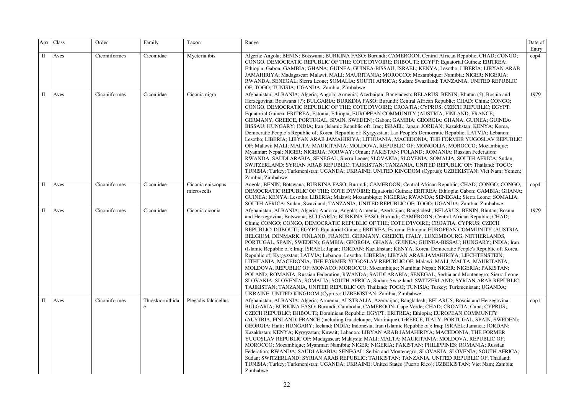| Apx         | Class | Order         | Family                | Taxon                            | Range                                                                                                                                                                                                                                                                                                                                                                                                                                                                                                                                                                                                                                                                                                                                                                                                                                                                                                                                                                                                                                                                                                                                                                                                                                                                                                                                                                                                                               | Date of<br>Entry |
|-------------|-------|---------------|-----------------------|----------------------------------|-------------------------------------------------------------------------------------------------------------------------------------------------------------------------------------------------------------------------------------------------------------------------------------------------------------------------------------------------------------------------------------------------------------------------------------------------------------------------------------------------------------------------------------------------------------------------------------------------------------------------------------------------------------------------------------------------------------------------------------------------------------------------------------------------------------------------------------------------------------------------------------------------------------------------------------------------------------------------------------------------------------------------------------------------------------------------------------------------------------------------------------------------------------------------------------------------------------------------------------------------------------------------------------------------------------------------------------------------------------------------------------------------------------------------------------|------------------|
| $\rm II$    | Aves  | Ciconiiformes | Ciconiidae            | Mycteria ibis                    | Algeria; Angola; BENIN; Botswana; BURKINA FASO; Burundi; CAMEROON; Central African Republic; CHAD; CONGO;<br>CONGO, DEMOCRATIC REPUBLIC OF THE; COTE D'IVOIRE; DJIBOUTI; EGYPT; Equatorial Guinea; ERITREA;<br>Ethiopia; Gabon; GAMBIA; GHANA; GUINEA; GUINEA-BISSAU; ISRAEL; KENYA; Lesotho; LIBERIA; LIBYAN ARAB<br>JAMAHIRIYA; Madagascar; Malawi; MALI; MAURITANIA; MOROCCO; Mozambique; Namibia; NIGER; NIGERIA;<br>RWANDA; SENEGAL; Sierra Leone; SOMALIA; SOUTH AFRICA; Sudan; Swaziland; TANZANIA, UNITED REPUBLIC<br>OF; TOGO; TUNISIA; UGANDA; Zambia; Zimbabwe                                                                                                                                                                                                                                                                                                                                                                                                                                                                                                                                                                                                                                                                                                                                                                                                                                                           | $\mathrm{cop}4$  |
| $\rm II$    | Aves  | Ciconiiformes | Ciconiidae            | Ciconia nigra                    | Afghanistan; ALBANIA; Algeria; Angola; Armenia; Azerbaijan; Bangladesh; BELARUS; BENIN; Bhutan (?); Bosnia and<br>Herzegovina; Botswana (?); BULGARIA; BURKINA FASO; Burundi; Central African Republic; CHAD; China; CONGO;<br>CONGO, DEMOCRATIC REPUBLIC OF THE; COTE D'IVOIRE; CROATIA; CYPRUS; CZECH REPUBLIC; EGYPT;<br>Equatorial Guinea; ERITREA; Estonia; Ethiopia; EUROPEAN COMMUNITY (AUSTRIA, FINLAND, FRANCE;<br>GERMANY, GREECE, PORTUGAL, SPAIN, SWEDEN); Gabon; GAMBIA; GEORGIA; GHANA; GUINEA; GUINEA-<br>BISSAU; HUNGARY; INDIA; Iran (Islamic Republic of); Iraq; ISRAEL; Japan; JORDAN; Kazakhstan; KENYA; Korea,<br>Democratic People's Republic of; Korea, Republic of; Kyrgyzstan; Lao People's Democratic Republic; LATVIA; Lebanon;<br>Lesotho; LIBERIA; LIBYAN ARAB JAMAHIRIYA; LITHUANIA; MACEDONIA, THE FORMER YUGOSLAV REPUBLIC<br>OF; Malawi; MALI; MALTA; MAURITANIA; MOLDOVA, REPUBLIC OF; MONGOLIA; MOROCCO; Mozambique;<br>Myanmar; Nepal; NIGER; NIGERIA; NORWAY; Oman; PAKISTAN; POLAND; ROMANIA; Russian Federation;<br>RWANDA; SAUDI ARABIA; SENEGAL; Sierra Leone; SLOVAKIA; SLOVENIA; SOMALIA; SOUTH AFRICA; Sudan;<br>SWITZERLAND; SYRIAN ARAB REPUBLIC; TAJIKISTAN; TANZANIA, UNITED REPUBLIC OF; Thailand; TOGO;<br>TUNISIA; Turkey; Turkmenistan; UGANDA; UKRAINE; UNITED KINGDOM (Cyprus); UZBEKISTAN; Viet Nam; Yemen;<br>Zambia; Zimbabwe                                              | 1979             |
| $\rm II$    | Aves  | Ciconiiformes | Ciconiidae            | Ciconia episcopus<br>microscelis | Angola; BENIN; Botswana; BURKINA FASO; Burundi; CAMEROON; Central African Republic; CHAD; CONGO; CONGO,<br>DEMOCRATIC REPUBLIC OF THE; COTE D'IVOIRE; Equatorial Guinea; ERITREA; Ethiopia; Gabon; GAMBIA; GHANA;<br>GUINEA; KENYA; Lesotho; LIBERIA; Malawi; Mozambique; NIGERIA; RWANDA; SENEGAL; Sierra Leone; SOMALIA;<br>SOUTH AFRICA; Sudan; Swaziland; TANZANIA, UNITED REPUBLIC OF; TOGO; UGANDA; Zambia; Zimbabwe                                                                                                                                                                                                                                                                                                                                                                                                                                                                                                                                                                                                                                                                                                                                                                                                                                                                                                                                                                                                          | $\mathrm{cop}4$  |
| $\rm II$    | Aves  | Ciconiiformes | Ciconiidae            | Ciconia ciconia                  | Afghanistan; ALBANIA; Algeria; Andorra; Angola; Armenia; Azerbaijan; Bangladesh; BELARUS; BENIN; Bhutan; Bosnia<br>and Herzegovina; Botswana; BULGARIA; BURKINA FASO; Burundi; CAMEROON; Central African Republic; CHAD;<br>China; CONGO; CONGO, DEMOCRATIC REPUBLIC OF THE: COTE D'IVOIRE: CROATIA; CYPRUS; CZECH<br>REPUBLIC; DJIBOUTI; EGYPT; Equatorial Guinea; ERITREA; Estonia; Ethiopia; EUROPEAN COMMUNITY (AUSTRIA,<br>BELGIUM, DENMARK, FINLAND, FRANCE, GERMANY, GREECE, ITALY, LUXEMBOURG, NETHERLANDS,<br>PORTUGAL, SPAIN, SWEDEN); GAMBIA; GEORGIA; GHANA; GUINEA; GUINEA-BISSAU; HUNGARY; INDIA; Iran<br>(Islamic Republic of); Iraq; ISRAEL; Japan; JORDAN; Kazakhstan; KENYA; Korea, Democratic People's Republic of; Korea,<br>Republic of; Kyrgyzstan; LATVIA; Lebanon; Lesotho; LIBERIA; LIBYAN ARAB JAMAHIRIYA; LIECHTENSTEIN;<br>LITHUANIA; MACEDONIA, THE FORMER YUGOSLAV REPUBLIC OF; Malawi; MALI; MALTA; MAURITANIA;<br>MOLDOVA, REPUBLIC OF; MONACO; MOROCCO; Mozambique; Namibia; Nepal; NIGER; NIGERIA; PAKISTAN;<br>POLAND; ROMANIA; Russian Federation; RWANDA; SAUDI ARABIA; SENEGAL; Serbia and Montenegro; Sierra Leone;<br>SLOVAKIA; SLOVENIA; SOMALIA; SOUTH AFRICA; Sudan; Swaziland; SWITZERLAND; SYRIAN ARAB REPUBLIC;<br>TAJIKISTAN; TANZANIA, UNITED REPUBLIC OF; Thailand; TOGO; TUNISIA; Turkey; Turkmenistan; UGANDA;<br>UKRAINE; UNITED KINGDOM (Cyprus); UZBEKISTAN; Zambia; Zimbabwe | 1979             |
| $\mathbf I$ | Aves  | Ciconiiformes | Threskiornithida<br>e | Plegadis falcinellus             | Afghanistan; ALBANIA; Algeria; Armenia; AUSTRALIA; Azerbaijan; Bangladesh; BELARUS; Bosnia and Herzegovina;<br>BULGARIA; BURKINA FASO; Burundi; Cambodia; CAMEROON; Cape Verde; CHAD; CROATIA; Cuba; CYPRUS;<br>CZECH REPUBLIC; DJIBOUTI; Dominican Republic; EGYPT; ERITREA; Ethiopia; EUROPEAN COMMUNITY<br>(AUSTRIA, FINLAND, FRANCE (including Guadeloupe, Martinique), GREECE, ITALY, PORTUGAL, SPAIN, SWEDEN);<br>GEORGIA; Haiti; HUNGARY; Iceland; INDIA; Indonesia; Iran (Islamic Republic of); Iraq; ISRAEL; Jamaica; JORDAN;<br>Kazakhstan; KENYA; Kyrgyzstan; Kuwait; Lebanon; LIBYAN ARAB JAMAHIRIYA; MACEDONIA, THE FORMER<br>YUGOSLAV REPUBLIC OF; Madagascar; Malaysia; MALI; MALTA; MAURITANIA; MOLDOVA, REPUBLIC OF;<br>MOROCCO; Mozambique; Myanmar; Namibia; NIGER; NIGERIA; PAKISTAN; PHILIPPINES; ROMANIA; Russian<br>Federation; RWANDA; SAUDI ARABIA; SENEGAL; Serbia and Montenegro; SLOVAKIA; SLOVENIA; SOUTH AFRICA;<br>Sudan; SWITZERLAND; SYRIAN ARAB REPUBLIC; TAJIKISTAN; TANZANIA, UNITED REPUBLIC OF; Thailand;<br>TUNISIA; Turkey; Turkmenistan; UGANDA; UKRAINE; United States (Puerto Rico); UZBEKISTAN; Viet Nam; Zambia;<br>Zimbabwe                                                                                                                                                                                                                                                           | $\text{cop}1$    |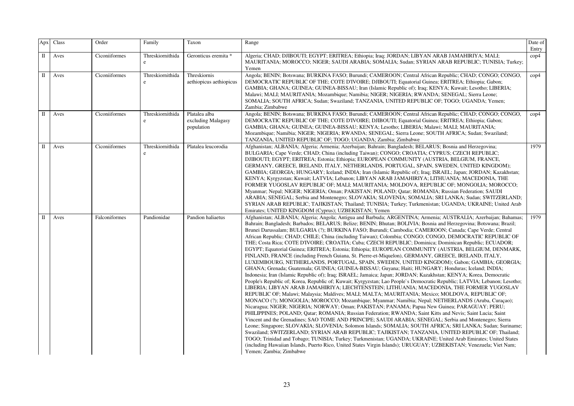| Apx          | Class | Order         | Family                      | Taxon                                             | Range                                                                                                                                                                                                                                                                                                                                                                                                                                                                                                                                                                                                                                                                                                                                                                                                                                                                                                                                                                                                                                                                                                                                                                                                                                                                                                                                                                                                                                                                                                                                                                                                                                                                                                                                                                                                                                                                                                                                                                                                                                                                                                                                                                                                                                                                                                                                                        | Date of<br>Entry |
|--------------|-------|---------------|-----------------------------|---------------------------------------------------|--------------------------------------------------------------------------------------------------------------------------------------------------------------------------------------------------------------------------------------------------------------------------------------------------------------------------------------------------------------------------------------------------------------------------------------------------------------------------------------------------------------------------------------------------------------------------------------------------------------------------------------------------------------------------------------------------------------------------------------------------------------------------------------------------------------------------------------------------------------------------------------------------------------------------------------------------------------------------------------------------------------------------------------------------------------------------------------------------------------------------------------------------------------------------------------------------------------------------------------------------------------------------------------------------------------------------------------------------------------------------------------------------------------------------------------------------------------------------------------------------------------------------------------------------------------------------------------------------------------------------------------------------------------------------------------------------------------------------------------------------------------------------------------------------------------------------------------------------------------------------------------------------------------------------------------------------------------------------------------------------------------------------------------------------------------------------------------------------------------------------------------------------------------------------------------------------------------------------------------------------------------------------------------------------------------------------------------------------------------|------------------|
| $\mathbf{I}$ | Aves  | Ciconiiformes | Threskiornithida<br>e       | Geronticus eremita *                              | Algeria; CHAD; DJIBOUTI; EGYPT; ERITREA; Ethiopia; Iraq; JORDAN; LIBYAN ARAB JAMAHIRIYA; MALI;<br>MAURITANIA; MOROCCO; NIGER; SAUDI ARABIA; SOMALIA; Sudan; SYRIAN ARAB REPUBLIC; TUNISIA; Turkey;<br>Yemen                                                                                                                                                                                                                                                                                                                                                                                                                                                                                                                                                                                                                                                                                                                                                                                                                                                                                                                                                                                                                                                                                                                                                                                                                                                                                                                                                                                                                                                                                                                                                                                                                                                                                                                                                                                                                                                                                                                                                                                                                                                                                                                                                  | $\text{cop}4$    |
| $\mathbf{I}$ | Aves  | Ciconiiformes | Threskiornithida<br>$\rm e$ | Threskiornis<br>aethiopicus aethiopicus           | Angola; BENIN; Botswana; BURKINA FASO; Burundi; CAMEROON; Central African Republic; CHAD; CONGO; CONGO,<br>DEMOCRATIC REPUBLIC OF THE; COTE D'IVOIRE; DJIBOUTI; Equatorial Guinea; ERITREA; Ethiopia; Gabon;<br>GAMBIA; GHANA; GUINEA; GUINEA-BISSAU; Iran (Islamic Republic of); Iraq; KENYA; Kuwait; Lesotho; LIBERIA;<br>Malawi; MALI; MAURITANIA; Mozambique; Namibia; NIGER; NIGERIA; RWANDA; SENEGAL; Sierra Leone;<br>SOMALIA; SOUTH AFRICA; Sudan; Swaziland; TANZANIA, UNITED REPUBLIC OF; TOGO; UGANDA; Yemen;<br>Zambia; Zimbabwe                                                                                                                                                                                                                                                                                                                                                                                                                                                                                                                                                                                                                                                                                                                                                                                                                                                                                                                                                                                                                                                                                                                                                                                                                                                                                                                                                                                                                                                                                                                                                                                                                                                                                                                                                                                                                 | $\mathrm{cop}4$  |
| $\rm II$     | Aves  | Ciconiiformes | Threskiornithida<br>e       | Platalea alba<br>excluding Malagasy<br>population | Angola; BENIN; Botswana; BURKINA FASO; Burundi; CAMEROON; Central African Republic; CHAD; CONGO; CONGO,<br>DEMOCRATIC REPUBLIC OF THE: COTE D'IVOIRE; DJIBOUTI; Equatorial Guinea; ERITREA; Ethiopia; Gabon;<br>GAMBIA; GHANA; GUINEA; GUINEA-BISSAU; KENYA; Lesotho; LIBERIA; Malawi; MALI; MAURITANIA;<br>Mozambique; Namibia; NIGER; NIGERIA; RWANDA; SENEGAL; Sierra Leone; SOUTH AFRICA; Sudan; Swaziland;<br>TANZANIA, UNITED REPUBLIC OF; TOGO; UGANDA; Zambia; Zimbabwe                                                                                                                                                                                                                                                                                                                                                                                                                                                                                                                                                                                                                                                                                                                                                                                                                                                                                                                                                                                                                                                                                                                                                                                                                                                                                                                                                                                                                                                                                                                                                                                                                                                                                                                                                                                                                                                                              | $\rm cop 4$      |
| $\rm{II}$    | Aves  | Ciconiiformes | Threskiornithida<br>e       | Platalea leucorodia                               | Afghanistan; ALBANIA; Algeria; Armenia; Azerbaijan; Bahrain; Bangladesh; BELARUS; Bosnia and Herzegovina;<br>BULGARIA; Cape Verde; CHAD; China (including Taiwan); CONGO; CROATIA; CYPRUS; CZECH REPUBLIC;<br>DJIBOUTI; EGYPT; ERITREA; Estonia; Ethiopia; EUROPEAN COMMUNITY (AUSTRIA, BELGIUM, FRANCE,<br>GERMANY, GREECE, IRELAND, ITALY, NETHERLANDS, PORTUGAL, SPAIN, SWEDEN, UNITED KINGDOM);<br>GAMBIA; GEORGIA; HUNGARY; Iceland; INDIA; Iran (Islamic Republic of); Iraq; ISRAEL; Japan; JORDAN; Kazakhstan;<br>KENYA; Kyrgyzstan; Kuwait; LATVIA; Lebanon; LIBYAN ARAB JAMAHIRIYA; LITHUANIA; MACEDONIA, THE<br>FORMER YUGOSLAV REPUBLIC OF; MALI; MAURITANIA; MOLDOVA, REPUBLIC OF; MONGOLIA; MOROCCO;<br>Myanmar; Nepal; NIGER; NIGERIA; Oman; PAKISTAN; POLAND; Qatar; ROMANIA; Russian Federation; SAUDI<br>ARABIA; SENEGAL; Serbia and Montenegro; SLOVAKIA; SLOVENIA; SOMALIA; SRI LANKA; Sudan; SWITZERLAND;<br>SYRIAN ARAB REPUBLIC; TAJIKISTAN; Thailand; TUNISIA; Turkey; Turkmenistan; UGANDA; UKRAINE; United Arab<br>Emirates; UNITED KINGDOM (Cyprus); UZBEKISTAN; Yemen                                                                                                                                                                                                                                                                                                                                                                                                                                                                                                                                                                                                                                                                                                                                                                                                                                                                                                                                                                                                                                                                                                                                                                                                                                                             | 1979             |
| $\mathbf I$  | Aves  | Falconiformes | Pandionidae                 | Pandion haliaetus                                 | Afghanistan; ALBANIA; Algeria; Angola; Antigua and Barbuda; ARGENTINA; Armenia; AUSTRALIA; Azerbaijan; Bahamas;<br>Bahrain; Bangladesh; Barbados; BELARUS; Belize; BENIN; Bhutan; BOLIVIA; Bosnia and Herzegovina; Botswana; Brazil;<br>Brunei Darussalam; BULGARIA (?); BURKINA FASO; Burundi; Cambodia; CAMEROON; Canada; Cape Verde; Central<br>African Republic; CHAD; CHILE; China (including Taiwan); Colombia; CONGO; CONGO, DEMOCRATIC REPUBLIC OF<br>THE; Costa Rica; COTE D'IVOIRE; CROATIA; Cuba; CZECH REPUBLIC; Dominica; Dominican Republic; ECUADOR;<br>EGYPT; Equatorial Guinea; ERITREA; Estonia; Ethiopia; EUROPEAN COMMUNITY (AUSTRIA, BELGIUM, DENMARK,<br>FINLAND, FRANCE (including French Guiana, St. Pierre-et-Miquelon), GERMANY, GREECE, IRELAND, ITALY,<br>LUXEMBOURG, NETHERLANDS, PORTUGAL, SPAIN, SWEDEN, UNITED KINGDOM); Gabon; GAMBIA; GEORGIA;<br>GHANA; Grenada; Guatemala; GUINEA; GUINEA-BISSAU; Guyana; Haiti; HUNGARY; Honduras; Iceland; INDIA;<br>Indonesia; Iran (Islamic Republic of); Iraq; ISRAEL; Jamaica; Japan; JORDAN; Kazakhstan; KENYA; Korea, Democratic<br>People's Republic of; Korea, Republic of; Kuwait; Kyrgyzstan; Lao People's Democratic Republic; LATVIA; Lebanon; Lesotho;<br>LIBERIA; LIBYAN ARAB JAMAHIRIYA; LIECHTENSTEIN; LITHUANIA; MACEDONIA, THE FORMER YUGOSLAV<br>REPUBLIC OF; Malawi; Malaysia; Maldives; MALI; MALTA; MAURITANIA; Mexico; MOLDOVA, REPUBLIC OF;<br>MONACO (?); MONGOLIA; MOROCCO; Mozambique; Myanmar; Namibia; Nepal; NETHERLANDS (Aruba, Curaçao);<br>Nicaragua; NIGER; NIGERIA; NORWAY; Oman; PAKISTAN; PANAMA; Papua New Guinea; PARAGUAY; PERU;<br>PHILIPPINES; POLAND; Qatar; ROMANIA; Russian Federation; RWANDA; Saint Kitts and Nevis; Saint Lucia; Saint<br>Vincent and the Grenadines; SAO TOME AND PRINCIPE; SAUDI ARABIA; SENEGAL; Serbia and Montenegro; Sierra<br>Leone; Singapore; SLOVAKIA; SLOVENIA; Solomon Islands; SOMALIA; SOUTH AFRICA; SRI LANKA; Sudan; Suriname;<br>Swaziland; SWITZERLAND; SYRIAN ARAB REPUBLIC; TAJIKISTAN; TANZANIA, UNITED REPUBLIC OF; Thailand;<br>TOGO; Trinidad and Tobago; TUNISIA; Turkey; Turkmenistan; UGANDA; UKRAINE; United Arab Emirates; United States<br>(including Hawaiian Islands, Puerto Rico, United States Virgin Islands); URUGUAY; UZBEKISTAN; Venezuela; Viet Nam;<br>Yemen; Zambia; Zimbabwe | 1979             |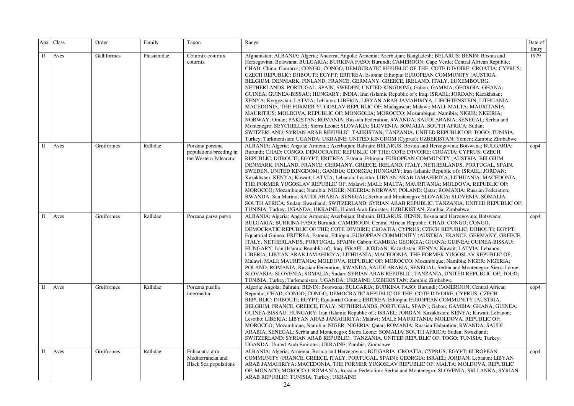| Apx         | $\rm Class$ | Order       | Family      | Taxon                                                                 | Range                                                                                                                                                                                                                                                                                                                                                                                                                                                                                                                                                                                                                                                                                                                                                                                                                                                                                                                                                                                                                                                                                                                                                                                                                                                                                                                                                                                                   | Date of<br>Entry |
|-------------|-------------|-------------|-------------|-----------------------------------------------------------------------|---------------------------------------------------------------------------------------------------------------------------------------------------------------------------------------------------------------------------------------------------------------------------------------------------------------------------------------------------------------------------------------------------------------------------------------------------------------------------------------------------------------------------------------------------------------------------------------------------------------------------------------------------------------------------------------------------------------------------------------------------------------------------------------------------------------------------------------------------------------------------------------------------------------------------------------------------------------------------------------------------------------------------------------------------------------------------------------------------------------------------------------------------------------------------------------------------------------------------------------------------------------------------------------------------------------------------------------------------------------------------------------------------------|------------------|
| $\mathbf I$ | Aves        | Galliformes | Phasianidae | Coturnix coturnix<br>coturnix                                         | Afghanistan; ALBANIA; Algeria; Andorra; Angola; Armenia; Azerbaijan; Bangladesh; BELARUS; BENIN; Bosnia and<br>Herzegovina; Botswana; BULGARIA; BURKINA FASO; Burundi; CAMEROON; Cape Verde; Central African Republic;<br>CHAD; China; Comoros; CONGO; CONGO, DEMOCRATIC REPUBLIC OF THE; COTE D'IVOIRE; CROATIA; CYPRUS;<br>CZECH REPUBLIC; DJIBOUTI; EGYPT; ERITREA; Estonia; Ethiopia; EUROPEAN COMMUNITY (AUSTRIA,<br>BELGIUM, DENMARK, FINLAND, FRANCE, GERMANY, GREECE, IRELAND, ITALY, LUXEMBOURG,<br>NETHERLANDS, PORTUGAL, SPAIN, SWEDEN, UNITED KINGDOM); Gabon; GAMBIA; GEORGIA; GHANA;<br>GUINEA; GUINEA-BISSAU; HUNGARY; INDIA; Iran (Islamic Republic of); Iraq; ISRAEL; JORDAN; Kazakhstan;<br>KENYA; Kyrgyzstan; LATVIA; Lebanon; LIBERIA; LIBYAN ARAB JAMAHIRIYA; LIECHTENSTEIN; LITHUANIA;<br>MACEDONIA, THE FORMER YUGOSLAV REPUBLIC OF; Madagascar; Malawi; MALI; MALTA; MAURITANIA;<br>MAURITIUS; MOLDOVA, REPUBLIC OF; MONGOLIA; MOROCCO; Mozambique; Namibia; NIGER; NIGERIA;<br>NORWAY; Oman; PAKISTAN; ROMANIA; Russian Federation; RWANDA; SAUDI ARABIA; SENEGAL; Serbia and<br>Montenegro; SEYCHELLES; Sierra Leone; SLOVAKIA; SLOVENIA; SOMALIA; SOUTH AFRICA; Sudan;<br>SWITZERLAND; SYRIAN ARAB REPUBLIC; TAJIKISTAN; TANZANIA, UNITED REPUBLIC OF; TOGO; TUNISIA;<br>Turkey; Turkmenistan; UGANDA; UKRAINE; UNITED KINGDOM (Cyprus); UZBEKISTAN; Yemen; Zambia; Zimbabwe | 1979             |
| П           | Aves        | Gruiformes  | Rallidae    | Porzana porzana<br>populations breeding in<br>the Western Palearctic  | ALBANIA; Algeria; Angola; Armenia; Azerbaijan; Bahrain; BELARUS; Bosnia and Herzegovina; Botswana; BULGARIA;<br>Burundi; CHAD; CONGO, DEMOCRATIC REPUBLIC OF THE; COTE D'IVOIRE; CROATIA; CYPRUS; CZECH<br>REPUBLIC; DJIBOUTI; EGYPT; ERITREA; Estonia; Ethiopia; EUROPEAN COMMUNITY (AUSTRIA, BELGIUM,<br>DENMARK, FINLAND, FRANCE, GERMANY, GREECE, IRELAND, ITALY, NETHERLANDS, PORTUGAL, SPAIN,<br>SWEDEN, UNITED KINGDOM); GAMBIA; GEORGIA; HUNGARY; Iran (Islamic Republic of); ISRAEL; JORDAN;<br>Kazakhstan; KENYA; Kuwait; LATVIA; Lebanon; Lesotho; LIBYAN ARAB JAMAHIRIYA; LITHUANIA; MACEDONIA,<br>THE FORMER YUGOSLAV REPUBLIC OF; Malawi; MALI; MALTA; MAURITANIA; MOLDOVA, REPUBLIC OF;<br>MOROCCO; Mozambique; Namibia; NIGER; NIGERIA; NORWAY; POLAND; Qatar; ROMANIA; Russian Federation;<br>RWANDA; San Marino; SAUDI ARABIA; SENEGAL; Serbia and Montenegro; SLOVAKIA; SLOVENIA; SOMALIA;<br>SOUTH AFRICA; Sudan; Swaziland; SWITZERLAND; SYRIAN ARAB REPUBLIC; TANZANIA, UNITED REPUBLIC OF;<br>TUNISIA; Turkey; UGANDA; UKRAINE; United Arab Emirates; UZBEKISTAN; Zambia; Zimbabwe                                                                                                                                                                                                                                                                                               | $\rm cop 4$      |
| $\mathbf I$ | Aves        | Gruiformes  | Rallidae    | Porzana parva parva                                                   | ALBANIA; Algeria; Angola; Armenia; Azerbaijan; Bahrain; BELARUS; BENIN; Bosnia and Herzegovina; Botswana;<br>BULGARIA; BURKINA FASO; Burundi; CAMEROON; Central African Republic; CHAD; CONGO; CONGO,<br>DEMOCRATIC REPUBLIC OF THE; COTE D'IVOIRE; CROATIA; CYPRUS; CZECH REPUBLIC; DJIBOUTI; EGYPT;<br>Equatorial Guinea; ERITREA; Estonia; Ethiopia; EUROPEAN COMMUNITY (AUSTRIA, FRANCE, GERMANY, GREECE,<br>ITALY, NETHERLANDS, PORTUGAL, SPAIN); Gabon; GAMBIA; GEORGIA; GHANA; GUINEA; GUINEA-BISSAU;<br>HUNGARY; Iran (Islamic Republic of); Iraq; ISRAEL; JORDAN; Kazakhstan; KENYA; Kuwait; LATVIA; Lebanon;<br>LIBERIA; LIBYAN ARAB JAMAHIRIYA; LITHUANIA; MACEDONIA, THE FORMER YUGOSLAV REPUBLIC OF;<br>Malawi; MALI; MAURITANIA; MOLDOVA, REPUBLIC OF; MOROCCO; Mozambique; Namibia; NIGER; NIGERIA;<br>POLAND; ROMANIA; Russian Federation; RWANDA; SAUDI ARABIA; SENEGAL; Serbia and Montenegro; Sierra Leone;<br>SLOVAKIA; SLOVENIA; SOMALIA; Sudan; SYRIAN ARAB REPUBLIC; TANZANIA, UNITED REPUBLIC OF; TOGO;<br>TUNISIA; Turkey; Turkmenistan; UGANDA; UKRAINE; UZBEKISTAN; Zambia; Zimbabwe                                                                                                                                                                                                                                                                                         | $\rm cop 4$      |
| $\rm{II}$   | Aves        | Gruiformes  | Rallidae    | Porzana pusilla<br>intermedia                                         | Algeria; Angola; Bahrain; BENIN; Botswana; BULGARIA; BURKINA FASO; Burundi; CAMEROON; Central African<br>Republic; CHAD; CONGO; CONGO, DEMOCRATIC REPUBLIC OF THE; COTE D'IVOIRE; CYPRUS; CZECH<br>REPUBLIC; DJIBOUTI; EGYPT; Equatorial Guinea; ERITREA; Ethiopia; EUROPEAN COMMUNITY (AUSTRIA,<br>BELGIUM, FRANCE, GREECE, ITALY, NETHERLANDS, PORTUGAL, SPAIN); Gabon; GAMBIA; GHANA; GUINEA;<br>GUINEA-BISSAU; HUNGARY; Iran (Islamic Republic of); ISRAEL; JORDAN; Kazakhstan; KENYA; Kuwait; Lebanon;<br>Lesotho; LIBERIA; LIBYAN ARAB JAMAHIRIYA; Malawi; MALI; MAURITANIA; MOLDOVA, REPUBLIC OF;<br>MOROCCO; Mozambique; Namibia; NIGER; NIGERIA; Qatar; ROMANIA; Russian Federation; RWANDA; SAUDI<br>ARABIA; SENEGAL; Serbia and Montenegro; Sierra Leone; SOMALIA; SOUTH AFRICA; Sudan; Swaziland;<br>SWITZERLAND; SYRIAN ARAB REPUBLIC; TANZANIA, UNITED REPUBLIC OF; TOGO; TUNISIA; Turkey;<br>UGANDA; United Arab Emirates; UKRAINE; Zambia; Zimbabwe                                                                                                                                                                                                                                                                                                                                                                                                                                     | $\mathrm{cop}4$  |
| П           | Aves        | Gruiformes  | Rallidae    | Fulica atra atra<br>Mediterranean and<br><b>Black Sea populations</b> | ALBANIA; Algeria; Armenia; Bosnia and Herzegovina; BULGARIA; CROATIA; CYPRUS; EGYPT; EUROPEAN<br>COMMUNITY (FRANCE, GREECE, ITALY, PORTUGAL, SPAIN); GEORGIA; ISRAEL; JORDAN; Lebanon; LIBYAN<br>ARAB JAMAHIRIYA; MACEDONIA, THE FORMER YUGOSLAV REPUBLIC OF; MALTA; MOLDOVA, REPUBLIC<br>OF; MONACO; MOROCCO; ROMANIA; Russian Federation; Serbia and Montenegro; SLOVENIA; SRI LANKA; SYRIAN<br>ARAB REPUBLIC; TUNISIA; Turkey; UKRAINE                                                                                                                                                                                                                                                                                                                                                                                                                                                                                                                                                                                                                                                                                                                                                                                                                                                                                                                                                               | $\rm cop 4$      |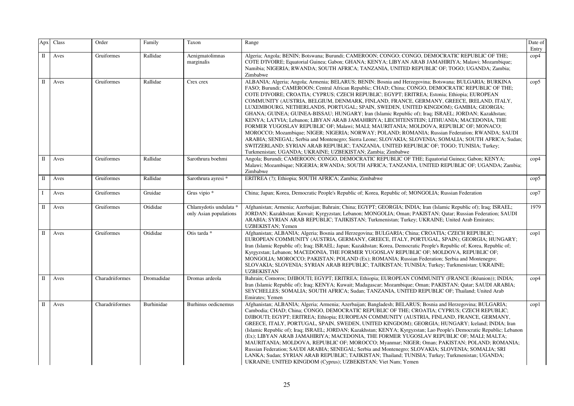| Apx         | Class | Order           | Family     | Taxon                                            | Range                                                                                                                                                                                                                                                                                                                                                                                                                                                                                                                                                                                                                                                                                                                                                                                                                                                                                                                                                                                                                                                                                                                                                             | Date of<br>Entry |
|-------------|-------|-----------------|------------|--------------------------------------------------|-------------------------------------------------------------------------------------------------------------------------------------------------------------------------------------------------------------------------------------------------------------------------------------------------------------------------------------------------------------------------------------------------------------------------------------------------------------------------------------------------------------------------------------------------------------------------------------------------------------------------------------------------------------------------------------------------------------------------------------------------------------------------------------------------------------------------------------------------------------------------------------------------------------------------------------------------------------------------------------------------------------------------------------------------------------------------------------------------------------------------------------------------------------------|------------------|
| $\mathbf I$ | Aves  | Gruiformes      | Rallidae   | Aenigmatolimnas<br>marginalis                    | Algeria; Angola; BENIN; Botswana; Burundi; CAMEROON; CONGO; CONGO, DEMOCRATIC REPUBLIC OF THE;<br>COTE D'IVOIRE; Equatorial Guinea; Gabon; GHANA; KENYA; LIBYAN ARAB JAMAHIRIYA; Malawi; Mozambique;<br>Namibia; NIGERIA; RWANDA; SOUTH AFRICA; TANZANIA, UNITED REPUBLIC OF; TOGO; UGANDA; Zambia;<br>Zimbabwe                                                                                                                                                                                                                                                                                                                                                                                                                                                                                                                                                                                                                                                                                                                                                                                                                                                   | $\mathrm{cop}4$  |
| $\mathbf I$ | Aves  | Gruiformes      | Rallidae   | Crex crex                                        | ALBANIA; Algeria; Angola; Armenia; BELARUS; BENIN; Bosnia and Herzegovina; Botswana; BULGARIA; BURKINA<br>FASO; Burundi; CAMEROON; Central African Republic; CHAD; China; CONGO, DEMOCRATIC REPUBLIC OF THE;<br>COTE D'IVOIRE; CROATIA; CYPRUS; CZECH REPUBLIC; EGYPT; ERITREA; Estonia; Ethiopia; EUROPEAN<br>COMMUNITY (AUSTRIA, BELGIUM, DENMARK, FINLAND, FRANCE, GERMANY, GREECE, IRELAND, ITALY,<br>LUXEMBOURG, NETHERLANDS, PORTUGAL; SPAIN, SWEDEN, UNITED KINGDOM); GAMBIA; GEORGIA;<br>GHANA; GUINEA; GUINEA-BISSAU; HUNGARY; Iran (Islamic Republic of); Iraq; ISRAEL; JORDAN; Kazakhstan;<br>KENYA; LATVIA; Lebanon; LIBYAN ARAB JAMAHIRIYA; LIECHTENSTEIN; LITHUANIA; MACEDONIA, THE<br>FORMER YUGOSLAV REPUBLIC OF; Malawi; MALI; MAURITANIA; MOLDOVA, REPUBLIC OF; MONACO;<br>MOROCCO; Mozambique; NIGER; NIGERIA; NORWAY; POLAND; ROMANIA; Russian Federation; RWANDA; SAUDI<br>ARABIA; SENEGAL; Serbia and Montenegro; Sierra Leone; SLOVAKIA; SLOVENIA; SOMALIA; SOUTH AFRICA; Sudan;<br>SWITZERLAND: SYRIAN ARAB REPUBLIC; TANZANIA, UNITED REPUBLIC OF; TOGO; TUNISIA; Turkey;<br>Turkmenistan; UGANDA; UKRAINE; UZBEKISTAN; Zambia; Zimbabwe | $\text{cop}5$    |
| П           | Aves  | Gruiformes      | Rallidae   | Sarothrura boehmi                                | Angola; Burundi; CAMEROON; CONGO, DEMOCRATIC REPUBLIC OF THE; Equatorial Guinea; Gabon; KENYA;<br>Malawi; Mozambique; NIGERIA; RWANDA; SOUTH AFRICA; TANZANIA, UNITED REPUBLIC OF; UGANDA; Zambia;<br>Zimbabwe                                                                                                                                                                                                                                                                                                                                                                                                                                                                                                                                                                                                                                                                                                                                                                                                                                                                                                                                                    | $\mathrm{cop}4$  |
| $\Pi$       | Aves  | Gruiformes      | Rallidae   | Sarothrura ayresi *                              | ERITREA (?); Ethiopia; SOUTH AFRICA; Zambia; Zimbabwe                                                                                                                                                                                                                                                                                                                                                                                                                                                                                                                                                                                                                                                                                                                                                                                                                                                                                                                                                                                                                                                                                                             | cop5             |
| $\mathbf I$ | Aves  | Gruiformes      | Gruidae    | Grus vipio *                                     | China; Japan; Korea, Democratic People's Republic of; Korea, Republic of; MONGOLIA; Russian Federation                                                                                                                                                                                                                                                                                                                                                                                                                                                                                                                                                                                                                                                                                                                                                                                                                                                                                                                                                                                                                                                            | cop7             |
| $\rm II$    | Aves  | Gruiformes      | Otididae   | Chlamydotis undulata *<br>only Asian populations | Afghanistan; Armenia; Azerbaijan; Bahrain; China; EGYPT; GEORGIA; INDIA; Iran (Islamic Republic of); Iraq; ISRAEL;<br>JORDAN; Kazakhstan; Kuwait; Kyrgyzstan; Lebanon; MONGOLIA; Oman; PAKISTAN; Qatar; Russian Federation; SAUDI<br>ARABIA; SYRIAN ARAB REPUBLIC; TAJIKISTAN; Turkmenistan; Turkey; UKRAINE; United Arab Emirates;<br>UZBEKISTAN; Yemen                                                                                                                                                                                                                                                                                                                                                                                                                                                                                                                                                                                                                                                                                                                                                                                                          | 1979             |
| $\rm II$    | Aves  | Gruiformes      | Otididae   | Otis tarda *                                     | Afghanistan; ALBANIA; Algeria; Bosnia and Herzegovina; BULGARIA; China; CROATIA; CZECH REPUBLIC;<br>EUROPEAN COMMUNITY (AUSTRIA, GERMANY, GREECE, ITALY, PORTUGAL, SPAIN); GEORGIA; HUNGARY;<br>Iran (Islamic Republic of); Iraq; ISRAEL; Japan; Kazakhstan; Korea, Democratic People's Republic of; Korea, Republic of;<br>Kyrgyzstan; Lebanon; MACEDONIA, THE FORMER YUGOSLAV REPUBLIC OF; MOLDOVA, REPUBLIC OF;<br>MONGOLIA; MOROCCO; PAKISTAN; POLAND (Ex); ROMANIA; Russian Federation; Serbia and Montenegro;<br>SLOVAKIA; SLOVENIA; SYRIAN ARAB REPUBLIC; TAJIKISTAN; TUNISIA; Turkey; Turkmenistan; UKRAINE;<br><b>UZBEKISTAN</b>                                                                                                                                                                                                                                                                                                                                                                                                                                                                                                                         | $\text{cop}1$    |
| $\mathbf I$ | Aves  | Charadriiformes | Dromadidae | Dromas ardeola                                   | Bahrain; Comoros; DJIBOUTI; EGYPT; ERITREA; Ethiopia; EUROPEAN COMMUNITY (FRANCE (Réunion)); INDIA;<br>Iran (Islamic Republic of); Iraq; KENYA; Kuwait; Madagascar; Mozambique; Oman; PAKISTAN; Qatar; SAUDI ARABIA;<br>SEYCHELLES; SOMALIA; SOUTH AFRICA; Sudan; TANZANIA, UNITED REPUBLIC OF; Thailand; United Arab<br>Emirates; Yemen                                                                                                                                                                                                                                                                                                                                                                                                                                                                                                                                                                                                                                                                                                                                                                                                                          | $\mathrm{cop}4$  |
| $\mathbf I$ | Aves  | Charadriiformes | Burhinidae | Burhinus oedicnemus                              | Afghanistan; ALBANIA; Algeria; Armenia; Azerbaijan; Bangladesh; BELARUS; Bosnia and Herzegovina; BULGARIA;<br>Cambodia; CHAD; China; CONGO, DEMOCRATIC REPUBLIC OF THE; CROATIA; CYPRUS; CZECH REPUBLIC;<br>DJIBOUTI; EGYPT; ERITREA; Ethiopia; EUROPEAN COMMUNITY (AUSTRIA, FINLAND, FRANCE, GERMANY,<br>GREECE, ITALY, PORTUGAL, SPAIN, SWEDEN, UNITED KINGDOM); GEORGIA; HUNGARY; Iceland; INDIA; Iran<br>(Islamic Republic of); Iraq; ISRAEL; JORDAN; Kazakhstan; KENYA; Kyrgyzstan; Lao People's Democratic Republic; Lebanon<br>(Ex); LIBYAN ARAB JAMAHIRIYA; MACEDONIA, THE FORMER YUGOSLAV REPUBLIC OF; MALI; MALTA;<br>MAURITANIA; MOLDOVA, REPUBLIC OF; MOROCCO; Myanmar; NIGER; Oman; PAKISTAN; POLAND; ROMANIA;<br>Russian Federation; SAUDI ARABIA; SENEGAL; Serbia and Montenegro; SLOVAKIA; SLOVENIA; SOMALIA; SRI<br>LANKA; Sudan; SYRIAN ARAB REPUBLIC; TAJIKISTAN; Thailand; TUNISIA; Turkey; Turkmenistan; UGANDA;<br>UKRAINE; UNITED KINGDOM (Cyprus); UZBEKISTAN; Viet Nam; Yemen                                                                                                                                                            | $\text{cop}1$    |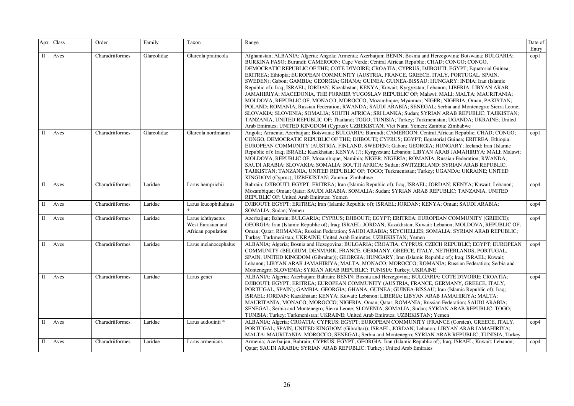| Apx                  | Class | Order           | Family      | Taxon                                                        | Range                                                                                                                                                                                                                                                                                                                                                                                                                                                                                                                                                                                                                                                                                                                                                                                                                                                                                                                                                                                                                                                                                                                                                                                                                            | Date of<br>Entry |
|----------------------|-------|-----------------|-------------|--------------------------------------------------------------|----------------------------------------------------------------------------------------------------------------------------------------------------------------------------------------------------------------------------------------------------------------------------------------------------------------------------------------------------------------------------------------------------------------------------------------------------------------------------------------------------------------------------------------------------------------------------------------------------------------------------------------------------------------------------------------------------------------------------------------------------------------------------------------------------------------------------------------------------------------------------------------------------------------------------------------------------------------------------------------------------------------------------------------------------------------------------------------------------------------------------------------------------------------------------------------------------------------------------------|------------------|
| $\mathbf I$          | Aves  | Charadriiformes | Glareolidae | Glareola pratincola                                          | Afghanistan; ALBANIA; Algeria; Angola; Armenia; Azerbaijan; BENIN; Bosnia and Herzegovina; Botswana; BULGARIA;<br>BURKINA FASO; Burundi; CAMEROON; Cape Verde; Central African Republic; CHAD; CONGO, CONGO,<br>DEMOCRATIC REPUBLIC OF THE; COTE D'IVOIRE; CROATIA; CYPRUS; DJIBOUTI; EGYPT; Equatorial Guinea;<br>ERITREA; Ethiopia; EUROPEAN COMMUNITY (AUSTRIA, FRANCE, GREECE, ITALY, PORTUGAL, SPAIN,<br>SWEDEN); Gabon; GAMBIA; GEORGIA; GHANA; GUINEA; GUINEA-BISSAU; HUNGARY; INDIA; Iran (Islamic<br>Republic of); Iraq; ISRAEL; JORDAN; Kazakhstan; KENYA; Kuwait; Kyrgyzstan; Lebanon; LIBERIA; LIBYAN ARAB<br>JAMAHIRIYA; MACEDONIA, THE FORMER YUGOSLAV REPUBLIC OF; Malawi; MALI; MALTA; MAURITANIA;<br>MOLDOVA, REPUBLIC OF; MONACO; MOROCCO; Mozambique; Myanmar; NIGER; NIGERIA; Oman; PAKISTAN;<br>POLAND; ROMANIA; Russian Federation; RWANDA; SAUDI ARABIA; SENEGAL; Serbia and Montenegro; Sierra Leone;<br>SLOVAKIA; SLOVENIA; SOMALIA; SOUTH AFRICA; SRI LANKA; Sudan; SYRIAN ARAB REPUBLIC; TAJIKISTAN;<br>TANZANIA, UNITED REPUBLIC OF; Thailand; TOGO; TUNISIA; Turkey; Turkmenistan; UGANDA; UKRAINE; United<br>Arab Emirates; UNITED KINGDOM (Cyprus); UZBEKISTAN; Viet Nam; Yemen; Zambia; Zimbabwe | $\text{cop}1$    |
| $\mathbf I$          | Aves  | Charadriiformes | Glareolidae | Glareola nordmanni                                           | Angola; Armenia; Azerbaijan; Botswana; BULGARIA; Burundi; CAMEROON; Central African Republic; CHAD; CONGO;<br>CONGO, DEMOCRATIC REPUBLIC OF THE; DJIBOUTI; CYPRUS; EGYPT; Equatorial Guinea; ERITREA; Ethiopia;<br>EUROPEAN COMMUNITY (AUSTRIA, FINLAND, SWEDEN); Gabon; GEORGIA; HUNGARY; Iceland; Iran (Islamic<br>Republic of); Iraq; ISRAEL; Kazakhstan; KENYA (?); Kyrgyzstan; Lebanon; LIBYAN ARAB JAMAHIRIYA; MALI; Malawi;<br>MOLDOVA, REPUBLIC OF; Mozambique; Namibia; NIGER; NIGERIA; ROMANIA; Russian Federation; RWANDA;<br>SAUDI ARABIA; SLOVAKIA; SOMALIA; SOUTH AFRICA; Sudan; SWITZERLAND; SYRIAN ARAB REPUBLIC;<br>TAJIKISTAN; TANZANIA, UNITED REPUBLIC OF; TOGO; Turkmenistan; Turkey; UGANDA; UKRAINE; UNITED<br>KINGDOM (Cyprus); UZBEKISTAN; Zambia; Zimbabwe                                                                                                                                                                                                                                                                                                                                                                                                                                             | $\text{cop}1$    |
| $\mathbf{I}$         | Aves  | Charadriiformes | Laridae     | Larus hemprichii                                             | Bahrain; DJIBOUTI; EGYPT; ERITREA; Iran (Islamic Republic of); Iraq; ISRAEL; JORDAN; KENYA; Kuwait; Lebanon;<br>Mozambique; Oman; Qatar; SAUDI ARABIA; SOMALIA; Sudan; SYRIAN ARAB REPUBLIC; TANZANIA, UNITED<br>REPUBLIC OF; United Arab Emirates; Yemen                                                                                                                                                                                                                                                                                                                                                                                                                                                                                                                                                                                                                                                                                                                                                                                                                                                                                                                                                                        | $\mathrm{cop}4$  |
| П                    | Aves  | Charadriiformes | Laridae     | Larus leucophthalmus                                         | DJIBOUTI; EGYPT; ERITREA; Iran (Islamic Republic of); ISRAEL; JORDAN; KENYA; Oman; SAUDI ARABIA;<br>SOMALIA; Sudan; Yemen                                                                                                                                                                                                                                                                                                                                                                                                                                                                                                                                                                                                                                                                                                                                                                                                                                                                                                                                                                                                                                                                                                        | cop4             |
| $\mathbf I$          | Aves  | Charadriiformes | Laridae     | Larus ichthyaetus<br>West Eurasian and<br>African population | Azerbaijan; Bahrain; BULGARIA; CYPRUS; DJIBOUTI; EGYPT; ERITREA; EUROPEAN COMMUNITY (GREECE);<br>GEORGIA; Iran (Islamic Republic of); Iraq; ISRAEL; JORDAN; Kazakhstan; Kuwait; Lebanon; MOLDOVA, REPUBLIC OF;<br>Oman; Qatar; ROMANIA; Russian Federation; SAUDI ARABIA; SEYCHELLES; SOMALIA; SYRIAN ARAB REPUBLIC;<br>Turkey: Turkmenistan; UKRAINE; United Arab Emirates; UZBEKISTAN; Yemen                                                                                                                                                                                                                                                                                                                                                                                                                                                                                                                                                                                                                                                                                                                                                                                                                                   | $\mathrm{cop}4$  |
| $\Pi$                | Aves  | Charadriiformes | Laridae     | Larus melanocephalus                                         | ALBANIA; Algeria; Bosnia and Hezegovina; BULGARIA; CROATIA; CYPRUS; CZECH REPUBLIC; EGYPT; EUROPEAN<br>COMMUNITY (BELGIUM, DENMARK, FRANCE, GERMANY, GREECE, ITALY, NETHERLANDS, PORTUGAL,<br>SPAIN, UNITED KINGDOM (Gibraltar)); GEORGIA; HUNGARY; Iran (Islamic Republic of); Iraq; ISRAEL; Kuwait;<br>Lebanon; LIBYAN ARAB JAMAHIRIYA; MALTA; MONACO; MOROCCO; ROMANIA; Russian Federation; Serbia and<br>Montenegro; SLOVENIA; SYRIAN ARAB REPUBLIC; TUNISIA; Turkey; UKRAINE                                                                                                                                                                                                                                                                                                                                                                                                                                                                                                                                                                                                                                                                                                                                                | $\mathrm{cop}4$  |
| $\scriptstyle\rm II$ | Aves  | Charadriiformes | Laridae     | Larus genei                                                  | ALBANIA; Algeria; Azerbaijan; Bahrain; BENIN; Bosnia and Herzegovina; BULGARIA; COTE D'IVOIRE; CROATIA;<br>DJIBOUTI; EGYPT; ERITREA; EUROPEAN COMMUNITY (AUSTRIA, FRANCE, GERMANY, GREECE, ITALY,<br>PORTUGAL, SPAIN); GAMBIA; GEORGIA; GHANA; GUINEA; GUINEA-BISSAU; Iran (Islamic Republic of); Iraq;<br>ISRAEL; JORDAN; Kazakhstan; KENYA; Kuwait; Lebanon; LIBERIA; LIBYAN ARAB JAMAHIRIYA; MALTA;<br>MAURITANIA; MONACO; MOROCCO; NIGERIA; Oman; Qatar; ROMANIA; Russian Federation; SAUDI ARABIA;<br>SENEGAL; Serbia and Montenegro; Sierra Leone; SLOVENIA; SOMALIA; Sudan; SYRIAN ARAB REPUBLIC; TOGO;<br>TUNISIA; Turkey; Turkmenistan; UKRAINE; United Arab Emirates; UZBEKISTAN; Yemen                                                                                                                                                                                                                                                                                                                                                                                                                                                                                                                                | $\mathrm{cop}4$  |
| П                    | Aves  | Charadriiformes | Laridae     | Larus audouinii *                                            | ALBANIA; Algeria; CROATIA; CYPRUS; EGYPT; EUROPEAN COMMUNITY (FRANCE (Corsica), GREECE, ITALY,<br>PORTUGAL; SPAIN, UNITED KINGDOM (Gibraltar)); ISRAEL; JORDAN; Lebanon; LIBYAN ARAB JAMAHIRIYA;<br>MALTA; MAURITANIA; MOROCCO; SENEGAL; Serbia and Montenegro; SYRIAN ARAB REPUBLIC; TUNISIA; Turkey                                                                                                                                                                                                                                                                                                                                                                                                                                                                                                                                                                                                                                                                                                                                                                                                                                                                                                                            | $\mathrm{cop}4$  |
| П                    | Aves  | Charadriiformes | Laridae     | Larus armenicus                                              | Armenia; Azerbaijan; Bahrain; CYPRUS; EGYPT; GEORGIA; Iran (Islamic Republic of); Iraq; ISRAEL; Kuwait; Lebanon;<br>Qatar; SAUDI ARABIA; SYRIAN ARAB REPUBLIC; Turkey; United Arab Emirates                                                                                                                                                                                                                                                                                                                                                                                                                                                                                                                                                                                                                                                                                                                                                                                                                                                                                                                                                                                                                                      | $\mathrm{cop}4$  |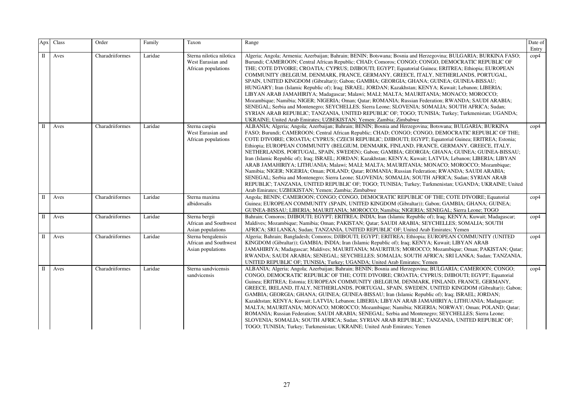| Apx          | Class | Order           | Family  | Taxon                                                                | Range                                                                                                                                                                                                                                                                                                                                                                                                                                                                                                                                                                                                                                                                                                                                                                                                                                                                                                                                                                                                                                                                                                      | Date of<br>Entry |
|--------------|-------|-----------------|---------|----------------------------------------------------------------------|------------------------------------------------------------------------------------------------------------------------------------------------------------------------------------------------------------------------------------------------------------------------------------------------------------------------------------------------------------------------------------------------------------------------------------------------------------------------------------------------------------------------------------------------------------------------------------------------------------------------------------------------------------------------------------------------------------------------------------------------------------------------------------------------------------------------------------------------------------------------------------------------------------------------------------------------------------------------------------------------------------------------------------------------------------------------------------------------------------|------------------|
| П            | Aves  | Charadriiformes | Laridae | Sterna nilotica nilotica<br>West Eurasian and<br>African populations | Algeria; Angola; Armenia; Azerbaijan; Bahrain; BENIN; Botswana; Bosnia and Herzegovina; BULGARIA; BURKINA FASO;<br>Burundi; CAMEROON; Central African Republic; CHAD; Comoros; CONGO; CONGO, DEMOCRATIC REPUBLIC OF<br>THE; COTE D'IVOIRE; CROATIA; CYPRUS; DJIBOUTI; EGYPT; Equatorial Guinea; ERITREA; Ethiopia; EUROPEAN<br>COMMUNITY (BELGIUM, DENMARK, FRANCE, GERMANY, GREECE, ITALY, NETHERLANDS, PORTUGAL,<br>SPAIN, UNITED KINGDOM (Gibraltar)); Gabon; GAMBIA; GEORGIA; GHANA; GUINEA; GUINEA-BISSAU;<br>HUNGARY; Iran (Islamic Republic of); Iraq; ISRAEL; JORDAN; Kazakhstan; KENYA; Kuwait; Lebanon; LIBERIA;<br>LIBYAN ARAB JAMAHIRIYA; Madagascar; Malawi; MALI; MALTA; MAURITANIA; MONACO; MOROCCO;<br>Mozambique; Namibia; NIGER; NIGERIA; Oman; Qatar; ROMANIA; Russian Federation; RWANDA; SAUDI ARABIA;<br>SENEGAL; Serbia and Montenegro; SEYCHELLES; Sierra Leone; SLOVENIA; SOMALIA; SOUTH AFRICA; Sudan;<br>SYRIAN ARAB REPUBLIC; TANZANIA, UNITED REPUBLIC OF; TOGO; TUNISIA; Turkey; Turkmenistan; UGANDA;<br>UKRAINE; United Arab Emirates; UZBEKISTAN; Yemen; Zambia; Zimbabwe | $\text{cop}4$    |
| $\mathbf{I}$ | Aves  | Charadriiformes | Laridae | Sterna caspia<br>West Eurasian and<br>African populations            | ALBANIA; Algeria; Angola; Azerbaijan; Bahrain; BENIN; Bosnia and Herzegovina; Botswana; BULGARIA; BURKINA<br>FASO; Burundi; CAMEROON; Central African Republic; CHAD; CONGO; CONGO, DEMOCRATIC REPUBLIC OF THE;<br>COTE D'IVOIRE; CROATIA; CYPRUS; CZECH REPUBLIC; DJIBOUTI; EGYPT; Equatorial Guinea; ERITREA; Estonia;<br>Ethiopia; EUROPEAN COMMUNITY (BELGIUM, DENMARK, FINLAND, FRANCE, GERMANY, GREECE, ITALY,<br>NETHERLANDS, PORTUGAL, SPAIN, SWEDEN); Gabon; GAMBIA; GEORGIA; GHANA; GUINEA; GUINEA-BISSAU;<br>Iran (Islamic Republic of); Iraq; ISRAEL; JORDAN; Kazakhstan; KENYA; Kuwait; LATVIA; Lebanon; LIBERIA; LIBYAN<br>ARAB JAMAHIRIYA; LITHUANIA; Malawi; MALI; MALTA; MAURITANIA; MONACO; MOROCCO; Mozambique;<br>Namibia; NIGER; NIGERIA; Oman; POLAND; Qatar; ROMANIA; Russian Federation; RWANDA; SAUDI ARABIA;<br>SENEGAL; Serbia and Montenegro; Sierra Leone; SLOVENIA; SOMALIA; SOUTH AFRICA; Sudan; SYRIAN ARAB<br>REPUBLIC; TANZANIA, UNITED REPUBLIC OF; TOGO; TUNISIA; Turkey; Turkmenistan; UGANDA; UKRAINE; United<br>Arab Emirates; UZBEKISTAN; Yemen; Zambia; Zimbabwe  | $\rm cop 4$      |
| П            | Aves  | Charadriiformes | Laridae | Sterna maxima<br>albidorsalis                                        | Angola; BENIN; CAMEROON; CONGO; CONGO, DEMOCRATIC REPUBLIC OF THE; COTE D'IVOIRE; Equatorial<br>Guinea; EUROPEAN COMMUNITY (SPAIN, UNITED KINGDOM (Gibraltar)); Gabon; GAMBIA; GHANA; GUINEA;<br>GUINEA-BISSAU; LIBERIA; MAURITANIA; MOROCCO; Namibia; NIGERIA; SENEGAL; Sierra Leone; TOGO                                                                                                                                                                                                                                                                                                                                                                                                                                                                                                                                                                                                                                                                                                                                                                                                                | $\rm cop 4$      |
| П            | Aves  | Charadriiformes | Laridae | Sterna bergii<br>African and Southwest<br>Asian populations          | Bahrain; Comoros; DJIBOUTI; EGYPT; ERITREA; INDIA; Iran (Islamic Republic of); Iraq; KENYA; Kuwait; Madagascar;<br>Maldives; Mozambique; Namibia; Oman; PAKISTAN; Qatar; SAUDI ARABIA; SEYCHELLES; SOMALIA; SOUTH<br>AFRICA; SRI LANKA; Sudan; TANZANIA, UNITED REPUBLIC OF; United Arab Emirates; Yemen                                                                                                                                                                                                                                                                                                                                                                                                                                                                                                                                                                                                                                                                                                                                                                                                   | $\rm cop 4$      |
| П            | Aves  | Charadriiformes | Laridae | Sterna bengalensis<br>African and Southwest<br>Asian populations     | Algeria; Bahrain; Bangladesh; Comoros; DJIBOUTI; EGYPT; ERITREA; Ethiopia; EUROPEAN COMMUNITY (UNITED<br>KINGDOM (Gibraltar)); GAMBIA; INDIA; Iran (Islamic Republic of); Iraq; KENYA; Kuwait; LIBYAN ARAB<br>JAMAHIRIYA; Madagascar; Maldives; MAURITANIA; MAURITIUS; MOROCCO; Mozambique; Oman; PAKISTAN; Qatar;<br>RWANDA; SAUDI ARABIA; SENEGAL; SEYCHELLES; SOMALIA; SOUTH AFRICA; SRI LANKA; Sudan; TANZANIA,<br>UNITED REPUBLIC OF; TUNISIA; Turkey; UGANDA; United Arab Emirates; Yemen                                                                                                                                                                                                                                                                                                                                                                                                                                                                                                                                                                                                            | $\rm cop 4$      |
| $\mathbf{I}$ | Aves  | Charadriiformes | Laridae | Sterna sandvicensis<br>sandvicensis                                  | ALBANIA; Algeria; Angola; Azerbaijan; Bahrain; BENIN; Bosnia and Herzegovina; BULGARIA; CAMEROON; CONGO;<br>CONGO, DEMOCRATIC REPUBLIC OF THE; COTE D'IVOIRE; CROATIA; CYPRUS; DJIBOUTI; EGYPT; Equatorial<br>Guinea; ERITREA; Estonia; EUROPEAN COMMUNITY (BELGIUM, DENMARK, FINLAND, FRANCE, GERMANY,<br>GREECE, IRELAND, ITALY, NETHERLANDS, PORTUGAL, SPAIN, SWEDEN, UNITED KINGDOM (Gibraltar)); Gabon;<br>GAMBIA; GEORGIA; GHANA; GUINEA; GUINEA-BISSAU; Iran (Islamic Republic of); Iraq; ISRAEL; JORDAN;<br>Kazakhstan; KENYA; Kuwait; LATVIA; Lebanon; LIBERIA; LIBYAN ARAB JAMAHIRIYA; LITHUANIA; Madagascar;<br>MALTA; MAURITANIA; MONACO; MOROCCO; Mozambique; Namibia; NIGERIA; NORWAY; Oman; POLAND; Qatar;<br>ROMANIA; Russian Federation; SAUDI ARABIA; SENEGAL; Serbia and Montenegro; SEYCHELLES; Sierra Leone;<br>SLOVENIA; SOMALIA; SOUTH AFRICA; Sudan; SYRIAN ARAB REPUBLIC; TANZANIA, UNITED REPUBLIC OF;<br>TOGO; TUNISIA; Turkey; Turkmenistan; UKRAINE; United Arab Emirates; Yemen                                                                                              | $\rm cop 4$      |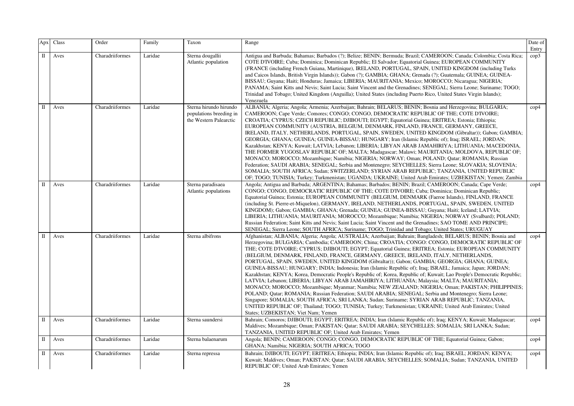| Apx          | Class | Order           | Family  | Taxon                                                                       | Range                                                                                                                                                                                                                                                                                                                                                                                                                                                                                                                                                                                                                                                                                                                                                                                                                                                                                                                                                                                                                                                                                                                                                                                                                                                                                                                     | Date of<br>Entry |
|--------------|-------|-----------------|---------|-----------------------------------------------------------------------------|---------------------------------------------------------------------------------------------------------------------------------------------------------------------------------------------------------------------------------------------------------------------------------------------------------------------------------------------------------------------------------------------------------------------------------------------------------------------------------------------------------------------------------------------------------------------------------------------------------------------------------------------------------------------------------------------------------------------------------------------------------------------------------------------------------------------------------------------------------------------------------------------------------------------------------------------------------------------------------------------------------------------------------------------------------------------------------------------------------------------------------------------------------------------------------------------------------------------------------------------------------------------------------------------------------------------------|------------------|
| П            | Aves  | Charadriiformes | Laridae | Sterna dougallii<br>Atlantic population                                     | Antigua and Barbuda; Bahamas; Barbados (?); Belize; BENIN; Bermuda; Brazil; CAMEROON; Canada; Colombia; Costa Rica;<br>COTE D'IVOIRE; Cuba; Dominica; Dominican Republic; El Salvador; Equatorial Guinea; EUROPEAN COMMUNITY<br>(FRANCE (including French Guiana, Martinique), IRELAND, PORTUGAL, SPAIN, UNITED KINGDOM (including Turks<br>and Caicos Islands, British Virgin Islands)); Gabon (?); GAMBIA; GHANA; Grenada (?); Guatemala; GUINEA; GUINEA-<br>BISSAU; Guyana; Haiti; Honduras; Jamaica; LIBERIA; MAURITANIA; Mexico; MOROCCO; Nicaragua; NIGERIA;<br>PANAMA; Saint Kitts and Nevis; Saint Lucia; Saint Vincent and the Grenadines; SENEGAL; Sierra Leone; Suriname; TOGO;<br>Trinidad and Tobago; United Kingdom (Anguilla); United States (including Puerto Rico, United States Virgin Islands);<br>Venezuela                                                                                                                                                                                                                                                                                                                                                                                                                                                                                           | cop3             |
| П            | Aves  | Charadriiformes | Laridae | Sterna hirundo hirundo<br>populations breeding in<br>the Western Palearctic | ALBANIA; Algeria; Angola; Armenia; Azerbaijan; Bahrain; BELARUS; BENIN; Bosnia and Herzegovina; BULGARIA;<br>CAMEROON; Cape Verde; Comores; CONGO; CONGO, DEMOCRATIC REPUBLIC OF THE; COTE D'IVOIRE;<br>CROATIA; CYPRUS; CZECH REPUBLIC; DJIBOUTI; EGYPT; Equatorial Guinea; ERITREA; Estonia; Ethiopia;<br>EUROPEAN COMMUNITY (AUSTRIA, BELGIUM, DENMARK, FINLAND, FRANCE, GERMANY, GREECE,<br>IRELAND, ITALY, NETHERLANDS, PORTUGAL, SPAIN, SWEDEN, UNITED KINGDOM (Gibraltar)); Gabon; GAMBIA;<br>GEORGIA; GHANA; GUINEA; GUINEA-BISSAU; HUNGARY; Iran (Islamic Republic of); Iraq; ISRAEL; JORDAN;<br>Kazakhstan; KENYA; Kuwait; LATVIA; Lebanon; LIBERIA; LIBYAN ARAB JAMAHIRIYA; LITHUANIA; MACEDONIA,<br>THE FORMER YUGOSLAV REPUBLIC OF; MALTA; Madagascar; Malawi; MAURITANIA; MOLDOVA, REPUBLIC OF;<br>MONACO; MOROCCO; Mozambique; Namibia; NIGERIA; NORWAY; Oman; POLAND; Qatar; ROMANIA; Russian<br>Federation; SAUDI ARABIA; SENEGAL; Serbia and Montenegro; SEYCHELLES; Sierra Leone; SLOVAKIA; SLOVENIA;<br>SOMALIA; SOUTH AFRICA; Sudan; SWITZERLAND; SYRIAN ARAB REPUBLIC; TANZANIA, UNITED REPUBLIC<br>OF; TOGO; TUNISIA; Turkey; Turkmenistan; UGANDA; UKRAINE; United Arab Emirates; UZBEKISTAN; Yemen; Zambia                                                                                       | $\rm cop 4$      |
| $\Pi$        | Aves  | Charadriiformes | Laridae | Sterna paradisaea<br>Atlantic populations                                   | Angola; Antigua and Barbuda; ARGENTINA; Bahamas; Barbados; BENIN; Brazil; CAMEROON; Canada; Cape Verde;<br>CONGO; CONGO, DEMOCRATIC REPUBLIC OF THE; COTE D'IVOIRE; Cuba; Dominica; Dominican Republic;<br>Equatorial Guinea; Estonia; EUROPEAN COMMUNITY (BELGIUM, DENMARK (Faeroe Islands), FINLAND, FRANCE<br>(including St. Pierre-et-Miquelon), GERMANY, IRELAND, NETHERLANDS, PORTUGAL, SPAIN, SWEDEN, UNITED<br>KINGDOM); Gabon; GAMBIA; GHANA; Grenada; GUINEA; GUINEA-BISSAU; Guyana; Haiti; Iceland; LATVIA;<br>LIBERIA; LITHUANIA; MAURITANIA; MOROCCO; Mozambique; Namibia; NIGERIA; NORWAY (Svalbard); POLAND;<br>Russian Federation; Saint Kitts and Nevis; Saint Lucia; Saint Vincent and the Grenadines; SAO TOME AND PRINCIPE;<br>SENEGAL; Sierra Leone; SOUTH AFRICA; Suriname; TOGO; Trinidad and Tobago; United States; URUGUAY                                                                                                                                                                                                                                                                                                                                                                                                                                                                       | $\mathrm{cop}4$  |
| $\rm{II}$    | Aves  | Charadriiformes | Laridae | Sterna albifrons                                                            | Afghanistan; ALBANIA; Algeria; Angola; AUSTRALIA; Azerbaijan; Bahrain; Bangladesh; BELARUS; BENIN; Bosnia and<br>Herzegovina; BULGARIA; Cambodia; CAMEROON; China; CROATIA; CONGO: CONGO, DEMOCRATIC REPUBLIC OF<br>THE; COTE D'IVOIRE; CYPRUS; DJIBOUTI; EGYPT; Equatorial Guinea; ERITREA; Estonia; EUROPEAN COMMUNITY<br>(BELGIUM, DENMARK, FINLAND, FRANCE, GERMANY, GREECE, IRELAND, ITALY, NETHERLANDS,<br>PORTUGAL, SPAIN, SWEDEN, UNITED KINGDOM (Gibraltar)); Gabon; GAMBIA; GEORGIA; GHANA; GUINEA;<br>GUINEA-BISSAU; HUNGARY; INDIA; Indonesia; Iran (Islamic Republic of); Iraq; ISRAEL; Jamaica; Japan; JORDAN;<br>Kazakhstan; KENYA; Korea, Democratic People's Republic of; Korea, Republic of; Kuwait; Lao People's Democratic Republic;<br>LATVIA; Lebanon; LIBERIA; LIBYAN ARAB JAMAHIRIYA; LITHUANIA; Malaysia; MALTA; MAURITANIA;<br>MONACO; MOROCCO; Mozambique; Myanmar; Namibia; NEW ZEALAND; NIGERIA; Oman; PAKISTAN; PHILIPPINES;<br>POLAND; Qatar; ROMANIA; Russian Federation; SAUDI ARABIA; SENEGAL; Serbia and Montenegro; Sierra Leone;<br>Singapore; SOMALIA; SOUTH AFRICA; SRI LANKA; Sudan; Suriname; SYRIAN ARAB REPUBLIC; TANZANIA,<br>UNITED REPUBLIC OF; Thailand; TOGO; TUNISIA; Turkey; Turkmenistan; UKRAINE; United Arab Emirates; United<br>States; UZBEKISTAN; Viet Nam; Yemen | cop4             |
| $\mathbf{I}$ | Aves  | Charadriiformes | Laridae | Sterna saundersi                                                            | Bahrain; Comoros; DJIBOUTI; EGYPT; ERITREA; INDIA; Iran (Islamic Republic of); Iraq; KENYA; Kuwait; Madagascar;<br>Maldives; Mozambique; Oman; PAKISTAN; Oatar; SAUDI ARABIA; SEYCHELLES; SOMALIA; SRI LANKA; Sudan;<br>TANZANIA, UNITED REPUBLIC OF; United Arab Emirates; Yemen                                                                                                                                                                                                                                                                                                                                                                                                                                                                                                                                                                                                                                                                                                                                                                                                                                                                                                                                                                                                                                         | cop4             |
| $\mathbf{I}$ | Aves  | Charadriiformes | Laridae | Sterna balaenarum                                                           | Angola; BENIN; CAMEROON; CONGO; CONGO, DEMOCRATIC REPUBLIC OF THE; Equatorial Guinea; Gabon;<br>GHANA; Namibia; NIGERIA; SOUTH AFRICA; TOGO                                                                                                                                                                                                                                                                                                                                                                                                                                                                                                                                                                                                                                                                                                                                                                                                                                                                                                                                                                                                                                                                                                                                                                               | $\rm cop 4$      |
| Π            | Aves  | Charadriiformes | Laridae | Sterna repressa                                                             | Bahrain; DJIBOUTI; EGYPT; ERITREA; Ethiopia; INDIA; Iran (Islamic Republic of); Iraq; ISRAEL; JORDAN; KENYA;<br>Kuwait; Maldives; Oman; PAKISTAN; Qatar; SAUDI ARABIA; SEYCHELLES; SOMALIA; Sudan; TANZANIA, UNITED<br>REPUBLIC OF; United Arab Emirates; Yemen                                                                                                                                                                                                                                                                                                                                                                                                                                                                                                                                                                                                                                                                                                                                                                                                                                                                                                                                                                                                                                                           | cop4             |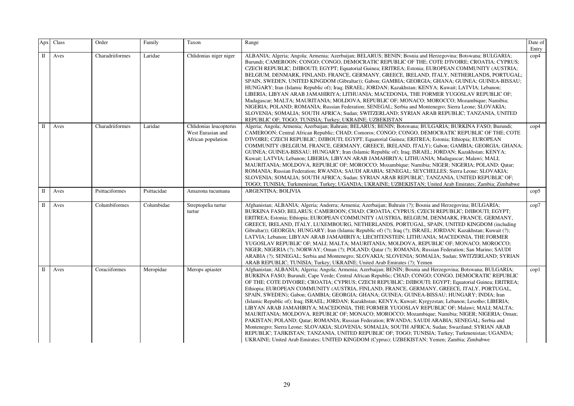| Apx | Class | Order           | Family      | Taxon                                                             | Range                                                                                                                                                                                                                                                                                                                                                                                                                                                                                                                                                                                                                                                                                                                                                                                                                                                                                                                                                                                                                                                                                                                                                                                                                                                | Date of<br>Entry |
|-----|-------|-----------------|-------------|-------------------------------------------------------------------|------------------------------------------------------------------------------------------------------------------------------------------------------------------------------------------------------------------------------------------------------------------------------------------------------------------------------------------------------------------------------------------------------------------------------------------------------------------------------------------------------------------------------------------------------------------------------------------------------------------------------------------------------------------------------------------------------------------------------------------------------------------------------------------------------------------------------------------------------------------------------------------------------------------------------------------------------------------------------------------------------------------------------------------------------------------------------------------------------------------------------------------------------------------------------------------------------------------------------------------------------|------------------|
| П   | Aves  | Charadriiformes | Laridae     | Chlidonias niger niger                                            | ALBANIA; Algeria; Angola; Armenia; Azerbaijan; BELARUS; BENIN; Bosnia and Herzegovina; Botswana; BULGARIA;<br>Burundi; CAMEROON; CONGO; CONGO, DEMOCRATIC REPUBLIC OF THE; COTE D'IVOIRE; CROATIA; CYPRUS;<br>CZECH REPUBLIC; DJIBOUTI; EGYPT; Equatorial Guinea; ERITREA; Estonia; EUROPEAN COMMUNITY (AUSTRIA;<br>BELGIUM, DENMARK, FINLAND, FRANCE, GERMANY, GREECE, IRELAND, ITALY, NETHERLANDS, PORTUGAL;<br>SPAIN, SWEDEN, UNITED KINGDOM (Gibraltar)); Gabon; GAMBIA; GEORGIA; GHANA; GUINEA; GUINEA-BISSAU;<br>HUNGARY; Iran (Islamic Republic of); Iraq; ISRAEL; JORDAN; Kazakhstan; KENYA; Kuwait; LATVIA; Lebanon;<br>LIBERIA; LIBYAN ARAB JAMAHIRIYA; LITHUANIA; MACEDONIA, THE FORMER YUGOSLAV REPUBLIC OF;<br>Madagascar; MALTA; MAURITANIA; MOLDOVA, REPUBLIC OF; MONACO; MOROCCO; Mozambique; Namibia;<br>NIGERIA; POLAND; ROMANIA; Russian Federation; SENEGAL; Serbia and Montenegro; Sierra Leone; SLOVAKIA;<br>SLOVENIA; SOMALIA; SOUTH AFRICA; Sudan; SWITZERLAND; SYRIAN ARAB REPUBLIC; TANZANIA, UNITED<br>REPUBLIC OF; TOGO; TUNISIA; Turkey; UKRAINE; UZBEKISTAN                                                                                                                                                            | $\rm cop 4$      |
| П   | Aves  | Charadriiformes | Laridae     | Chlidonias leucopterus<br>West Eurasian and<br>African population | Algeria; Angola; Armenia; Azerbaijan; Bahrain; BELARUS; BENIN; Botswana; BULGARIA; BURKINA FASO; Burundi;<br>CAMEROON; Central African Republic; CHAD; Comoros; CONGO; CONGO, DEMOCRATIC REPUBLIC OF THE; COTE<br>D'IVOIRE; CZECH REPUBLIC; DJIBOUTI; EGYPT; Equatorial Guinea; ERITREA; Estonia; Ethiopia; EUROPEAN<br>COMMUNITY (BELGIUM, FRANCE, GERMANY, GREECE, IRELAND, ITALY); Gabon; GAMBIA; GEORGIA; GHANA;<br>GUINEA; GUINEA-BISSAU; HUNGARY; Iran (Islamic Republic of); Iraq; ISRAEL; JORDAN; Kazakhstan; KENYA;<br>Kuwait; LATVIA; Lebanon; LIBERIA; LIBYAN ARAB JAMAHIRIYA; LITHUANIA; Madagascar; Malawi; MALI;<br>MAURITANIA; MOLDOVA, REPUBLIC OF; MOROCCO; Mozambique; Namibia; NIGER; NIGERIA; POLAND; Qatar;<br>ROMANIA; Russian Federation; RWANDA; SAUDI ARABIA; SENEGAL; SEYCHELLES; Sierra Leone; SLOVAKIA;<br>SLOVENIA; SOMALIA; SOUTH AFRICA; Sudan; SYRIAN ARAB REPUBLIC; TANZANIA, UNITED REPUBLIC OF;<br>TOGO; TUNISIA; Turkmenistan; Turkey; UGANDA; UKRAINE; UZBEKISTAN; United Arab Emirates; Zambia; Zimbabwe                                                                                                                                                                                                       | $\rm cop 4$      |
| П   | Aves  | Psittaciformes  | Psittacidae | Amazona tucumana                                                  | ARGENTINA; BOLIVIA                                                                                                                                                                                                                                                                                                                                                                                                                                                                                                                                                                                                                                                                                                                                                                                                                                                                                                                                                                                                                                                                                                                                                                                                                                   | $\rm cop5$       |
| П   | Aves  | Columbiformes   | Columbidae  | Streptopelia turtur<br>turtur                                     | Afghanistan; ALBANIA; Algeria; Andorra; Armenia; Azerbaijan; Bahrain (?); Bosnia and Herzegovina; BULGARIA;<br>BURKINA FASO; BELARUS; CAMEROON; CHAD; CROATIA; CYPRUS; CZECH REPUBLIC; DJIBOUTI; EGYPT;<br>ERITREA; Estonia; Ethiopia; EUROPEAN COMMUNITY (AUSTRIA, BELGIUM, DENMARK, FRANCE, GERMANY,<br>GREECE, IRELAND, ITALY, LUXEMBOURG, NETHERLANDS, PORTUGAL, SPAIN, UNITED KINGDOM (including<br>Gibraltar)); GEORGIA; HUNGARY; Iran (Islamic Republic of) (?); Iraq (?); ISRAEL; JORDAN; Kazakhstan; Kuwait (?);<br>LATVIA; Lebanon; LIBYAN ARAB JAMAHIRIYA; LIECHTENSTEIN; LITHUANIA; MACEDONIA, THE FORMER<br>YUGOSLAV REPUBLIC OF; MALI; MALTA; MAURITANIA; MOLDOVA, REPUBLIC OF; MONACO; MOROCCO;<br>NIGER; NIGERIA (?); NORWAY; Oman (?); POLAND; Qatar (?); ROMANIA; Russian Federation; San Marino; SAUDI<br>ARABIA (?); SENEGAL; Serbia and Montenegro; SLOVAKIA; SLOVENIA; SOMALIA; Sudan; SWITZERLAND; SYRIAN<br>ARAB REPUBLIC; TUNISIA; Turkey; UKRAINE; United Arab Emirates (?); Yemen                                                                                                                                                                                                                                         | cop7             |
| П   | Aves  | Coraciiformes   | Meropidae   | Merops apiaster                                                   | Afghanistan; ALBANIA; Algeria; Angola; Armenia; Azerbaijan; BENIN; Bosnia and Herzegovina; Botswana; BULGARIA;<br>BURKINA FASO; Burundi; Cape Verde; Central African Republic; CHAD; CONGO; CONGO, DEMOCRATIC REPUBLIC<br>OF THE; COTE D'IVOIRE; CROATIA; CYPRUS; CZECH REPUBLIC; DJIBOUTI; EGYPT; Equatorial Guinea; ERITREA;<br>Ethiopia; EUROPEAN COMMUNITY (AUSTRIA, FINLAND, FRANCE, GERMANY, GREECE, ITALY, PORTUGAL,<br>SPAIN, SWEDEN); Gabon; GAMBIA; GEORGIA; GHANA; GUINEA; GUINEA-BISSAU; HUNGARY; INDIA; Iran<br>(Islamic Republic of); Iraq; ISRAEL; JORDAN; Kazakhstan; KENYA; Kuwait; Kyrgyzstan; Lebanon; Lesotho; LIBERIA;<br>LIBYAN ARAB JAMAHIRIYA; MACEDONIA, THE FORMER YUGOSLAV REPUBLIC OF; Malawi; MALI; MALTA;<br>MAURITANIA; MOLDOVA, REPUBLIC OF; MONACO; MOROCCO; Mozambique; Namibia; NIGER; NIGERIA; Oman;<br>PAKISTAN; POLAND; Qatar; ROMANIA; Russian Federation; RWANDA; SAUDI ARABIA; SENEGAL; Serbia and<br>Montenegro; Sierra Leone; SLOVAKIA; SLOVENIA; SOMALIA; SOUTH AFRICA; Sudan; Swaziland; SYRIAN ARAB<br>REPUBLIC; TAJIKISTAN; TANZANIA, UNITED REPUBLIC OF; TOGO; TUNISIA; Turkey; Turkmenistan; UGANDA;<br>UKRAINE; United Arab Emirates; UNITED KINGDOM (Cyprus); UZBEKISTAN; Yemen; Zambia; Zimbabwe | $\text{cop}1$    |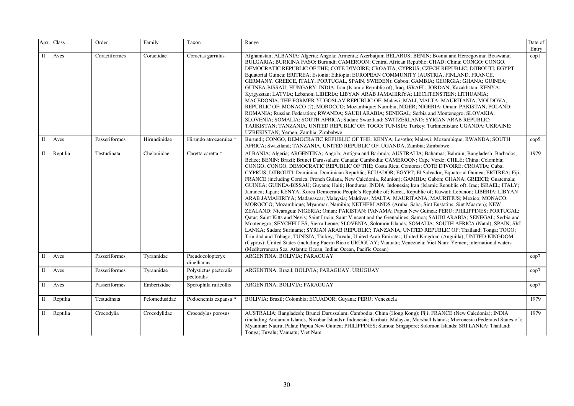| Apx          | Class    | Order         | Family        | Taxon                                | Range                                                                                                                                                                                                                                                                                                                                                                                                                                                                                                                                                                                                                                                                                                                                                                                                                                                                                                                                                                                                                                                                                                                                                                                                                                                                                                                                                                                                                                                                                                                                                                                                                                                                                                                                                                           | Date of<br>Entry |
|--------------|----------|---------------|---------------|--------------------------------------|---------------------------------------------------------------------------------------------------------------------------------------------------------------------------------------------------------------------------------------------------------------------------------------------------------------------------------------------------------------------------------------------------------------------------------------------------------------------------------------------------------------------------------------------------------------------------------------------------------------------------------------------------------------------------------------------------------------------------------------------------------------------------------------------------------------------------------------------------------------------------------------------------------------------------------------------------------------------------------------------------------------------------------------------------------------------------------------------------------------------------------------------------------------------------------------------------------------------------------------------------------------------------------------------------------------------------------------------------------------------------------------------------------------------------------------------------------------------------------------------------------------------------------------------------------------------------------------------------------------------------------------------------------------------------------------------------------------------------------------------------------------------------------|------------------|
| $\mathbf{I}$ | Aves     | Coraciiformes | Coraciidae    | Coracias garrulus                    | Afghanistan; ALBANIA; Algeria; Angola; Armenia; Azerbaijan; BELARUS; BENIN; Bosnia and Herzegovina; Botswana;<br>BULGARIA; BURKINA FASO; Burundi; CAMEROON; Central African Republic; CHAD; China; CONGO; CONGO,<br>DEMOCRATIC REPUBLIC OF THE; COTE D'IVOIRE; CROATIA; CYPRUS; CZECH REPUBLIC; DJIBOUTI; EGYPT;<br>Equatorial Guinea; ERITREA; Estonia; Ethiopia; EUROPEAN COMMUNITY (AUSTRIA, FINLAND, FRANCE,<br>GERMANY, GREECE, ITALY, PORTUGAL, SPAIN, SWEDEN); Gabon; GAMBIA; GEORGIA; GHANA; GUINEA;<br>GUINEA-BISSAU; HUNGARY; INDIA; Iran (Islamic Republic of); Iraq; ISRAEL; JORDAN; Kazakhstan; KENYA;<br>Kyrgyzstan; LATVIA; Lebanon; LIBERIA; LIBYAN ARAB JAMAHIRIYA; LIECHTENSTEIN; LITHUANIA;<br>MACEDONIA, THE FORMER YUGOSLAV REPUBLIC OF; Malawi; MALI; MALTA; MAURITANIA; MOLDOVA,<br>REPUBLIC OF; MONACO (?); MOROCCO; Mozambique; Namibia; NIGER; NIGERIA; Oman; PAKISTAN; POLAND;<br>ROMANIA; Russian Federation; RWANDA; SAUDI ARABIA; SENEGAL; Serbia and Montenegro; SLOVAKIA;<br>SLOVENIA; SOMALIA; SOUTH AFRICA; Sudan; Swaziland; SWITZERLAND; SYRIAN ARAB REPUBLIC;<br>TAJIKISTAN; TANZANIA, UNITED REPUBLIC OF; TOGO; TUNISIA; Turkey; Turkmenistan; UGANDA; UKRAINE;<br>UZBEKISTAN; Yemen; Zambia; Zimbabwe                                                                                                                                                                                                                                                                                                                                                                                                                                                                                                                                    | $\text{cop}1$    |
| П            | Aves     | Passeriformes | Hirundinidae  | Hirundo atrocaerulea *               | Burundi; CONGO, DEMOCRATIC REPUBLIC OF THE: KENYA; Lesotho; Malawi; Mozambique; RWANDA; SOUTH<br>AFRICA; Swaziland; TANZANIA, UNITED REPUBLIC OF; UGANDA; Zambia; Zimbabwe                                                                                                                                                                                                                                                                                                                                                                                                                                                                                                                                                                                                                                                                                                                                                                                                                                                                                                                                                                                                                                                                                                                                                                                                                                                                                                                                                                                                                                                                                                                                                                                                      | $\text{cop}5$    |
| П            | Reptilia | Testudinata   | Cheloniidae   | Caretta caretta *                    | ALBANIA; Algeria; ARGENTINA; Angola; Antigua and Barbuda; AUSTRALIA; Bahamas; Bahrain; Bangladesh; Barbados;<br>Belize; BENIN; Brazil; Brunei Darussalam; Canada; Cambodia; CAMEROON; Cape Verde; CHILE; China; Colombia;<br>CONGO; CONGO, DEMOCRATIC REPUBLIC OF THE; Costa Rica; Comores; COTE D'IVOIRE; CROATIA; Cuba;<br>CYPRUS; DJIBOUTI; Dominica; Dominican Republic; ECUADOR; EGYPT; El Salvador; Equatorial Guinea; ERITREA; Fiji;<br>FRANCE (including Corsica, French Guiana, New Caledonia, Réunion); GAMBIA; Gabon; GHANA; GREECE; Guatemala;<br>GUINEA; GUINEA-BISSAU; Guyana; Haiti; Honduras; INDIA; Indonesia; Iran (Islamic Republic of); Iraq; ISRAEL; ITALY;<br>Jamaica; Japan; KENYA; Korea Democratic People's Republic of; Korea, Republic of; Kuwait; Lebanon; LIBERIA; LIBYAN<br>ARAB JAMAHIRIYA; Madagascar; Malaysia; Maldives; MALTA; MAURITANIA; MAURITIUS; Mexico; MONACO;<br>MOROCCO; Mozambique; Myanmar; Namibia; NETHERLANDS (Aruba, Saba, Sint Eustatius, Sint Maarten); NEW<br>ZEALAND; Nicaragua; NIGERIA; Oman; PAKISTAN; PANAMA; Papua New Guinea; PERU; PHILIPPINES; PORTUGAL;<br>Qatar; Saint Kitts and Nevis; Saint Lucia; Saint Vincent and the Grenadines; Samoa; SAUDI ARABIA; SENEGAL; Serbia and<br>Montenegro; SEYCHELLES; Sierra Leone; SLOVENIA; Solomon Islands; SOMALIA; SOUTH AFRICA (Natal); SPAIN; SRI<br>LANKA; Sudan; Suriname; SYRIAN ARAB REPUBLIC; TANZANIA, UNITED REPUBLIC OF; Thailand; Tonga; TOGO;<br>Trinidad and Tobago; TUNISIA; Turkey; Tuvalu; United Arab Emirates; United Kingdom (Anguilla); UNITED KINGDOM<br>(Cyprus); United States (including Puerto Rico); URUGUAY; Vanuatu; Venezuela; Viet Nam; Yemen; international waters<br>(Mediterranean Sea, Atlantic Ocean, Indian Ocean, Pacific Ocean) | 1979             |
| П            | Aves     | Passeriformes | Tyrannidae    | Pseudocolopteryx<br>dinellianus      | ARGENTINA; BOLIVIA; PARAGUAY                                                                                                                                                                                                                                                                                                                                                                                                                                                                                                                                                                                                                                                                                                                                                                                                                                                                                                                                                                                                                                                                                                                                                                                                                                                                                                                                                                                                                                                                                                                                                                                                                                                                                                                                                    | cop7             |
| П            | Aves     | Passeriformes | Tyrannidae    | Polystictus pectoralis<br>pectoralis | ARGENTINA; Brazil; BOLIVIA; PARAGUAY; URUGUAY                                                                                                                                                                                                                                                                                                                                                                                                                                                                                                                                                                                                                                                                                                                                                                                                                                                                                                                                                                                                                                                                                                                                                                                                                                                                                                                                                                                                                                                                                                                                                                                                                                                                                                                                   | cop7             |
| П            | Aves     | Passeriformes | Emberizidae   | Sporophila ruficollis                | ARGENTINA; BOLIVIA; PARAGUAY                                                                                                                                                                                                                                                                                                                                                                                                                                                                                                                                                                                                                                                                                                                                                                                                                                                                                                                                                                                                                                                                                                                                                                                                                                                                                                                                                                                                                                                                                                                                                                                                                                                                                                                                                    | cop7             |
| П            | Reptilia | Testudinata   | Pelomedusidae | Podocnemis expansa *                 | BOLIVIA; Brazil; Colombia; ECUADOR; Guyana; PERU; Venezuela                                                                                                                                                                                                                                                                                                                                                                                                                                                                                                                                                                                                                                                                                                                                                                                                                                                                                                                                                                                                                                                                                                                                                                                                                                                                                                                                                                                                                                                                                                                                                                                                                                                                                                                     | 1979             |
| П            | Reptilia | Crocodylia    | Crocodylidae  | Crocodylus porosus                   | AUSTRALIA; Bangladesh; Brunei Darussalam; Cambodia; China (Hong Kong); Fiji; FRANCE (New Caledonia); INDIA<br>(including Andaman Islands, Nicobar Islands); Indonesia; Kiribati; Malaysia; Marshall Islands; Micronesia (Federated States of);<br>Myanmar; Nauru; Palau; Papua New Guinea; PHILIPPINES; Samoa; Singapore; Solomon Islands; SRI LANKA; Thailand;<br>Tonga; Tuvalu; Vanuatu; Viet Nam                                                                                                                                                                                                                                                                                                                                                                                                                                                                                                                                                                                                                                                                                                                                                                                                                                                                                                                                                                                                                                                                                                                                                                                                                                                                                                                                                                             | 1979             |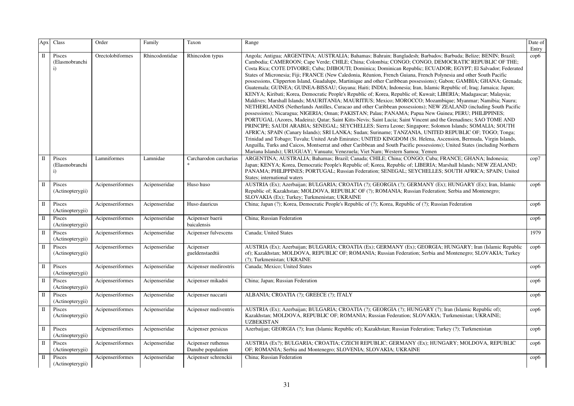| Apx          | Class                                    | Order            | Family         | Taxon                                   | Range                                                                                                                                                                                                                                                                                                                                                                                                                                                                                                                                                                                                                                                                                                                                                                                                                                                                                                                                                                                                                                                                                                                                                                                                                                                                                                                                                                                                                                                                                                                                                                                                                                                                                                                                                                                                                                                          | Date of<br>Entry |
|--------------|------------------------------------------|------------------|----------------|-----------------------------------------|----------------------------------------------------------------------------------------------------------------------------------------------------------------------------------------------------------------------------------------------------------------------------------------------------------------------------------------------------------------------------------------------------------------------------------------------------------------------------------------------------------------------------------------------------------------------------------------------------------------------------------------------------------------------------------------------------------------------------------------------------------------------------------------------------------------------------------------------------------------------------------------------------------------------------------------------------------------------------------------------------------------------------------------------------------------------------------------------------------------------------------------------------------------------------------------------------------------------------------------------------------------------------------------------------------------------------------------------------------------------------------------------------------------------------------------------------------------------------------------------------------------------------------------------------------------------------------------------------------------------------------------------------------------------------------------------------------------------------------------------------------------------------------------------------------------------------------------------------------------|------------------|
| $\mathbf I$  | Pisces<br>(Elasmobranchi<br>$\ddot{i}$   | Orectolobiformes | Rhincodontidae | Rhincodon typus                         | Angola; Antigua; ARGENTINA; AUSTRALIA; Bahamas; Bahrain; Bangladesh; Barbados; Barbuda; Belize; BENIN; Brazil;<br>Cambodia; CAMEROON; Cape Verde; CHILE; China; Colombia; CONGO; CONGO, DEMOCRATIC REPUBLIC OF THE;<br>Costa Rica; COTE D'IVOIRE; Cuba; DJIBOUTI; Dominica; Dominican Republic; ECUADOR; EGYPT; El Salvador; Federated<br>States of Micronesia; Fiji; FRANCE (New Caledonia, Réunion, French Guiana, French Polynesia and other South Pacific<br>possessions, Clipperton Island, Guadalupe, Martinique and other Caribbean possessions); Gabon; GAMBIA; GHANA; Grenada;<br>Guatemala; GUINEA; GUINEA-BISSAU; Guyana; Haiti; INDIA; Indonesia; Iran, Islamic Republic of; Iraq; Jamaica; Japan;<br>KENYA; Kiribati; Korea, Democratic People's Republic of; Korea, Republic of; Kuwait; LIBERIA; Madagascar; Malaysia;<br>Maldives; Marshall Islands; MAURITANIA; MAURITIUS; Mexico; MOROCCO; Mozambique; Myanmar; Namibia; Nauru;<br>NETHERLANDS (Netherlands Antilles, Curacao and other Caribbean possessions); NEW ZEALAND (including South Pacific<br>possessions); Nicaragua; NIGERIA; Oman; PAKISTAN; Palau; PANAMA; Papua New Guinea; PERU; PHILIPPINES;<br>PORTUGAL (Azores, Madeira); Qatar; Saint Kitts-Nevis; Saint Lucia; Saint Vincent and the Grenadines; SAO TOME AND<br>PRINCIPE; SAUDI ARABIA; SENEGAL; SEYCHELLES; Sierra Leone; Singapore; Solomon Islands; SOMALIA; SOUTH<br>AFRICA; SPAIN (Canary Islands); SRI LANKA; Sudan; Suriname; TANZANIA, UNITED REPUBLIC OF; TOGO; Tonga;<br>Trinidad and Tobago; Tuvalu; United Arab Emirates; UNITED KINGDOM (St. Helena, Ascension, Bermuda, Virgin Islands,<br>Anguilla, Turks and Caicos, Montserrat and other Caribbean and South Pacific possessions); United States (including Northern<br>Mariana Islands); URUGUAY; Vanuatu; Venezuela; Viet Nam; Western Samoa; Yemen | $\rm cop6$       |
| $\mathbf{I}$ | Pisces<br>(Elasmobranchi<br>$\mathbf{i}$ | Lamniformes      | Lamnidae       | Carcharodon carcharias                  | ARGENTINA; AUSTRALIA; Bahamas; Brazil; Canada; CHILE; China; CONGO; Cuba; FRANCE; GHANA; Indonesia;<br>Japan; KENYA; Korea, Democratic People's Republic of; Korea, Republic of; LIBERIA; Marshall Islands; NEW ZEALAND;<br>PANAMA; PHILIPPINES; PORTUGAL; Russian Federation; SENEGAL; SEYCHELLES; SOUTH AFRICA; SPAIN; United<br>States; international waters                                                                                                                                                                                                                                                                                                                                                                                                                                                                                                                                                                                                                                                                                                                                                                                                                                                                                                                                                                                                                                                                                                                                                                                                                                                                                                                                                                                                                                                                                                | cop7             |
| $\;$ II      | Pisces<br>(Actinopterygii)               | Acipenseriformes | Acipenseridae  | Huso huso                               | AUSTRIA (Ex); Azerbaijan; BULGARIA; CROATIA (?); GEORGIA (?); GERMANY (Ex); HUNGARY (Ex); Iran, Islamic<br>Republic of; Kazakhstan; MOLDOVA, REPUBLIC OF (?); ROMANIA; Russian Federation; Serbia and Montenegro;<br>SLOVAKIA (Ex); Turkey; Turkmenistan; UKRAINE                                                                                                                                                                                                                                                                                                                                                                                                                                                                                                                                                                                                                                                                                                                                                                                                                                                                                                                                                                                                                                                                                                                                                                                                                                                                                                                                                                                                                                                                                                                                                                                              | $\rm cop6$       |
| $\;$ II      | Pisces<br>(Actinopterygii)               | Acipenseriformes | Acipenseridae  | Huso dauricus                           | China; Japan (?); Korea, Democratic People's Republic of (?); Korea, Republic of (?); Russian Federation                                                                                                                                                                                                                                                                                                                                                                                                                                                                                                                                                                                                                                                                                                                                                                                                                                                                                                                                                                                                                                                                                                                                                                                                                                                                                                                                                                                                                                                                                                                                                                                                                                                                                                                                                       | $\rm cop6$       |
| $\mathbf{I}$ | Pisces<br>(Actinopterygii)               | Acipenseriformes | Acipenseridae  | Acipenser baerii<br>baicalensis         | China; Russian Federation                                                                                                                                                                                                                                                                                                                                                                                                                                                                                                                                                                                                                                                                                                                                                                                                                                                                                                                                                                                                                                                                                                                                                                                                                                                                                                                                                                                                                                                                                                                                                                                                                                                                                                                                                                                                                                      | $\rm cop6$       |
| $\mathbf{I}$ | Pisces<br>(Actinopterygii)               | Acipenseriformes | Acipenseridae  | Acipenser fulvescens                    | Canada; United States                                                                                                                                                                                                                                                                                                                                                                                                                                                                                                                                                                                                                                                                                                                                                                                                                                                                                                                                                                                                                                                                                                                                                                                                                                                                                                                                                                                                                                                                                                                                                                                                                                                                                                                                                                                                                                          | 1979             |
| $\;$ II      | Pisces<br>(Actinopterygii)               | Acipenseriformes | Acipenseridae  | Acipenser<br>gueldenstaedtii            | AUSTRIA (Ex); Azerbaijan; BULGARIA; CROATIA (Ex); GERMANY (Ex); GEORGIA; HUNGARY; Iran (Islamic Republic<br>of); Kazakhstan; MOLDOVA, REPUBLIC OF; ROMANIA; Russian Federation; Serbia and Montenegro; SLOVAKIA; Turkey<br>(?); Turkmenistan; UKRAINE                                                                                                                                                                                                                                                                                                                                                                                                                                                                                                                                                                                                                                                                                                                                                                                                                                                                                                                                                                                                                                                                                                                                                                                                                                                                                                                                                                                                                                                                                                                                                                                                          | $\rm cop6$       |
| $\;$ II      | Pisces<br>(Actinopterygii)               | Acipenseriformes | Acipenseridae  | Acipenser medirostris                   | Canada; Mexico; United States                                                                                                                                                                                                                                                                                                                                                                                                                                                                                                                                                                                                                                                                                                                                                                                                                                                                                                                                                                                                                                                                                                                                                                                                                                                                                                                                                                                                                                                                                                                                                                                                                                                                                                                                                                                                                                  | $\rm cop6$       |
| $\rm II$     | Pisces<br>(Actinopterygii)               | Acipenseriformes | Acipenseridae  | Acipenser mikadoi                       | China; Japan; Russian Federation                                                                                                                                                                                                                                                                                                                                                                                                                                                                                                                                                                                                                                                                                                                                                                                                                                                                                                                                                                                                                                                                                                                                                                                                                                                                                                                                                                                                                                                                                                                                                                                                                                                                                                                                                                                                                               | $\rm cop6$       |
| $\mathbf{I}$ | Pisces<br>(Actinopterygii)               | Acipenseriformes | Acipenseridae  | Acipenser naccarii                      | ALBANIA; CROATIA (?); GREECE (?); ITALY                                                                                                                                                                                                                                                                                                                                                                                                                                                                                                                                                                                                                                                                                                                                                                                                                                                                                                                                                                                                                                                                                                                                                                                                                                                                                                                                                                                                                                                                                                                                                                                                                                                                                                                                                                                                                        | $\rm cop6$       |
| $\;$ II      | Pisces<br>(Actinopterygii)               | Acipenseriformes | Acipenseridae  | Acipenser nudiventris                   | AUSTRIA (Ex); Azerbaijan; BULGARIA; CROATIA (?); GEORGIA (?); HUNGARY (?); Iran (Islamic Republic of);<br>Kazakhstan; MOLDOVA, REPUBLIC OF; ROMANIA; Russian Federation; SLOVAKIA; Turkmenistan; UKRAINE;<br><b>UZBEKISTAN</b>                                                                                                                                                                                                                                                                                                                                                                                                                                                                                                                                                                                                                                                                                                                                                                                                                                                                                                                                                                                                                                                                                                                                                                                                                                                                                                                                                                                                                                                                                                                                                                                                                                 | $\rm cop6$       |
| $\mathbf{I}$ | Pisces<br>(Actinopterygii)               | Acipenseriformes | Acipenseridae  | Acipenser persicus                      | Azerbaijan; GEORGIA (?); Iran (Islamic Republic of); Kazakhstan; Russian Federation; Turkey (?); Turkmenistan                                                                                                                                                                                                                                                                                                                                                                                                                                                                                                                                                                                                                                                                                                                                                                                                                                                                                                                                                                                                                                                                                                                                                                                                                                                                                                                                                                                                                                                                                                                                                                                                                                                                                                                                                  | $\rm cop6$       |
| $\mathbf{I}$ | Pisces<br>(Actinopterygii)               | Acipenseriformes | Acipenseridae  | Acipenser ruthenus<br>Danube population | AUSTRIA (Ex?); BULGARIA; CROATIA; CZECH REPUBLIC; GERMANY (Ex); HUNGARY; MOLDOVA, REPUBLIC<br>OF; ROMANIA; Serbia and Montenegro; SLOVENIA; SLOVAKIA; UKRAINE                                                                                                                                                                                                                                                                                                                                                                                                                                                                                                                                                                                                                                                                                                                                                                                                                                                                                                                                                                                                                                                                                                                                                                                                                                                                                                                                                                                                                                                                                                                                                                                                                                                                                                  | $\rm cop6$       |
| $\mathbf{I}$ | Pisces<br>(Actinopterygii)               | Acipenseriformes | Acipenseridae  | Acipenser schrenckii                    | China; Russian Federation                                                                                                                                                                                                                                                                                                                                                                                                                                                                                                                                                                                                                                                                                                                                                                                                                                                                                                                                                                                                                                                                                                                                                                                                                                                                                                                                                                                                                                                                                                                                                                                                                                                                                                                                                                                                                                      | $\rm cop6$       |